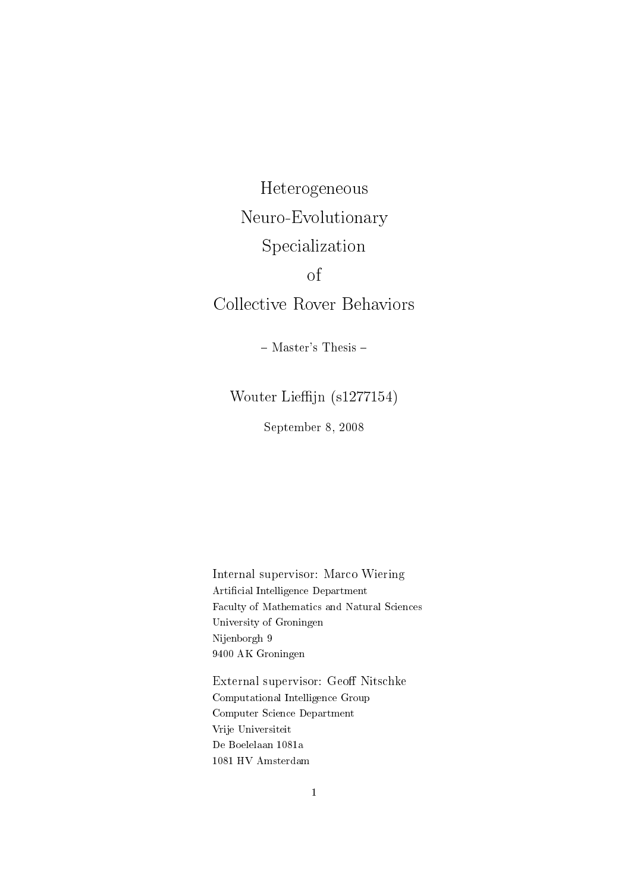Heterogeneous Neuro-Evolutionary Specialization of Collective Rover Behaviors

- Master's Thesis -

Wouter Lieffijn (s1277154)

September 8, 2008

Internal supervisor: Marco Wiering Artificial Intelligence Department Faculty of Mathematics and Natural Sciences University of Groningen Nijenborgh 9 9400 AK Groningen

External supervisor: Geoff Nitschke Computational Intelligence Group Computer Science Department Vrije Universiteit De Boelelaan 1081a 1081 HV Amsterdam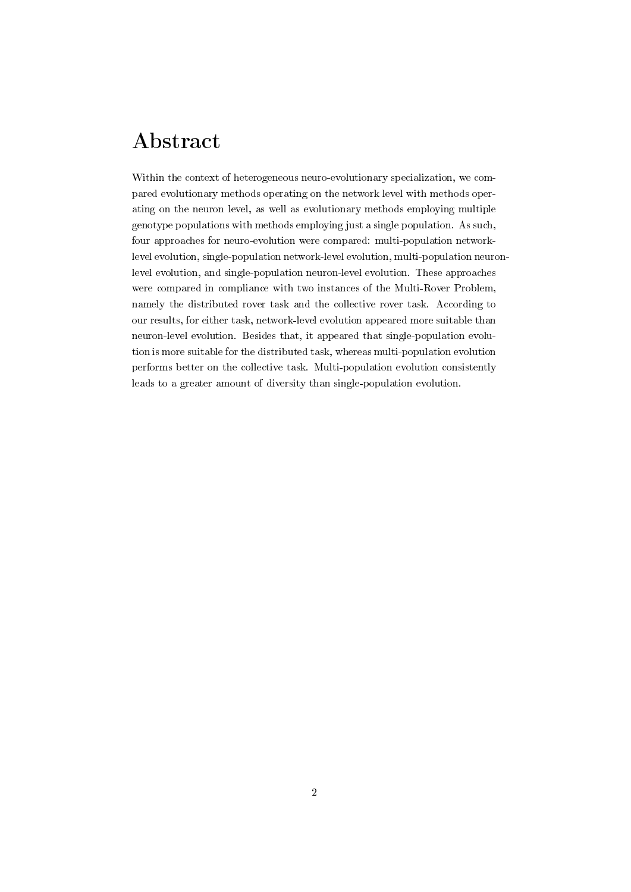## Abstract

Within the context of heterogeneous neuro-evolutionary specialization, we compared evolutionary methods operating on the network level with methods operating on the neuron level, as well as evolutionary methods employing multiple genotype populations with methods employing just a single population. As such, four approaches for neuro-evolution were compared: multi-population networklevel evolution, single-population network-level evolution, multi-population neuronlevel evolution, and single-population neuron-level evolution. These approaches were compared in compliance with two instances of the Multi-Rover Problem, namely the distributed rover task and the collective rover task. According to our results, for either task, network-level evolution appeared more suitable than neuron-level evolution. Besides that, it appeared that single-population evolution is more suitable for the distributed task, whereas multi-population evolution performs better on the collective task. Multi-population evolution consistently leads to a greater amount of diversity than single-population evolution.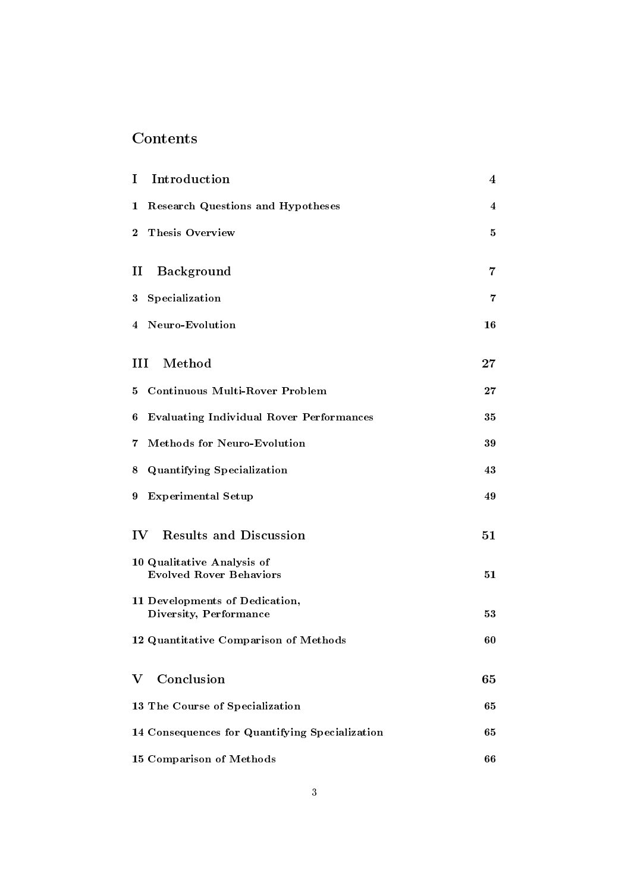## Contents

| I             | Introduction                                                 | 4              |
|---------------|--------------------------------------------------------------|----------------|
| 1             | <b>Research Questions and Hypotheses</b>                     | 4              |
| $\bf{2}$      | <b>Thesis Overview</b>                                       | 5              |
| $\mathbf{I}$  | Background                                                   | $\overline{7}$ |
| 3             | Specialization                                               | 7              |
| 4             | Neuro-Evolution                                              | 16             |
| Ш             | Method                                                       | $27\,$         |
| 5             | <b>Continuous Multi-Rover Problem</b>                        | $\bf 27$       |
| 6             | <b>Evaluating Individual Rover Performances</b>              | 35             |
| 7             | <b>Methods for Neuro-Evolution</b>                           | 39             |
| 8             | <b>Quantifying Specialization</b>                            | 43             |
| 9             | <b>Experimental Setup</b>                                    | 49             |
| $\mathbf{IV}$ | <b>Results and Discussion</b>                                | 51             |
|               | 10 Qualitative Analysis of<br><b>Evolved Rover Behaviors</b> | 51             |
|               | 11 Developments of Dedication,<br>Diversity, Performance     | 53             |
|               | 12 Quantitative Comparison of Methods                        | 60             |
| V             | Conclusion                                                   | 65             |
|               | 13 The Course of Specialization                              | 65             |
|               | 14 Consequences for Quantifying Specialization               | 65             |
|               | 15 Comparison of Methods                                     | 66             |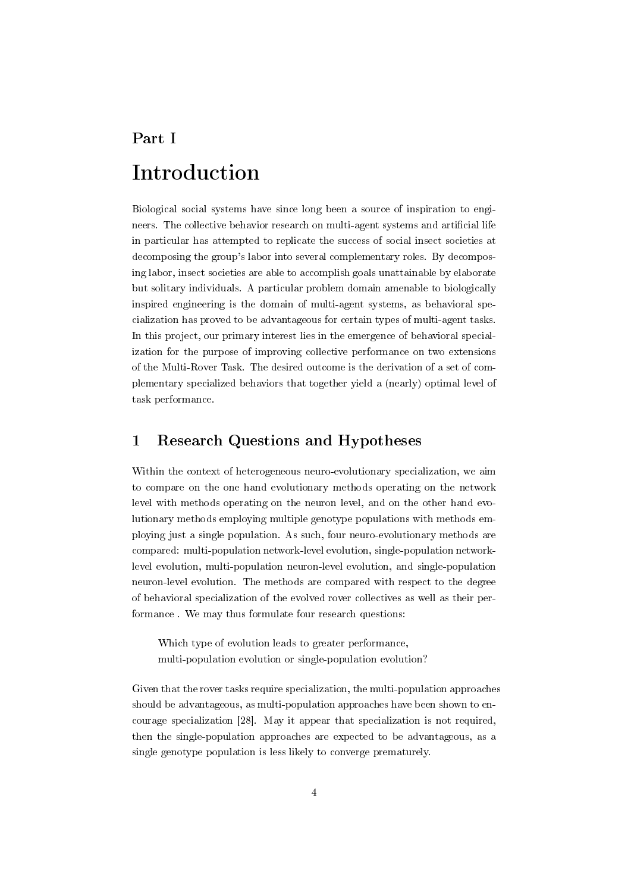# Part I Introduction

Biological social systems have since long been a source of inspiration to engineers. The collective behavior research on multi-agent systems and artificial life in particular has attempted to replicate the success of social insect societies at decomposing the group's labor into several complementary roles. By decomposing labor, insect societies are able to accomplish goals unattainable by elaborate but solitary individuals. A particular problem domain amenable to biologically inspired engineering is the domain of multi-agent systems, as behavioral specialization has proved to be advantageous for certain types of multi-agent tasks. In this project, our primary interest lies in the emergence of behavioral specialization for the purpose of improving collective performance on two extensions of the Multi-Rover Task. The desired outcome is the derivation of a set of complementary specialized behaviors that together yield a (nearly) optimal level of task performance.

## 1 Research Questions and Hypotheses

Within the context of heterogeneous neuro-evolutionary specialization, we aim to compare on the one hand evolutionary methods operating on the network level with methods operating on the neuron level, and on the other hand evolutionary methods employing multiple genotype populations with methods employing just a single population. As such, four neuro-evolutionary methods are compared: multi-population network-level evolution, single-population networklevel evolution, multi-population neuron-level evolution, and single-population neuron-level evolution. The methods are compared with respect to the degree of behavioral specialization of the evolved rover collectives as well as their performance . We may thus formulate four research questions:

Which type of evolution leads to greater performance, multi-population evolution or single-population evolution?

Given that the rover tasks require specialization, the multi-population approaches should be advantageous, as multi-population approaches have been shown to encourage specialization [28]. May it appear that specialization is not required, then the single-population approaches are expected to be advantageous, as a single genotype population is less likely to converge prematurely.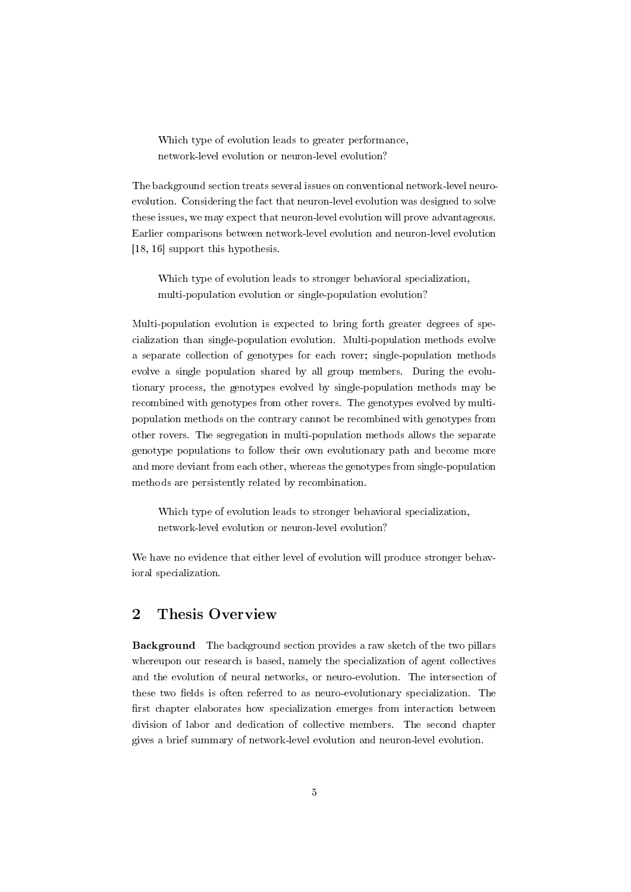Which type of evolution leads to greater performance, network-level evolution or neuron-level evolution?

The background section treats several issues on conventional network-level neuroevolution. Considering the fact that neuron-level evolution was designed to solve these issues, we may expect that neuron-level evolution will prove advantageous. Earlier comparisons between network-level evolution and neuron-level evolution [18, 16] support this hypothesis.

Which type of evolution leads to stronger behavioral specialization, multi-population evolution or single-population evolution?

Multi-population evolution is expected to bring forth greater degrees of specialization than single-population evolution. Multi-population methods evolve a separate collection of genotypes for each rover; single-population methods evolve a single population shared by all group members. During the evolutionary process, the genotypes evolved by single-population methods may be recombined with genotypes from other rovers. The genotypes evolved by multipopulation methods on the contrary cannot be recombined with genotypes from other rovers. The segregation in multi-population methods allows the separate genotype populations to follow their own evolutionary path and become more and more deviant from each other, whereas the genotypes from single-population methods are persistently related by recombination.

Which type of evolution leads to stronger behavioral specialization, network-level evolution or neuron-level evolution?

We have no evidence that either level of evolution will produce stronger behavioral specialization.

## 2 Thesis Overview

Background The background section provides a raw sketch of the two pillars whereupon our research is based, namely the specialization of agent collectives and the evolution of neural networks, or neuro-evolution. The intersection of these two fields is often referred to as neuro-evolutionary specialization. The first chapter elaborates how specialization emerges from interaction between division of labor and dedication of collective members. The second chapter gives a brief summary of network-level evolution and neuron-level evolution.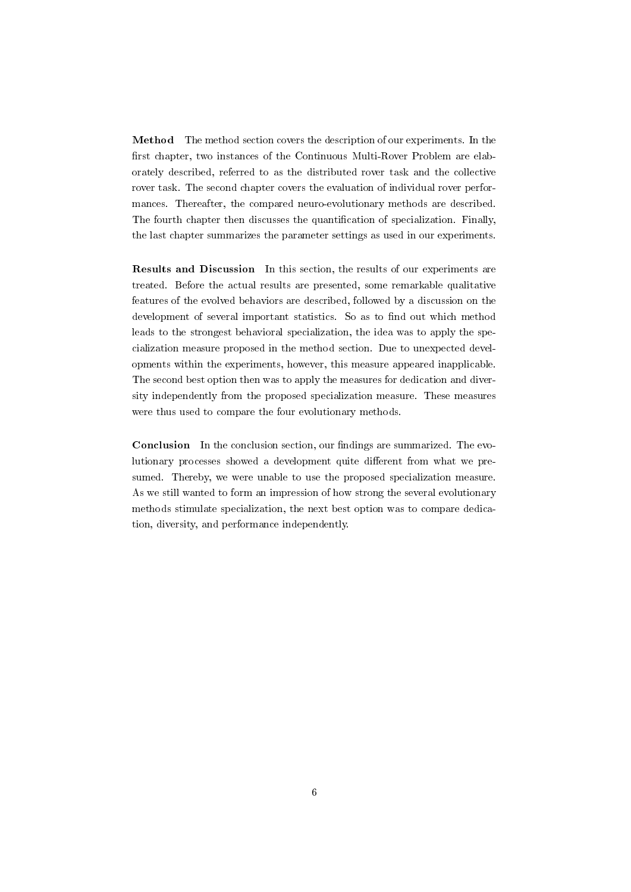Method The method section covers the description of our experiments. In the first chapter, two instances of the Continuous Multi-Rover Problem are elaborately described, referred to as the distributed rover task and the collective rover task. The second chapter covers the evaluation of individual rover performances. Thereafter, the compared neuro-evolutionary methods are described. The fourth chapter then discusses the quantification of specialization. Finally, the last chapter summarizes the parameter settings as used in our experiments.

Results and Discussion In this section, the results of our experiments are treated. Before the actual results are presented, some remarkable qualitative features of the evolved behaviors are described, followed by a discussion on the development of several important statistics. So as to find out which method leads to the strongest behavioral specialization, the idea was to apply the specialization measure proposed in the method section. Due to unexpected developments within the experiments, however, this measure appeared inapplicable. The second best option then was to apply the measures for dedication and diversity independently from the proposed specialization measure. These measures were thus used to compare the four evolutionary methods.

Conclusion In the conclusion section, our findings are summarized. The evolutionary processes showed a development quite different from what we presumed. Thereby, we were unable to use the proposed specialization measure. As we still wanted to form an impression of how strong the several evolutionary methods stimulate specialization, the next best option was to compare dedication, diversity, and performance independently.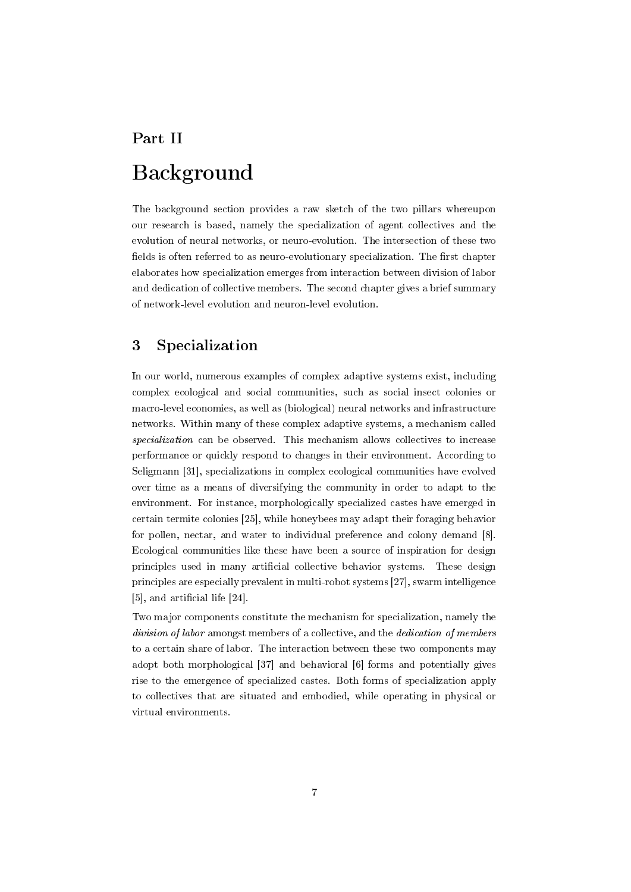# Part II Background

The background section provides a raw sketch of the two pillars whereupon our research is based, namely the specialization of agent collectives and the evolution of neural networks, or neuro-evolution. The intersection of these two fields is often referred to as neuro-evolutionary specialization. The first chapter elaborates how specialization emerges from interaction between division of labor and dedication of collective members. The second chapter gives a brief summary of network-level evolution and neuron-level evolution.

## 3 Specialization

In our world, numerous examples of complex adaptive systems exist, including complex ecological and social communities, such as social insect colonies or macro-level economies, as well as (biological) neural networks and infrastructure networks. Within many of these complex adaptive systems, a mechanism called specialization can be observed. This mechanism allows collectives to increase performance or quickly respond to changes in their environment. According to Seligmann [31], specializations in complex ecological communities have evolved over time as a means of diversifying the community in order to adapt to the environment. For instance, morphologically specialized castes have emerged in certain termite colonies [25], while honeybees may adapt their foraging behavior for pollen, nectar, and water to individual preference and colony demand [8]. Ecological communities like these have been a source of inspiration for design principles used in many artificial collective behavior systems. These design principles are especially prevalent in multi-robot systems [27], swarm intelligence [5], and artificial life [24].

Two major components constitute the mechanism for specialization, namely the division of labor amongst members of a collective, and the *dedication of members* to a certain share of labor. The interaction between these two components may adopt both morphological [37] and behavioral [6] forms and potentially gives rise to the emergence of specialized castes. Both forms of specialization apply to collectives that are situated and embodied, while operating in physical or virtual environments.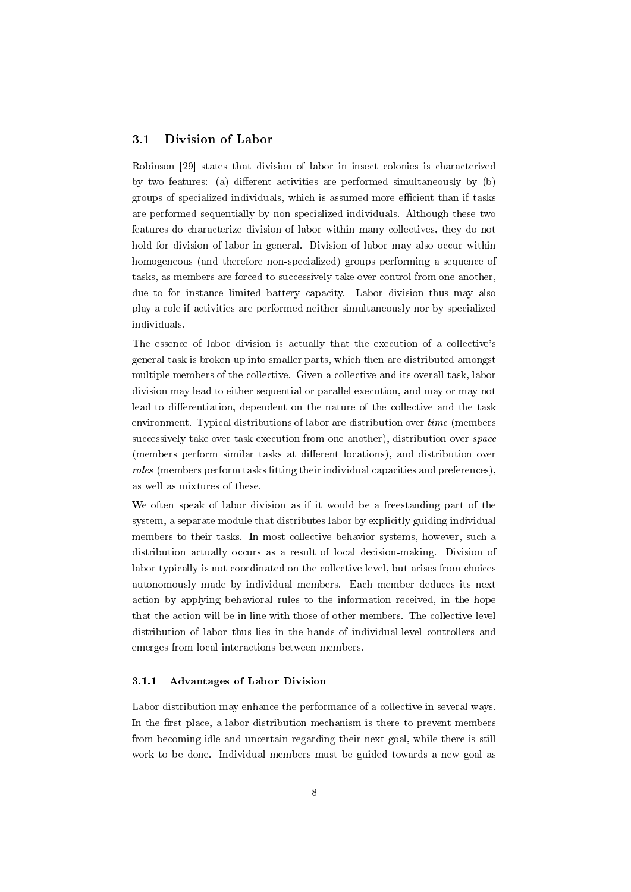### 3.1 Division of Labor

Robinson [29] states that division of labor in insect colonies is characterized by two features: (a) different activities are performed simultaneously by  $(b)$ groups of specialized individuals, which is assumed more efficient than if tasks are performed sequentially by non-specialized individuals. Although these two features do characterize division of labor within many collectives, they do not hold for division of labor in general. Division of labor may also occur within homogeneous (and therefore non-specialized) groups performing a sequence of tasks, as members are forced to successively take over control from one another, due to for instance limited battery capacity. Labor division thus may also play a role if activities are performed neither simultaneously nor by specialized individuals.

The essence of labor division is actually that the execution of a collective's general task is broken up into smaller parts, which then are distributed amongst multiple members of the collective. Given a collective and its overall task, labor division may lead to either sequential or parallel execution, and may or may not lead to differentiation, dependent on the nature of the collective and the task environment. Typical distributions of labor are distribution over time (members successively take over task execution from one another), distribution over space (members perform similar tasks at different locations), and distribution over roles (members perform tasks fitting their individual capacities and preferences), as well as mixtures of these.

We often speak of labor division as if it would be a freestanding part of the system, a separate module that distributes labor by explicitly guiding individual members to their tasks. In most collective behavior systems, however, such a distribution actually occurs as a result of local decision-making. Division of labor typically is not coordinated on the collective level, but arises from choices autonomously made by individual members. Each member deduces its next action by applying behavioral rules to the information received, in the hope that the action will be in line with those of other members. The collective-level distribution of labor thus lies in the hands of individual-level controllers and emerges from local interactions between members.

## 3.1.1 Advantages of Labor Division

Labor distribution may enhance the performance of a collective in several ways. In the first place, a labor distribution mechanism is there to prevent members from becoming idle and uncertain regarding their next goal, while there is still work to be done. Individual members must be guided towards a new goal as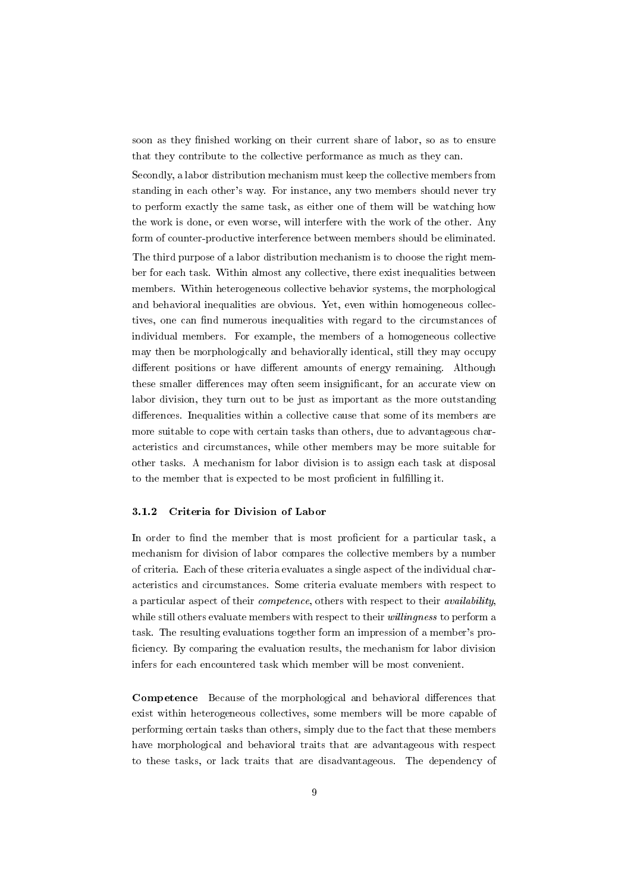soon as they finished working on their current share of labor, so as to ensure that they contribute to the collective performance as much as they can.

Secondly, a labor distribution mechanism must keep the collective members from standing in each other's way. For instance, any two members should never try to perform exactly the same task, as either one of them will be watching how the work is done, or even worse, will interfere with the work of the other. Any form of counter-productive interference between members should be eliminated. The third purpose of a labor distribution mechanism is to choose the right member for each task. Within almost any collective, there exist inequalities between members. Within heterogeneous collective behavior systems, the morphological and behavioral inequalities are obvious. Yet, even within homogeneous collectives, one can find numerous inequalities with regard to the circumstances of individual members. For example, the members of a homogeneous collective may then be morphologically and behaviorally identical, still they may occupy different positions or have different amounts of energy remaining. Although these smaller differences may often seem insignificant, for an accurate view on labor division, they turn out to be just as important as the more outstanding differences. Inequalities within a collective cause that some of its members are more suitable to cope with certain tasks than others, due to advantageous characteristics and circumstances, while other members may be more suitable for other tasks. A mechanism for labor division is to assign each task at disposal to the member that is expected to be most proficient in fulfilling it.

#### 3.1.2 Criteria for Division of Labor

In order to find the member that is most proficient for a particular task, a mechanism for division of labor compares the collective members by a number of criteria. Each of these criteria evaluates a single aspect of the individual characteristics and circumstances. Some criteria evaluate members with respect to a particular aspect of their competence, others with respect to their availability, while still others evaluate members with respect to their *willingness* to perform a task. The resulting evaluations together form an impression of a member's pro ficiency. By comparing the evaluation results, the mechanism for labor division infers for each encountered task which member will be most convenient.

**Competence** Because of the morphological and behavioral differences that exist within heterogeneous collectives, some members will be more capable of performing certain tasks than others, simply due to the fact that these members have morphological and behavioral traits that are advantageous with respect to these tasks, or lack traits that are disadvantageous. The dependency of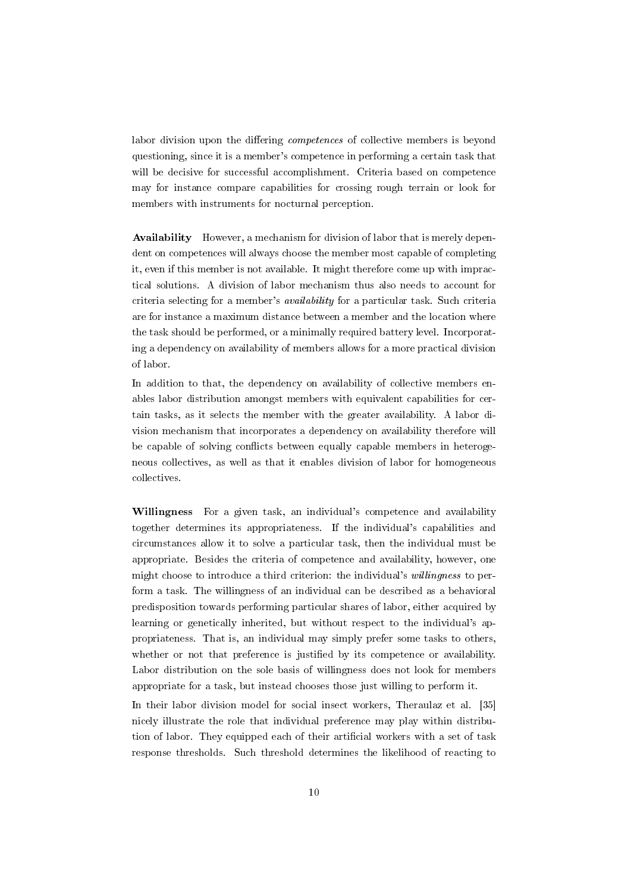labor division upon the differing *competences* of collective members is beyond questioning, since it is a member's competence in performing a certain task that will be decisive for successful accomplishment. Criteria based on competence may for instance compare capabilities for crossing rough terrain or look for members with instruments for nocturnal perception.

Availability However, a mechanism for division of labor that is merely dependent on competences will always choose the member most capable of completing it, even if this member is not available. It might therefore come up with impractical solutions. A division of labor mechanism thus also needs to account for criteria selecting for a member's availability for a particular task. Such criteria are for instance a maximum distance between a member and the location where the task should be performed, or a minimally required battery level. Incorporating a dependency on availability of members allows for a more practical division of labor.

In addition to that, the dependency on availability of collective members enables labor distribution amongst members with equivalent capabilities for certain tasks, as it selects the member with the greater availability. A labor division mechanism that incorporates a dependency on availability therefore will be capable of solving conflicts between equally capable members in heterogeneous collectives, as well as that it enables division of labor for homogeneous collectives.

Willingness For a given task, an individual's competence and availability together determines its appropriateness. If the individual's capabilities and circumstances allow it to solve a particular task, then the individual must be appropriate. Besides the criteria of competence and availability, however, one might choose to introduce a third criterion: the individual's willingness to perform a task. The willingness of an individual can be described as a behavioral predisposition towards performing particular shares of labor, either acquired by learning or genetically inherited, but without respect to the individual's appropriateness. That is, an individual may simply prefer some tasks to others, whether or not that preference is justified by its competence or availability. Labor distribution on the sole basis of willingness does not look for members appropriate for a task, but instead chooses those just willing to perform it.

In their labor division model for social insect workers, Theraulaz et al. [35] nicely illustrate the role that individual preference may play within distribution of labor. They equipped each of their artificial workers with a set of task response thresholds. Such threshold determines the likelihood of reacting to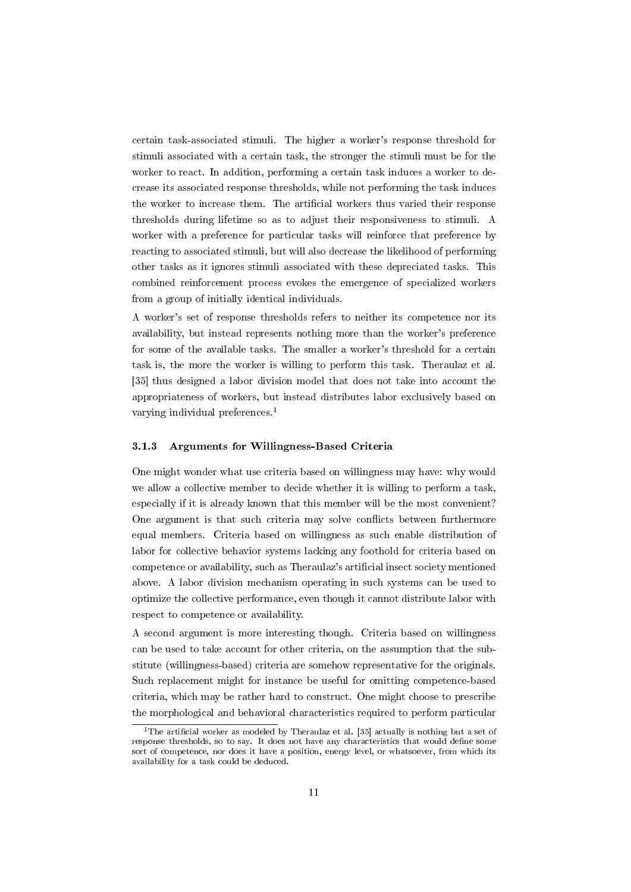certain task-associated stimuli. The higher a worker's response threshold for stimuli associated with a certain task, the stronger the stimuli must be for the worker to react. In addition, performing a certain task induces a worker to decrease its associated response thresholds, while not performing the task induces the worker to increase them. The artificial workers thus varied their response thresholds during lifetime so as to adjust their responsiveness to stimuli. A worker with a preference for particular tasks will reinforce that preference by reacting to associated stimuli, but will also decrease the likelihood of performing other tasks as it ignores stimuli associated with these depreciated tasks. This combined reinforcement process evokes the emergence of specialized workers from a group of initially identical individuals.

A worker's set of response thresholds refers to neither its competence nor its availability, but instead represents nothing more than the worker's preference for some of the available tasks. The smaller a worker's threshold for a certain task is, the more the worker is willing to perform this task. Theraulaz et al. [35] thus designed a labor division model that does not take into account the appropriateness of workers, but instead distributes labor exclusively based on varying individual preferences.<sup>1</sup>

## 3.1.3 Arguments for Willingness-Based Criteria

One might wonder what use criteria based on willingness may have: why would we allow a collective member to decide whether it is willing to perform a task, especially if it is already known that this member will be the most convenient? One argument is that such criteria may solve conflicts between furthermore equal members. Criteria based on willingness as such enable distribution of labor for collective behavior systems lacking any foothold for criteria based on competence or availability, such as Theraulaz's articial insect society mentioned above. A labor division mechanism operating in such systems can be used to optimize the collective performance, even though it cannot distribute labor with respect to competence or availability.

A second argument is more interesting though. Criteria based on willingness can be used to take account for other criteria, on the assumption that the substitute (willingness-based) criteria are somehow representative for the originals. Such replacement might for instance be useful for omitting competence-based criteria, which may be rather hard to construct. One might choose to prescribe the morphological and behavioral characteristics required to perform particular

<sup>&</sup>lt;sup>1</sup>The artificial worker as modeled by Theraulaz et al. [35] actually is nothing but a set of response thresholds, so to say. It does not have any characteristics that would define some sort of competence, nor does it have a position, energy level, or whatsoever, from which its availability for a task could be deduced.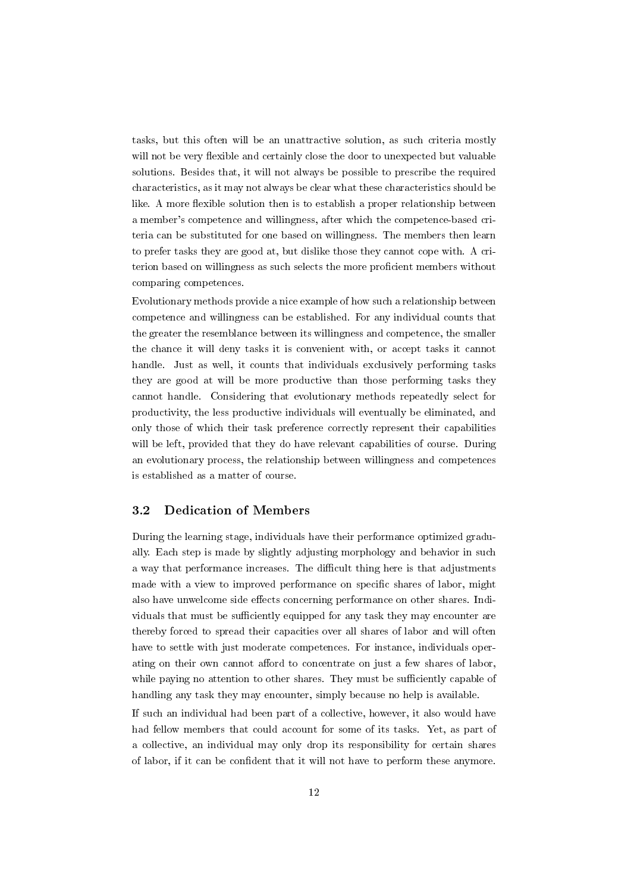tasks, but this often will be an unattractive solution, as such criteria mostly will not be very flexible and certainly close the door to unexpected but valuable solutions. Besides that, it will not always be possible to prescribe the required characteristics, as it may not always be clear what these characteristics should be like. A more flexible solution then is to establish a proper relationship between a member's competence and willingness, after which the competence-based criteria can be substituted for one based on willingness. The members then learn to prefer tasks they are good at, but dislike those they cannot cope with. A criterion based on willingness as such selects the more proficient members without comparing competences.

Evolutionary methods provide a nice example of how such a relationship between competence and willingness can be established. For any individual counts that the greater the resemblance between its willingness and competence, the smaller the chance it will deny tasks it is convenient with, or accept tasks it cannot handle. Just as well, it counts that individuals exclusively performing tasks they are good at will be more productive than those performing tasks they cannot handle. Considering that evolutionary methods repeatedly select for productivity, the less productive individuals will eventually be eliminated, and only those of which their task preference correctly represent their capabilities will be left, provided that they do have relevant capabilities of course. During an evolutionary process, the relationship between willingness and competences is established as a matter of course.

## 3.2 Dedication of Members

During the learning stage, individuals have their performance optimized gradually. Each step is made by slightly adjusting morphology and behavior in such a way that performance increases. The difficult thing here is that adjustments made with a view to improved performance on specific shares of labor, might also have unwelcome side effects concerning performance on other shares. Individuals that must be sufficiently equipped for any task they may encounter are thereby forced to spread their capacities over all shares of labor and will often have to settle with just moderate competences. For instance, individuals operating on their own cannot afford to concentrate on just a few shares of labor, while paying no attention to other shares. They must be sufficiently capable of handling any task they may encounter, simply because no help is available.

If such an individual had been part of a collective, however, it also would have had fellow members that could account for some of its tasks. Yet, as part of a collective, an individual may only drop its responsibility for certain shares of labor, if it can be condent that it will not have to perform these anymore.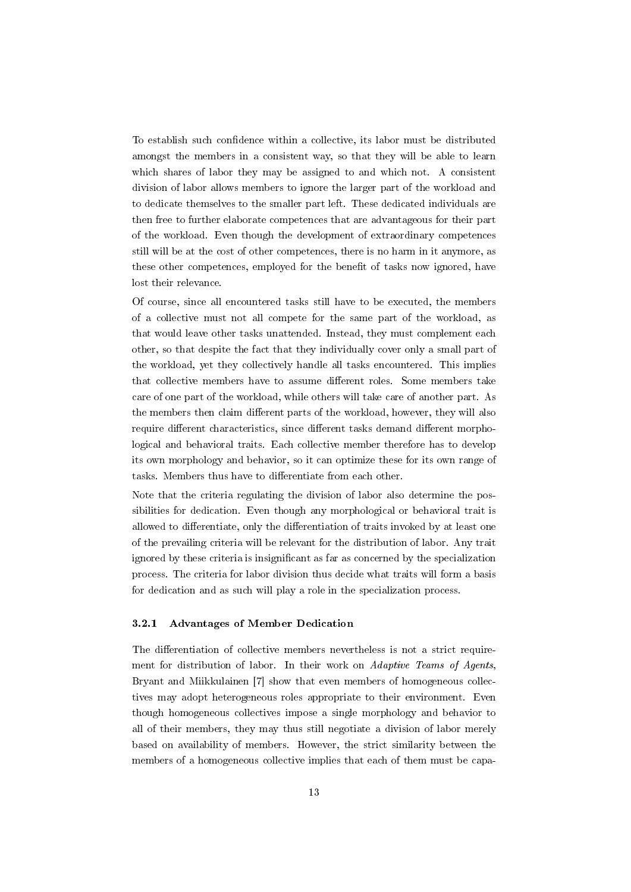To establish such confidence within a collective, its labor must be distributed amongst the members in a consistent way, so that they will be able to learn which shares of labor they may be assigned to and which not. A consistent division of labor allows members to ignore the larger part of the workload and to dedicate themselves to the smaller part left. These dedicated individuals are then free to further elaborate competences that are advantageous for their part of the workload. Even though the development of extraordinary competences still will be at the cost of other competences, there is no harm in it anymore, as these other competences, employed for the benefit of tasks now ignored, have lost their relevance.

Of course, since all encountered tasks still have to be executed, the members of a collective must not all compete for the same part of the workload, as that would leave other tasks unattended. Instead, they must complement each other, so that despite the fact that they individually cover only a small part of the workload, yet they collectively handle all tasks encountered. This implies that collective members have to assume different roles. Some members take care of one part of the workload, while others will take care of another part. As the members then claim different parts of the workload, however, they will also require different characteristics, since different tasks demand different morphological and behavioral traits. Each collective member therefore has to develop its own morphology and behavior, so it can optimize these for its own range of tasks. Members thus have to differentiate from each other.

Note that the criteria regulating the division of labor also determine the possibilities for dedication. Even though any morphological or behavioral trait is allowed to differentiate, only the differentiation of traits invoked by at least one of the prevailing criteria will be relevant for the distribution of labor. Any trait ignored by these criteria is insignificant as far as concerned by the specialization process. The criteria for labor division thus decide what traits will form a basis for dedication and as such will play a role in the specialization process.

#### 3.2.1 Advantages of Member Dedication

The differentiation of collective members nevertheless is not a strict requirement for distribution of labor. In their work on Adaptive Teams of Agents, Bryant and Miikkulainen [7] show that even members of homogeneous collectives may adopt heterogeneous roles appropriate to their environment. Even though homogeneous collectives impose a single morphology and behavior to all of their members, they may thus still negotiate a division of labor merely based on availability of members. However, the strict similarity between the members of a homogeneous collective implies that each of them must be capa-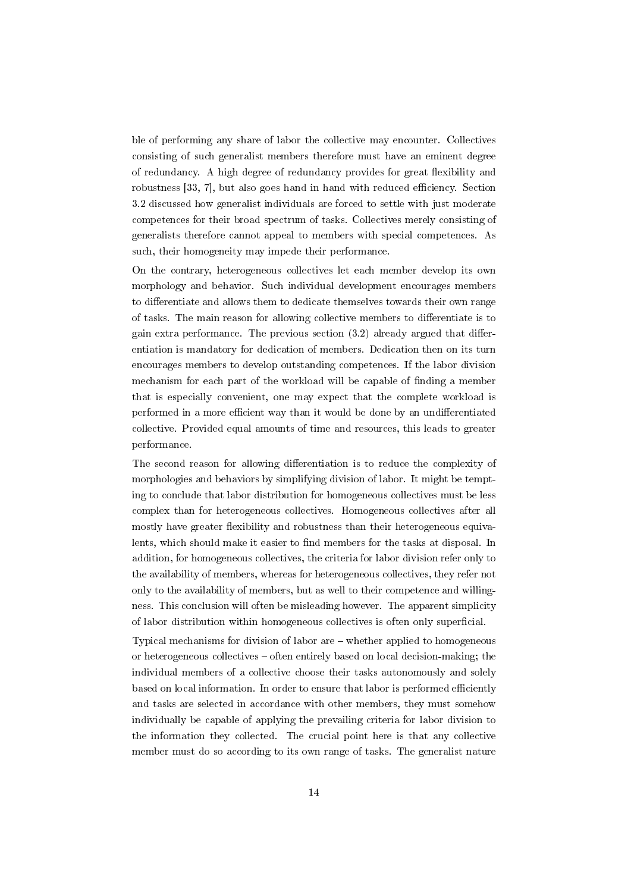ble of performing any share of labor the collective may encounter. Collectives consisting of such generalist members therefore must have an eminent degree of redundancy. A high degree of redundancy provides for great flexibility and robustness [33, 7], but also goes hand in hand with reduced efficiency. Section 3.2 discussed how generalist individuals are forced to settle with just moderate competences for their broad spectrum of tasks. Collectives merely consisting of generalists therefore cannot appeal to members with special competences. As such, their homogeneity may impede their performance.

On the contrary, heterogeneous collectives let each member develop its own morphology and behavior. Such individual development encourages members to differentiate and allows them to dedicate themselves towards their own range of tasks. The main reason for allowing collective members to differentiate is to gain extra performance. The previous section  $(3.2)$  already argued that differentiation is mandatory for dedication of members. Dedication then on its turn encourages members to develop outstanding competences. If the labor division mechanism for each part of the workload will be capable of finding a member that is especially convenient, one may expect that the complete workload is performed in a more efficient way than it would be done by an undifferentiated collective. Provided equal amounts of time and resources, this leads to greater performance.

The second reason for allowing differentiation is to reduce the complexity of morphologies and behaviors by simplifying division of labor. It might be tempting to conclude that labor distribution for homogeneous collectives must be less complex than for heterogeneous collectives. Homogeneous collectives after all mostly have greater flexibility and robustness than their heterogeneous equivalents, which should make it easier to find members for the tasks at disposal. In addition, for homogeneous collectives, the criteria for labor division refer only to the availability of members, whereas for heterogeneous collectives, they refer not only to the availability of members, but as well to their competence and willingness. This conclusion will often be misleading however. The apparent simplicity of labor distribution within homogeneous collectives is often only superficial.

Typical mechanisms for division of labor are  $-$  whether applied to homogeneous or heterogeneous collectives  $-$  often entirely based on local decision-making; the individual members of a collective choose their tasks autonomously and solely based on local information. In order to ensure that labor is performed efficiently and tasks are selected in accordance with other members, they must somehow individually be capable of applying the prevailing criteria for labor division to the information they collected. The crucial point here is that any collective member must do so according to its own range of tasks. The generalist nature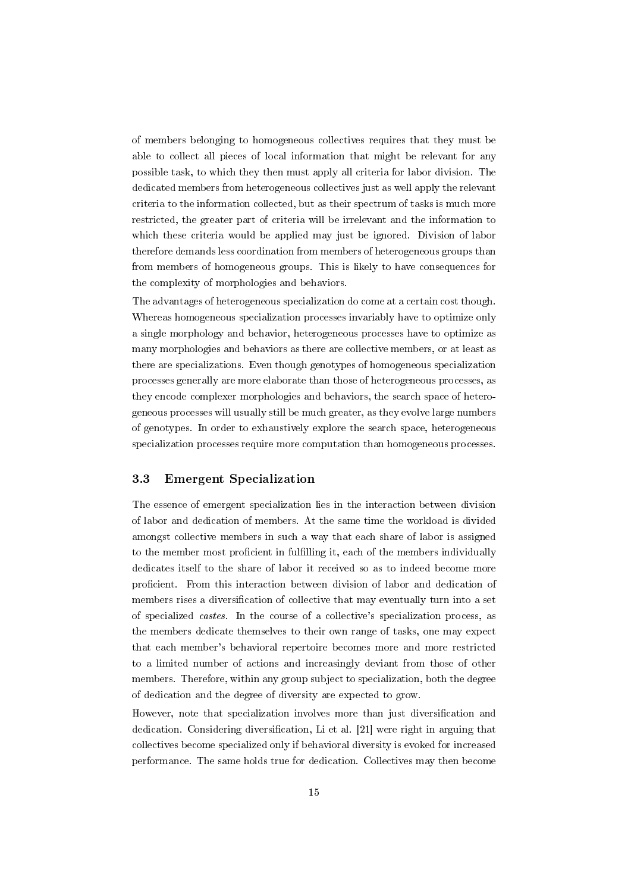of members belonging to homogeneous collectives requires that they must be able to collect all pieces of local information that might be relevant for any possible task, to which they then must apply all criteria for labor division. The dedicated members from heterogeneous collectives just as well apply the relevant criteria to the information collected, but as their spectrum of tasks is much more restricted, the greater part of criteria will be irrelevant and the information to which these criteria would be applied may just be ignored. Division of labor therefore demands less coordination from members of heterogeneous groups than from members of homogeneous groups. This is likely to have consequences for the complexity of morphologies and behaviors.

The advantages of heterogeneous specialization do come at a certain cost though. Whereas homogeneous specialization processes invariably have to optimize only a single morphology and behavior, heterogeneous processes have to optimize as many morphologies and behaviors as there are collective members, or at least as there are specializations. Even though genotypes of homogeneous specialization processes generally are more elaborate than those of heterogeneous processes, as they encode complexer morphologies and behaviors, the search space of heterogeneous processes will usually still be much greater, as they evolve large numbers of genotypes. In order to exhaustively explore the search space, heterogeneous specialization processes require more computation than homogeneous processes.

### 3.3 Emergent Specialization

The essence of emergent specialization lies in the interaction between division of labor and dedication of members. At the same time the workload is divided amongst collective members in such a way that each share of labor is assigned to the member most proficient in fulfilling it, each of the members individually dedicates itself to the share of labor it received so as to indeed become more proficient. From this interaction between division of labor and dedication of members rises a diversification of collective that may eventually turn into a set of specialized castes. In the course of a collective's specialization process, as the members dedicate themselves to their own range of tasks, one may expect that each member's behavioral repertoire becomes more and more restricted to a limited number of actions and increasingly deviant from those of other members. Therefore, within any group subject to specialization, both the degree of dedication and the degree of diversity are expected to grow.

However, note that specialization involves more than just diversification and dedication. Considering diversification, Li et al. [21] were right in arguing that collectives become specialized only if behavioral diversity is evoked for increased performance. The same holds true for dedication. Collectives may then become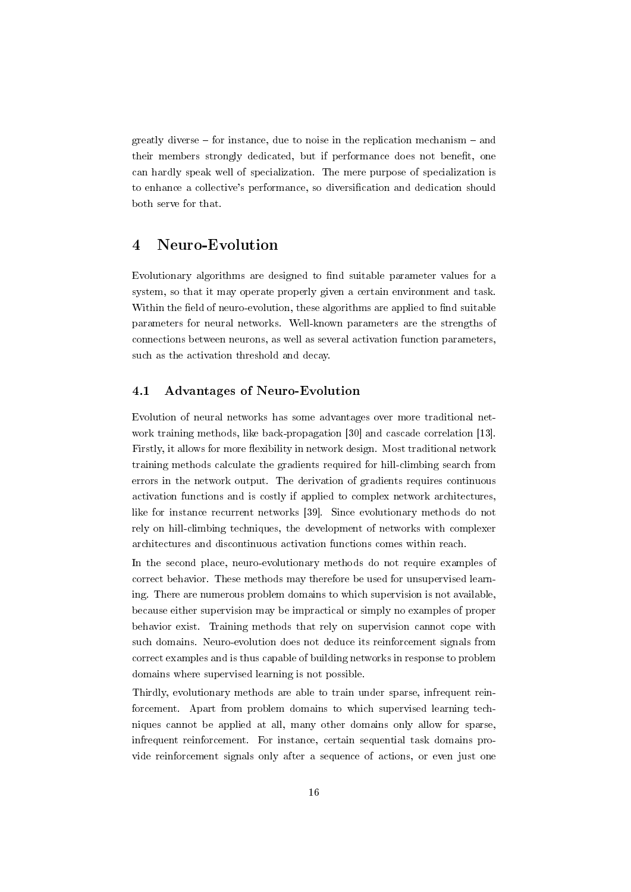greatly diverse  $-$  for instance, due to noise in the replication mechanism  $-$  and their members strongly dedicated, but if performance does not benefit, one can hardly speak well of specialization. The mere purpose of specialization is to enhance a collective's performance, so diversification and dedication should both serve for that.

## 4 Neuro-Evolution

Evolutionary algorithms are designed to find suitable parameter values for a system, so that it may operate properly given a certain environment and task. Within the field of neuro-evolution, these algorithms are applied to find suitable parameters for neural networks. Well-known parameters are the strengths of connections between neurons, as well as several activation function parameters, such as the activation threshold and decay.

## 4.1 Advantages of Neuro-Evolution

Evolution of neural networks has some advantages over more traditional network training methods, like back-propagation [30] and cascade correlation [13]. Firstly, it allows for more flexibility in network design. Most traditional network training methods calculate the gradients required for hill-climbing search from errors in the network output. The derivation of gradients requires continuous activation functions and is costly if applied to complex network architectures, like for instance recurrent networks [39]. Since evolutionary methods do not rely on hill-climbing techniques, the development of networks with complexer architectures and discontinuous activation functions comes within reach.

In the second place, neuro-evolutionary methods do not require examples of correct behavior. These methods may therefore be used for unsupervised learning. There are numerous problem domains to which supervision is not available, because either supervision may be impractical or simply no examples of proper behavior exist. Training methods that rely on supervision cannot cope with such domains. Neuro-evolution does not deduce its reinforcement signals from correct examples and is thus capable of building networks in response to problem domains where supervised learning is not possible.

Thirdly, evolutionary methods are able to train under sparse, infrequent reinforcement. Apart from problem domains to which supervised learning techniques cannot be applied at all, many other domains only allow for sparse, infrequent reinforcement. For instance, certain sequential task domains provide reinforcement signals only after a sequence of actions, or even just one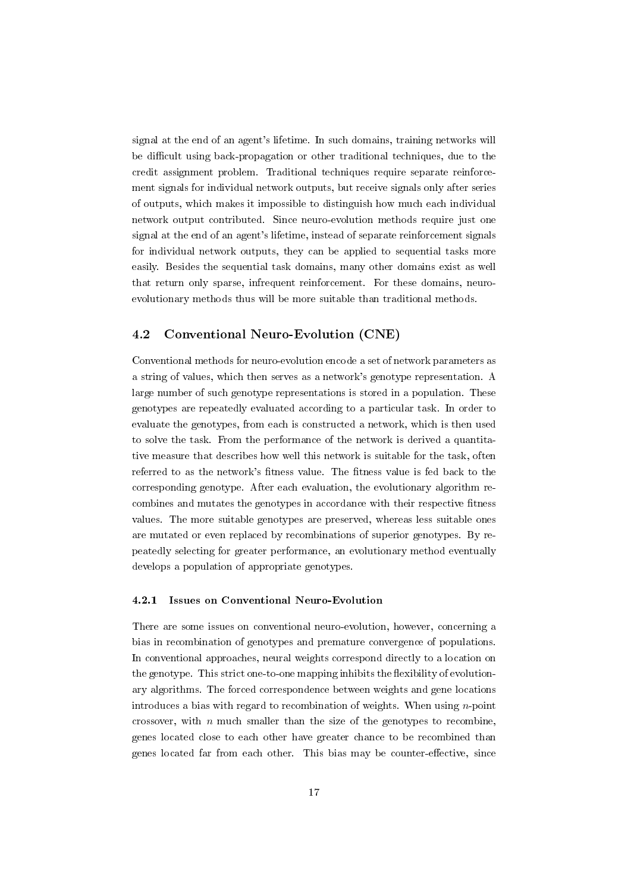signal at the end of an agent's lifetime. In such domains, training networks will be difficult using back-propagation or other traditional techniques, due to the credit assignment problem. Traditional techniques require separate reinforcement signals for individual network outputs, but receive signals only after series of outputs, which makes it impossible to distinguish how much each individual network output contributed. Since neuro-evolution methods require just one signal at the end of an agent's lifetime, instead of separate reinforcement signals for individual network outputs, they can be applied to sequential tasks more easily. Besides the sequential task domains, many other domains exist as well that return only sparse, infrequent reinforcement. For these domains, neuroevolutionary methods thus will be more suitable than traditional methods.

## 4.2 Conventional Neuro-Evolution (CNE)

Conventional methods for neuro-evolution encode a set of network parameters as a string of values, which then serves as a network's genotype representation. A large number of such genotype representations is stored in a population. These genotypes are repeatedly evaluated according to a particular task. In order to evaluate the genotypes, from each is constructed a network, which is then used to solve the task. From the performance of the network is derived a quantitative measure that describes how well this network is suitable for the task, often referred to as the network's fitness value. The fitness value is fed back to the corresponding genotype. After each evaluation, the evolutionary algorithm recombines and mutates the genotypes in accordance with their respective fitness values. The more suitable genotypes are preserved, whereas less suitable ones are mutated or even replaced by recombinations of superior genotypes. By repeatedly selecting for greater performance, an evolutionary method eventually develops a population of appropriate genotypes.

#### 4.2.1 Issues on Conventional Neuro-Evolution

There are some issues on conventional neuro-evolution, however, concerning a bias in recombination of genotypes and premature convergence of populations. In conventional approaches, neural weights correspond directly to a location on the genotype. This strict one-to-one mapping inhibits the flexibility of evolutionary algorithms. The forced correspondence between weights and gene locations introduces a bias with regard to recombination of weights. When using  $n$ -point crossover, with  $n$  much smaller than the size of the genotypes to recombine, genes located close to each other have greater chance to be recombined than genes located far from each other. This bias may be counter-effective, since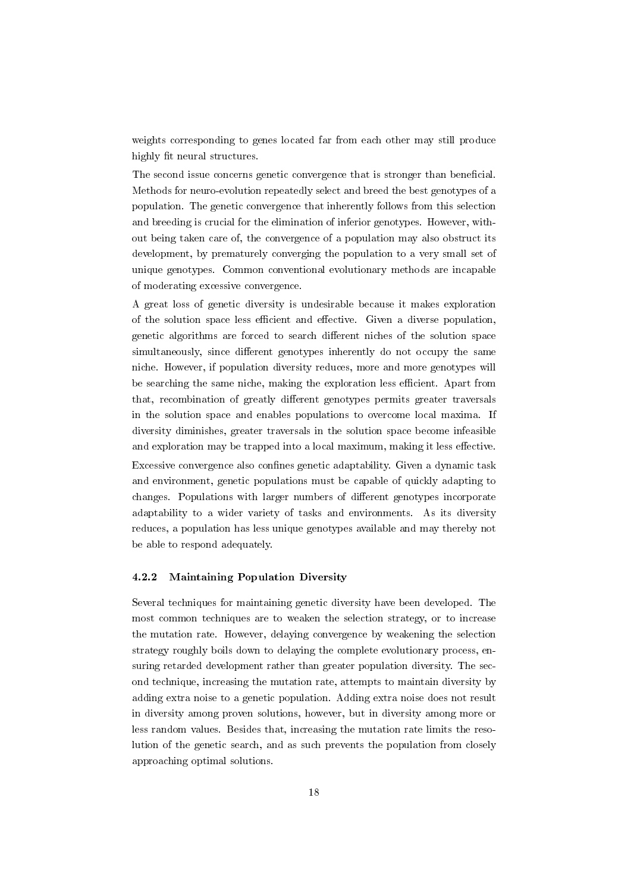weights corresponding to genes located far from each other may still produce highly fit neural structures.

The second issue concerns genetic convergence that is stronger than beneficial. Methods for neuro-evolution repeatedly select and breed the best genotypes of a population. The genetic convergence that inherently follows from this selection and breeding is crucial for the elimination of inferior genotypes. However, without being taken care of, the convergence of a population may also obstruct its development, by prematurely converging the population to a very small set of unique genotypes. Common conventional evolutionary methods are incapable of moderating excessive convergence.

A great loss of genetic diversity is undesirable because it makes exploration of the solution space less efficient and effective. Given a diverse population, genetic algorithms are forced to search different niches of the solution space simultaneously, since different genotypes inherently do not occupy the same niche. However, if population diversity reduces, more and more genotypes will be searching the same niche, making the exploration less efficient. Apart from that, recombination of greatly different genotypes permits greater traversals in the solution space and enables populations to overcome local maxima. If diversity diminishes, greater traversals in the solution space become infeasible and exploration may be trapped into a local maximum, making it less effective. Excessive convergence also confines genetic adaptability. Given a dynamic task and environment, genetic populations must be capable of quickly adapting to changes. Populations with larger numbers of different genotypes incorporate adaptability to a wider variety of tasks and environments. As its diversity reduces, a population has less unique genotypes available and may thereby not be able to respond adequately.

## 4.2.2 Maintaining Population Diversity

Several techniques for maintaining genetic diversity have been developed. The most common techniques are to weaken the selection strategy, or to increase the mutation rate. However, delaying convergence by weakening the selection strategy roughly boils down to delaying the complete evolutionary process, ensuring retarded development rather than greater population diversity. The second technique, increasing the mutation rate, attempts to maintain diversity by adding extra noise to a genetic population. Adding extra noise does not result in diversity among proven solutions, however, but in diversity among more or less random values. Besides that, increasing the mutation rate limits the resolution of the genetic search, and as such prevents the population from closely approaching optimal solutions.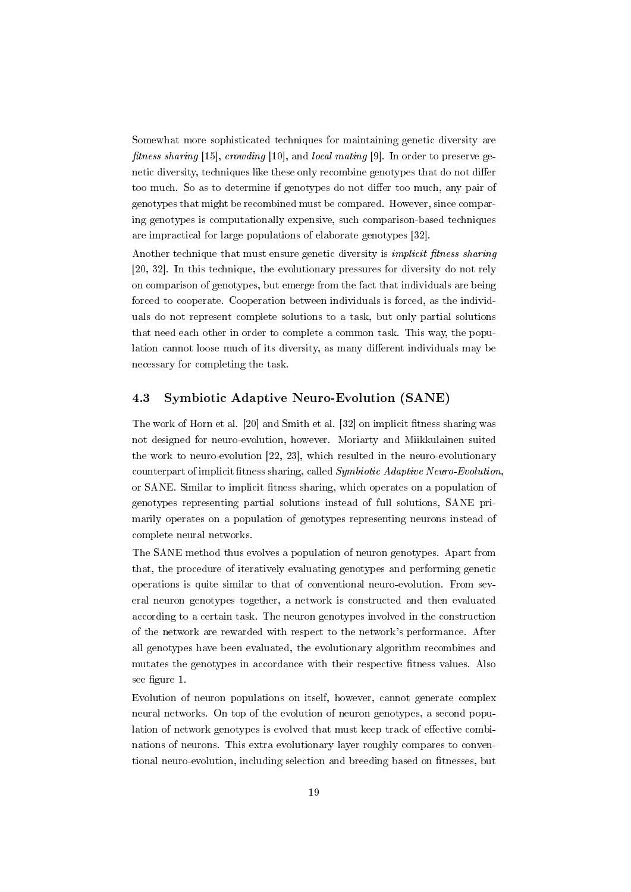Somewhat more sophisticated techniques for maintaining genetic diversity are fitness sharing [15], crowding [10], and local mating [9]. In order to preserve genetic diversity, techniques like these only recombine genotypes that do not differ too much. So as to determine if genotypes do not differ too much, any pair of genotypes that might be recombined must be compared. However, since comparing genotypes is computationally expensive, such comparison-based techniques are impractical for large populations of elaborate genotypes [32].

Another technique that must ensure genetic diversity is *implicit fitness sharing* [20, 32]. In this technique, the evolutionary pressures for diversity do not rely on comparison of genotypes, but emerge from the fact that individuals are being forced to cooperate. Cooperation between individuals is forced, as the individuals do not represent complete solutions to a task, but only partial solutions that need each other in order to complete a common task. This way, the population cannot loose much of its diversity, as many different individuals may be necessary for completing the task.

## 4.3 Symbiotic Adaptive Neuro-Evolution (SANE)

The work of Horn et al. [20] and Smith et al. [32] on implicit fitness sharing was not designed for neuro-evolution, however. Moriarty and Miikkulainen suited the work to neuro-evolution [22, 23], which resulted in the neuro-evolutionary counterpart of implicit fitness sharing, called Symbiotic Adaptive Neuro-Evolution, or SANE. Similar to implicit tness sharing, which operates on a population of genotypes representing partial solutions instead of full solutions, SANE primarily operates on a population of genotypes representing neurons instead of complete neural networks.

The SANE method thus evolves a population of neuron genotypes. Apart from that, the procedure of iteratively evaluating genotypes and performing genetic operations is quite similar to that of conventional neuro-evolution. From several neuron genotypes together, a network is constructed and then evaluated according to a certain task. The neuron genotypes involved in the construction of the network are rewarded with respect to the network's performance. After all genotypes have been evaluated, the evolutionary algorithm recombines and mutates the genotypes in accordance with their respective fitness values. Also see figure 1.

Evolution of neuron populations on itself, however, cannot generate complex neural networks. On top of the evolution of neuron genotypes, a second population of network genotypes is evolved that must keep track of effective combinations of neurons. This extra evolutionary layer roughly compares to conventional neuro-evolution, including selection and breeding based on fitnesses, but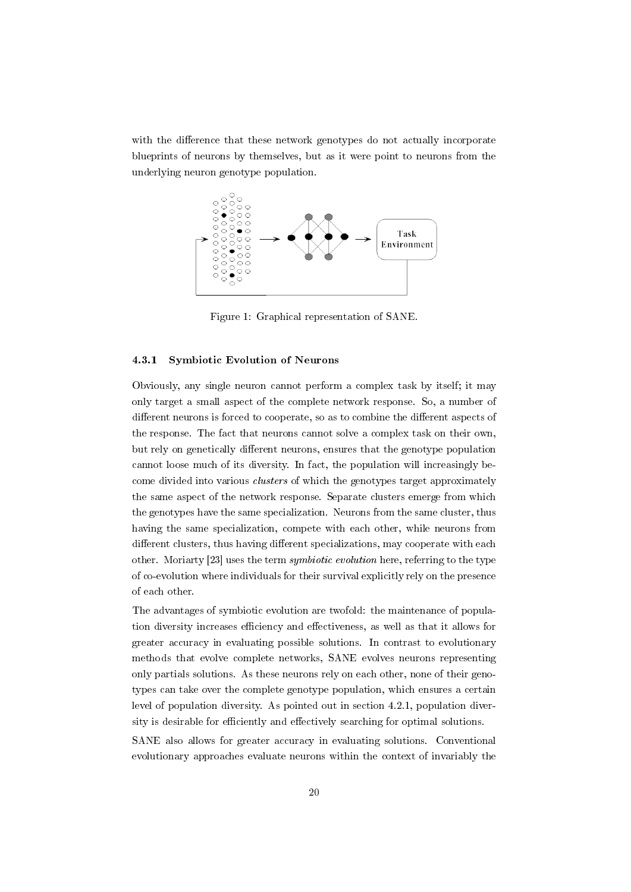with the difference that these network genotypes do not actually incorporate blueprints of neurons by themselves, but as it were point to neurons from the underlying neuron genotype population.



Figure 1: Graphical representation of SANE.

#### 4.3.1 Symbiotic Evolution of Neurons

Obviously, any single neuron cannot perform a complex task by itself; it may only target a small aspect of the complete network response. So, a number of different neurons is forced to cooperate, so as to combine the different aspects of the response. The fact that neurons cannot solve a complex task on their own, but rely on genetically different neurons, ensures that the genotype population cannot loose much of its diversity. In fact, the population will increasingly become divided into various *clusters* of which the genotypes target approximately the same aspect of the network response. Separate clusters emerge from which the genotypes have the same specialization. Neurons from the same cluster, thus having the same specialization, compete with each other, while neurons from different clusters, thus having different specializations, may cooperate with each other. Moriarty [23] uses the term symbiotic evolution here, referring to the type of co-evolution where individuals for their survival explicitly rely on the presence of each other.

The advantages of symbiotic evolution are twofold: the maintenance of population diversity increases efficiency and effectiveness, as well as that it allows for greater accuracy in evaluating possible solutions. In contrast to evolutionary methods that evolve complete networks, SANE evolves neurons representing only partials solutions. As these neurons rely on each other, none of their genotypes can take over the complete genotype population, which ensures a certain level of population diversity. As pointed out in section 4.2.1, population diversity is desirable for efficiently and effectively searching for optimal solutions.

SANE also allows for greater accuracy in evaluating solutions. Conventional evolutionary approaches evaluate neurons within the context of invariably the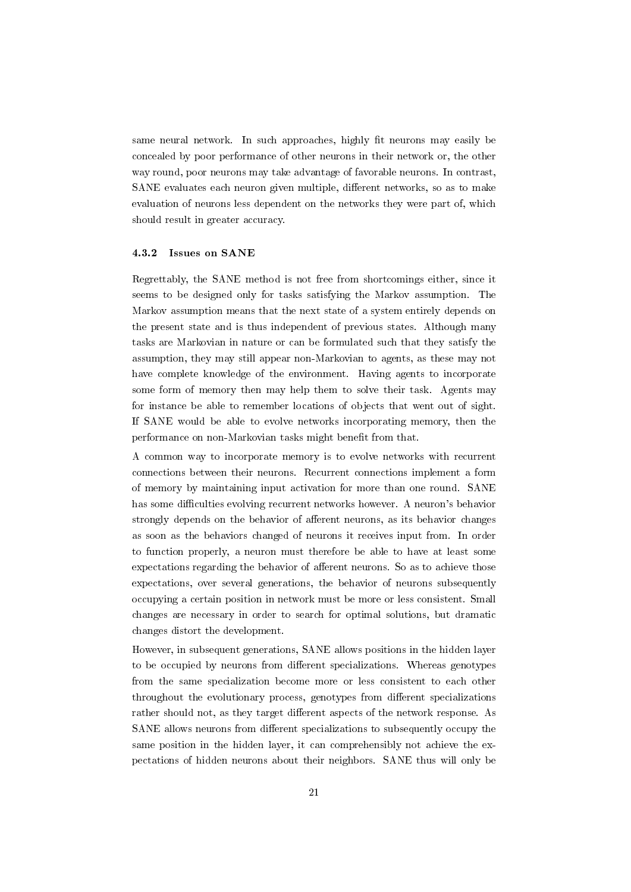same neural network. In such approaches, highly fit neurons may easily be concealed by poor performance of other neurons in their network or, the other way round, poor neurons may take advantage of favorable neurons. In contrast, SANE evaluates each neuron given multiple, different networks, so as to make evaluation of neurons less dependent on the networks they were part of, which should result in greater accuracy.

#### 4.3.2 Issues on SANE

Regrettably, the SANE method is not free from shortcomings either, since it seems to be designed only for tasks satisfying the Markov assumption. The Markov assumption means that the next state of a system entirely depends on the present state and is thus independent of previous states. Although many tasks are Markovian in nature or can be formulated such that they satisfy the assumption, they may still appear non-Markovian to agents, as these may not have complete knowledge of the environment. Having agents to incorporate some form of memory then may help them to solve their task. Agents may for instance be able to remember locations of objects that went out of sight. If SANE would be able to evolve networks incorporating memory, then the performance on non-Markovian tasks might benefit from that.

A common way to incorporate memory is to evolve networks with recurrent connections between their neurons. Recurrent connections implement a form of memory by maintaining input activation for more than one round. SANE has some difficulties evolving recurrent networks however. A neuron's behavior strongly depends on the behavior of afferent neurons, as its behavior changes as soon as the behaviors changed of neurons it receives input from. In order to function properly, a neuron must therefore be able to have at least some expectations regarding the behavior of afferent neurons. So as to achieve those expectations, over several generations, the behavior of neurons subsequently occupying a certain position in network must be more or less consistent. Small changes are necessary in order to search for optimal solutions, but dramatic changes distort the development.

However, in subsequent generations, SANE allows positions in the hidden layer to be occupied by neurons from different specializations. Whereas genotypes from the same specialization become more or less consistent to each other throughout the evolutionary process, genotypes from different specializations rather should not, as they target different aspects of the network response. As SANE allows neurons from different specializations to subsequently occupy the same position in the hidden layer, it can comprehensibly not achieve the expectations of hidden neurons about their neighbors. SANE thus will only be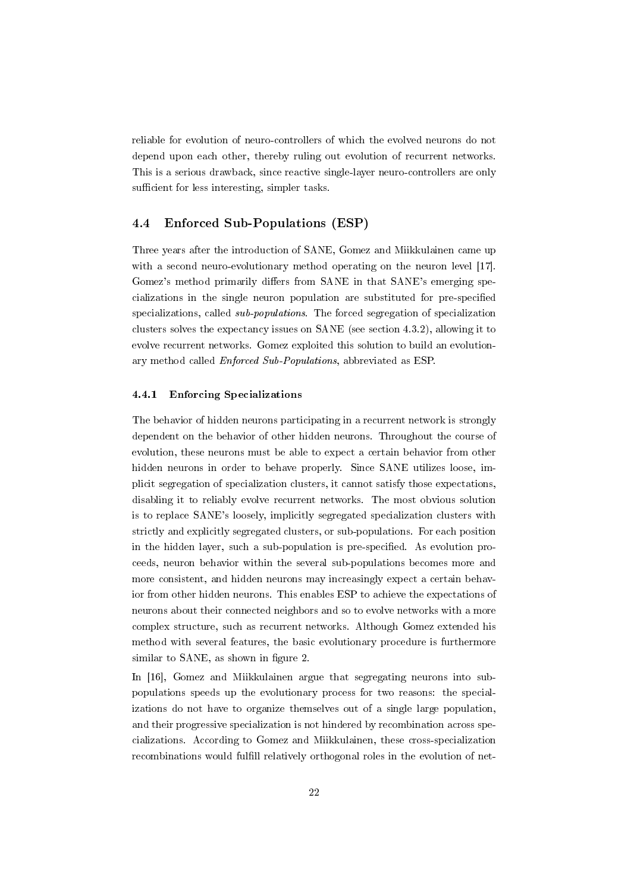reliable for evolution of neuro-controllers of which the evolved neurons do not depend upon each other, thereby ruling out evolution of recurrent networks. This is a serious drawback, since reactive single-layer neuro-controllers are only sufficient for less interesting, simpler tasks.

## 4.4 Enforced Sub-Populations (ESP)

Three years after the introduction of SANE, Gomez and Miikkulainen came up with a second neuro-evolutionary method operating on the neuron level [17]. Gomez's method primarily differs from SANE in that SANE's emerging specializations in the single neuron population are substituted for pre-specified specializations, called sub-populations. The forced segregation of specialization clusters solves the expectancy issues on SANE (see section 4.3.2), allowing it to evolve recurrent networks. Gomez exploited this solution to build an evolutionary method called Enforced Sub-Populations, abbreviated as ESP.

### 4.4.1 Enforcing Specializations

The behavior of hidden neurons participating in a recurrent network is strongly dependent on the behavior of other hidden neurons. Throughout the course of evolution, these neurons must be able to expect a certain behavior from other hidden neurons in order to behave properly. Since SANE utilizes loose, implicit segregation of specialization clusters, it cannot satisfy those expectations, disabling it to reliably evolve recurrent networks. The most obvious solution is to replace SANE's loosely, implicitly segregated specialization clusters with strictly and explicitly segregated clusters, or sub-populations. For each position in the hidden layer, such a sub-population is pre-specified. As evolution proceeds, neuron behavior within the several sub-populations becomes more and more consistent, and hidden neurons may increasingly expect a certain behavior from other hidden neurons. This enables ESP to achieve the expectations of neurons about their connected neighbors and so to evolve networks with a more complex structure, such as recurrent networks. Although Gomez extended his method with several features, the basic evolutionary procedure is furthermore similar to SANE, as shown in figure 2.

In [16], Gomez and Miikkulainen argue that segregating neurons into subpopulations speeds up the evolutionary process for two reasons: the specializations do not have to organize themselves out of a single large population, and their progressive specialization is not hindered by recombination across specializations. According to Gomez and Miikkulainen, these cross-specialization recombinations would fulfill relatively orthogonal roles in the evolution of net-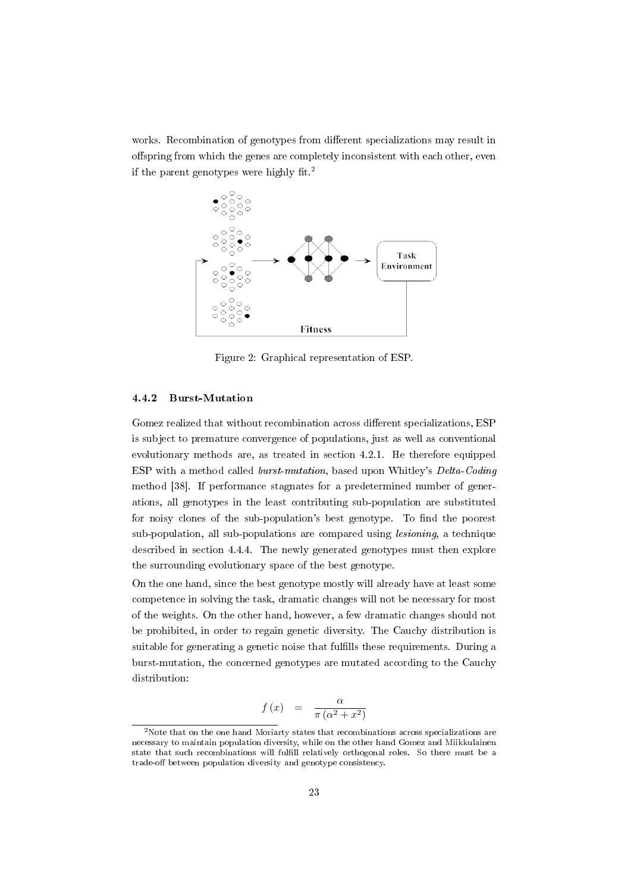works. Recombination of genotypes from different specializations may result in offspring from which the genes are completely inconsistent with each other, even if the parent genotypes were highly fit.<sup>2</sup>



Figure 2: Graphical representation of ESP.

## 4.4.2 Burst-Mutation

Gomez realized that without recombination across different specializations, ESP is subject to premature convergence of populations, just as well as conventional evolutionary methods are, as treated in section 4.2.1. He therefore equipped ESP with a method called burst-mutation, based upon Whitley's Delta-Coding method [38]. If performance stagnates for a predetermined number of generations, all genotypes in the least contributing sub-population are substituted for noisy clones of the sub-population's best genotype. To find the poorest sub-population, all sub-populations are compared using lesioning, a technique described in section 4.4.4. The newly generated genotypes must then explore the surrounding evolutionary space of the best genotype.

On the one hand, since the best genotype mostly will already have at least some competence in solving the task, dramatic changes will not be necessary for most of the weights. On the other hand, however, a few dramatic changes should not be prohibited, in order to regain genetic diversity. The Cauchy distribution is suitable for generating a genetic noise that fulfills these requirements. During a burst-mutation, the concerned genotypes are mutated according to the Cauchy distribution:

$$
f(x) = \frac{\alpha}{\pi(\alpha^2 + x^2)}
$$

<sup>2</sup>Note that on the one hand Moriarty states that recombinations across specializations are necessary to maintain population diversity, while on the other hand Gomez and Miikkulainen state that such recombinations will fulfill relatively orthogonal roles. So there must be a trade-off between population diversity and genotype consistency.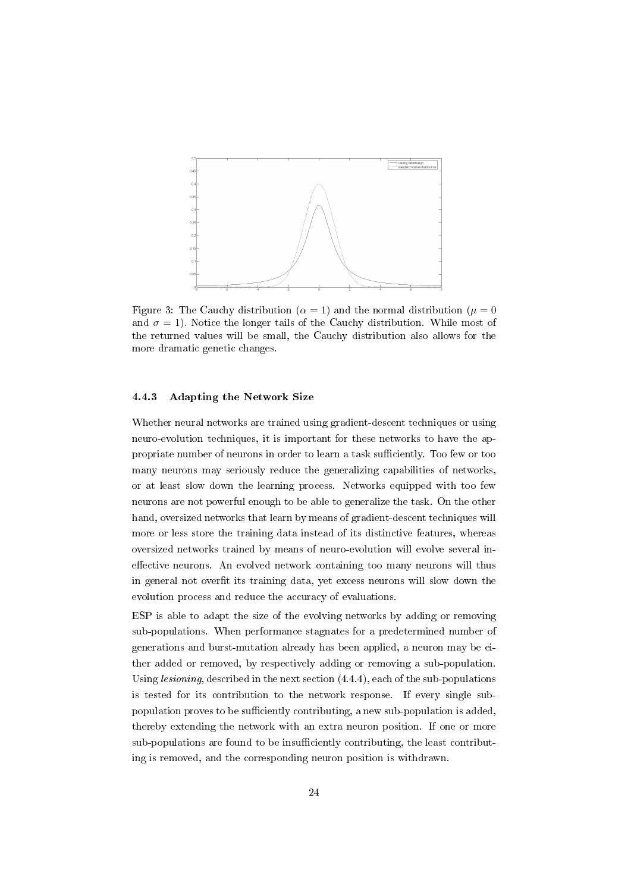

Figure 3: The Cauchy distribution ( $\alpha = 1$ ) and the normal distribution ( $\mu = 0$ ) and  $\sigma = 1$ ). Notice the longer tails of the Cauchy distribution. While most of the returned values will be small, the Cauchy distribution also allows for the more dramatic genetic changes.

### 4.4.3 Adapting the Network Size

Whether neural networks are trained using gradient-descent techniques or using neuro-evolution techniques, it is important for these networks to have the appropriate number of neurons in order to learn a task sufficiently. Too few or too many neurons may seriously reduce the generalizing capabilities of networks, or at least slow down the learning process. Networks equipped with too few neurons are not powerful enough to be able to generalize the task. On the other hand, oversized networks that learn by means of gradient-descent techniques will more or less store the training data instead of its distinctive features, whereas oversized networks trained by means of neuro-evolution will evolve several ineffective neurons. An evolved network containing too many neurons will thus in general not overfit its training data, yet excess neurons will slow down the evolution process and reduce the accuracy of evaluations.

ESP is able to adapt the size of the evolving networks by adding or removing sub-populations. When performance stagnates for a predetermined number of generations and burst-mutation already has been applied, a neuron may be either added or removed, by respectively adding or removing a sub-population. Using lesioning, described in the next section (4.4.4), each of the sub-populations is tested for its contribution to the network response. If every single subpopulation proves to be sufficiently contributing, a new sub-population is added, thereby extending the network with an extra neuron position. If one or more sub-populations are found to be insufficiently contributing, the least contributing is removed, and the corresponding neuron position is withdrawn.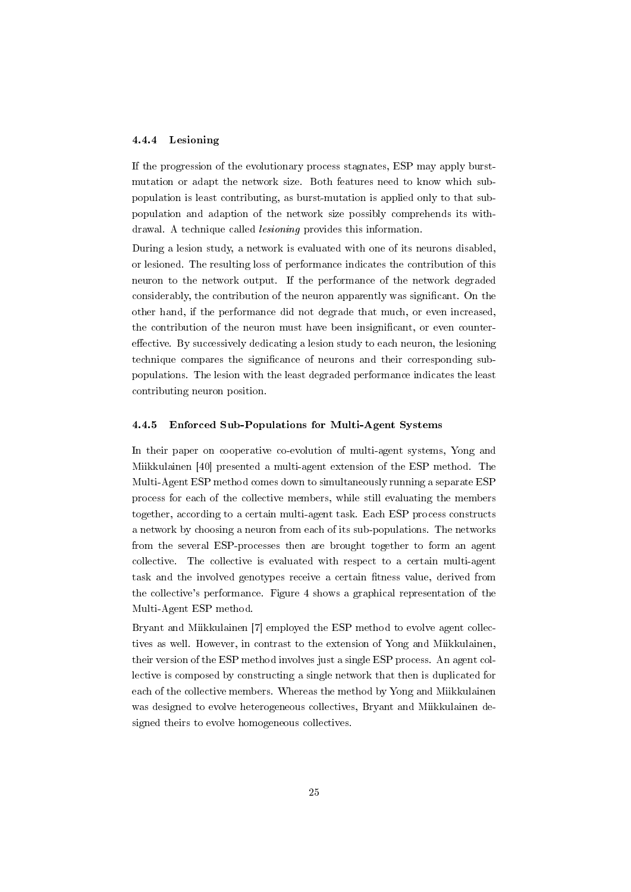#### 4.4.4 Lesioning

If the progression of the evolutionary process stagnates, ESP may apply burstmutation or adapt the network size. Both features need to know which subpopulation is least contributing, as burst-mutation is applied only to that subpopulation and adaption of the network size possibly comprehends its withdrawal. A technique called *lesioning* provides this information.

During a lesion study, a network is evaluated with one of its neurons disabled, or lesioned. The resulting loss of performance indicates the contribution of this neuron to the network output. If the performance of the network degraded considerably, the contribution of the neuron apparently was significant. On the other hand, if the performance did not degrade that much, or even increased, the contribution of the neuron must have been insignificant, or even countereffective. By successively dedicating a lesion study to each neuron, the lesioning technique compares the signicance of neurons and their corresponding subpopulations. The lesion with the least degraded performance indicates the least contributing neuron position.

#### 4.4.5 Enforced Sub-Populations for Multi-Agent Systems

In their paper on cooperative co-evolution of multi-agent systems, Yong and Miikkulainen [40] presented a multi-agent extension of the ESP method. The Multi-Agent ESP method comes down to simultaneously running a separate ESP process for each of the collective members, while still evaluating the members together, according to a certain multi-agent task. Each ESP process constructs a network by choosing a neuron from each of its sub-populations. The networks from the several ESP-processes then are brought together to form an agent collective. The collective is evaluated with respect to a certain multi-agent task and the involved genotypes receive a certain fitness value, derived from the collective's performance. Figure 4 shows a graphical representation of the Multi-Agent ESP method.

Bryant and Miikkulainen [7] employed the ESP method to evolve agent collectives as well. However, in contrast to the extension of Yong and Miikkulainen, their version of the ESP method involves just a single ESP process. An agent collective is composed by constructing a single network that then is duplicated for each of the collective members. Whereas the method by Yong and Miikkulainen was designed to evolve heterogeneous collectives, Bryant and Miikkulainen designed theirs to evolve homogeneous collectives.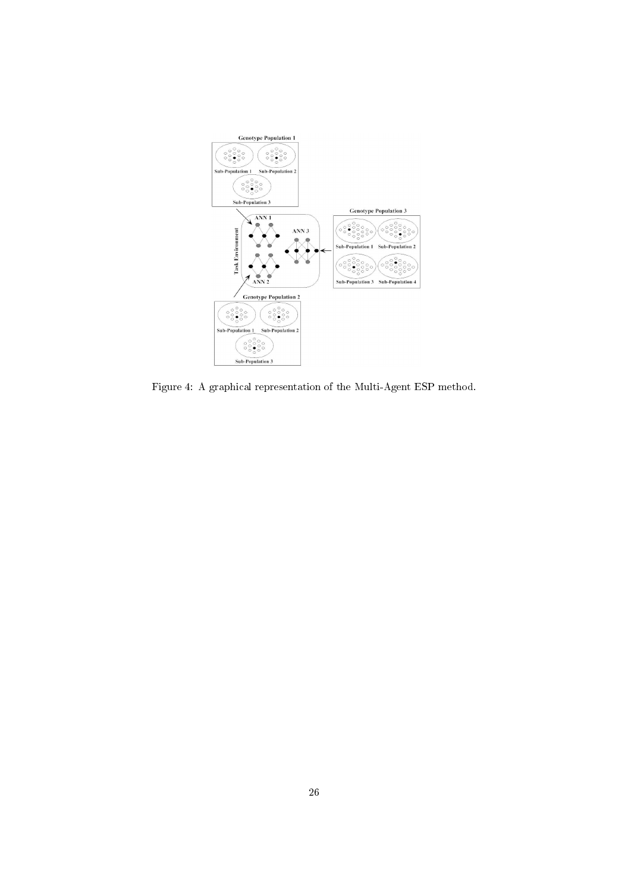

Figure 4: A graphical representation of the Multi-Agent ESP method.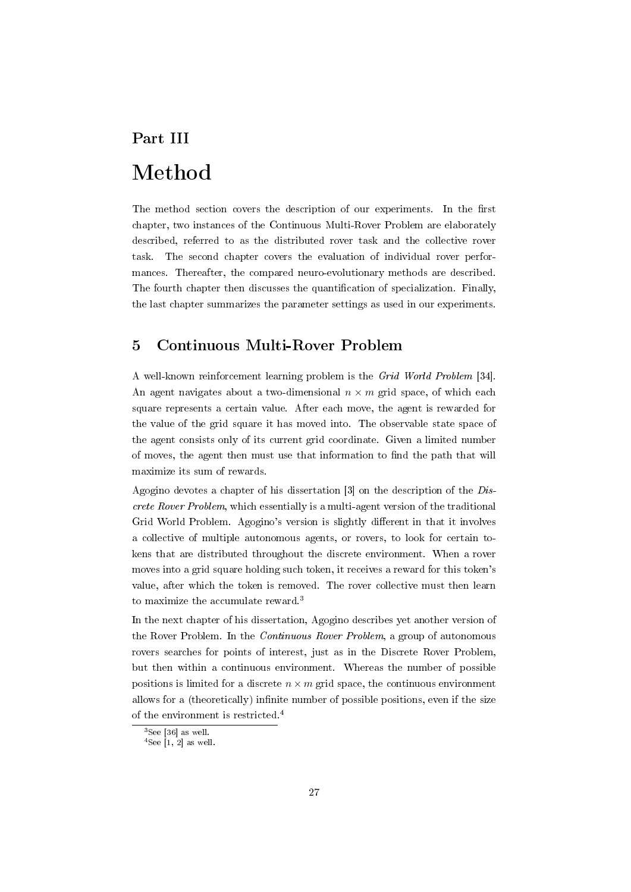# Part III Method

The method section covers the description of our experiments. In the first chapter, two instances of the Continuous Multi-Rover Problem are elaborately described, referred to as the distributed rover task and the collective rover task. The second chapter covers the evaluation of individual rover performances. Thereafter, the compared neuro-evolutionary methods are described. The fourth chapter then discusses the quantification of specialization. Finally, the last chapter summarizes the parameter settings as used in our experiments.

## 5 Continuous Multi-Rover Problem

A well-known reinforcement learning problem is the Grid World Problem [34]. An agent navigates about a two-dimensional  $n \times m$  grid space, of which each square represents a certain value. After each move, the agent is rewarded for the value of the grid square it has moved into. The observable state space of the agent consists only of its current grid coordinate. Given a limited number of moves, the agent then must use that information to find the path that will maximize its sum of rewards.

Agogino devotes a chapter of his dissertation [3] on the description of the Discrete Rover Problem, which essentially is a multi-agent version of the traditional Grid World Problem. Agogino's version is slightly different in that it involves a collective of multiple autonomous agents, or rovers, to look for certain tokens that are distributed throughout the discrete environment. When a rover moves into a grid square holding such token, it receives a reward for this token's value, after which the token is removed. The rover collective must then learn to maximize the accumulate reward.<sup>3</sup>

In the next chapter of his dissertation, Agogino describes yet another version of the Rover Problem. In the Continuous Rover Problem, a group of autonomous rovers searches for points of interest, just as in the Discrete Rover Problem, but then within a continuous environment. Whereas the number of possible positions is limited for a discrete  $n \times m$  grid space, the continuous environment allows for a (theoretically) infinite number of possible positions, even if the size of the environment is restricted.<sup>4</sup>

 $3$ See [36] as well.

 $4$ See [1, 2] as well.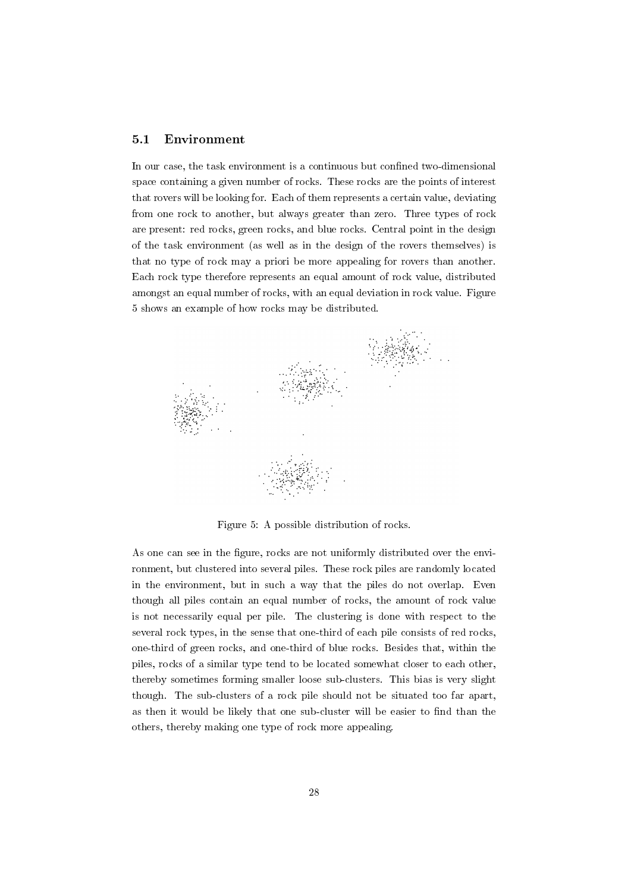### 5.1 Environment

In our case, the task environment is a continuous but confined two-dimensional space containing a given number of rocks. These rocks are the points of interest that rovers will be looking for. Each of them represents a certain value, deviating from one rock to another, but always greater than zero. Three types of rock are present: red rocks, green rocks, and blue rocks. Central point in the design of the task environment (as well as in the design of the rovers themselves) is that no type of rock may a priori be more appealing for rovers than another. Each rock type therefore represents an equal amount of rock value, distributed amongst an equal number of rocks, with an equal deviation in rock value. Figure 5 shows an example of how rocks may be distributed.



Figure 5: A possible distribution of rocks.

As one can see in the figure, rocks are not uniformly distributed over the environment, but clustered into several piles. These rock piles are randomly located in the environment, but in such a way that the piles do not overlap. Even though all piles contain an equal number of rocks, the amount of rock value is not necessarily equal per pile. The clustering is done with respect to the several rock types, in the sense that one-third of each pile consists of red rocks, one-third of green rocks, and one-third of blue rocks. Besides that, within the piles, rocks of a similar type tend to be located somewhat closer to each other, thereby sometimes forming smaller loose sub-clusters. This bias is very slight though. The sub-clusters of a rock pile should not be situated too far apart, as then it would be likely that one sub-cluster will be easier to find than the others, thereby making one type of rock more appealing.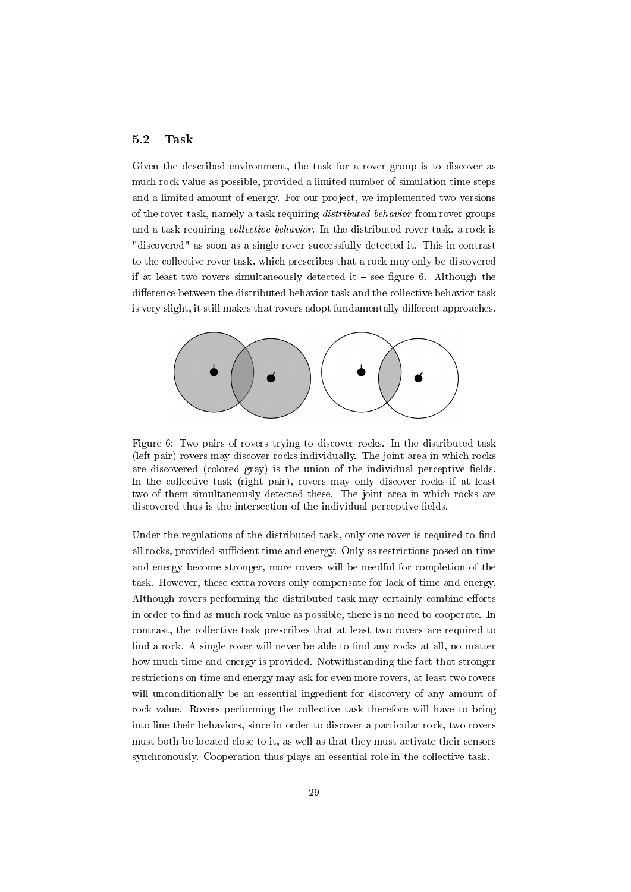### 5.2 Task

Given the described environment, the task for a rover group is to discover as much rock value as possible, provided a limited number of simulation time steps and a limited amount of energy. For our project, we implemented two versions of the rover task, namely a task requiring distributed behavior from rover groups and a task requiring *collective behavior*. In the distributed rover task, a rock is "discovered" as soon as a single rover successfully detected it. This in contrast to the collective rover task, which prescribes that a rock may only be discovered if at least two rovers simultaneously detected it  $-$  see figure 6. Although the difference between the distributed behavior task and the collective behavior task is very slight, it still makes that rovers adopt fundamentally different approaches.



Figure 6: Two pairs of rovers trying to discover rocks. In the distributed task (left pair) rovers may discover rocks individually. The joint area in which rocks are discovered (colored gray) is the union of the individual perceptive fields. In the collective task (right pair), rovers may only discover rocks if at least two of them simultaneously detected these. The joint area in which rocks are discovered thus is the intersection of the individual perceptive fields.

Under the regulations of the distributed task, only one rover is required to find all rocks, provided sufficient time and energy. Only as restrictions posed on time and energy become stronger, more rovers will be needful for completion of the task. However, these extra rovers only compensate for lack of time and energy. Although rovers performing the distributed task may certainly combine efforts in order to find as much rock value as possible, there is no need to cooperate. In contrast, the collective task prescribes that at least two rovers are required to find a rock. A single rover will never be able to find any rocks at all, no matter how much time and energy is provided. Notwithstanding the fact that stronger restrictions on time and energy may ask for even more rovers, at least two rovers will unconditionally be an essential ingredient for discovery of any amount of rock value. Rovers performing the collective task therefore will have to bring into line their behaviors, since in order to discover a particular rock, two rovers must both be located close to it, as well as that they must activate their sensors synchronously. Cooperation thus plays an essential role in the collective task.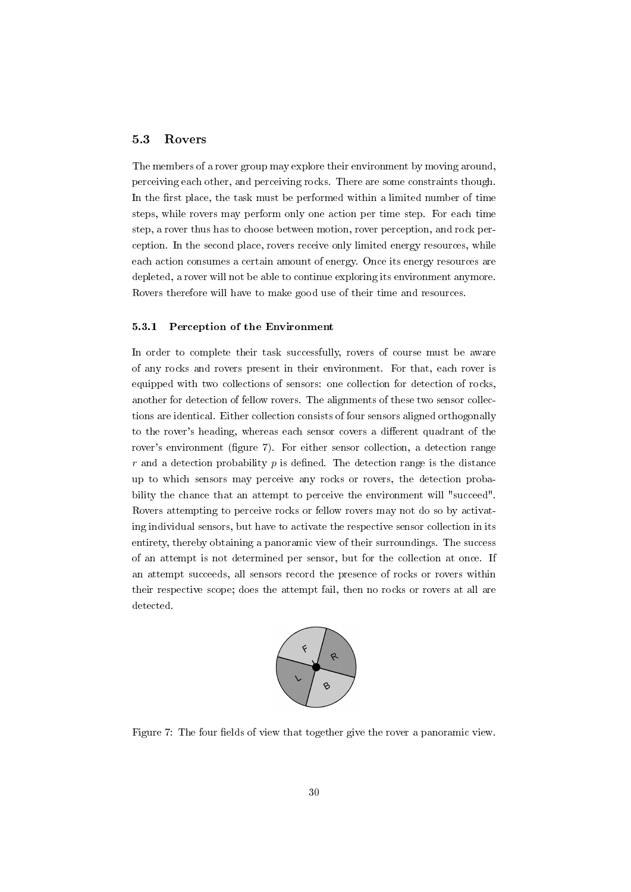#### 5.3 Rovers

The members of a rover group may explore their environment by moving around, perceiving each other, and perceiving rocks. There are some constraints though. In the first place, the task must be performed within a limited number of time steps, while rovers may perform only one action per time step. For each time step, a rover thus has to choose between motion, rover perception, and rock perception. In the second place, rovers receive only limited energy resources, while each action consumes a certain amount of energy. Once its energy resources are depleted, a rover will not be able to continue exploring its environment anymore. Rovers therefore will have to make good use of their time and resources.

#### 5.3.1 Perception of the Environment

In order to complete their task successfully, rovers of course must be aware of any rocks and rovers present in their environment. For that, each rover is equipped with two collections of sensors: one collection for detection of rocks, another for detection of fellow rovers. The alignments of these two sensor collections are identical. Either collection consists of four sensors aligned orthogonally to the rover's heading, whereas each sensor covers a different quadrant of the rover's environment (figure 7). For either sensor collection, a detection range r and a detection probability  $p$  is defined. The detection range is the distance up to which sensors may perceive any rocks or rovers, the detection probability the chance that an attempt to perceive the environment will "succeed". Rovers attempting to perceive rocks or fellow rovers may not do so by activating individual sensors, but have to activate the respective sensor collection in its entirety, thereby obtaining a panoramic view of their surroundings. The success of an attempt is not determined per sensor, but for the collection at once. If an attempt succeeds, all sensors record the presence of rocks or rovers within their respective scope; does the attempt fail, then no rocks or rovers at all are detected.



Figure 7: The four fields of view that together give the rover a panoramic view.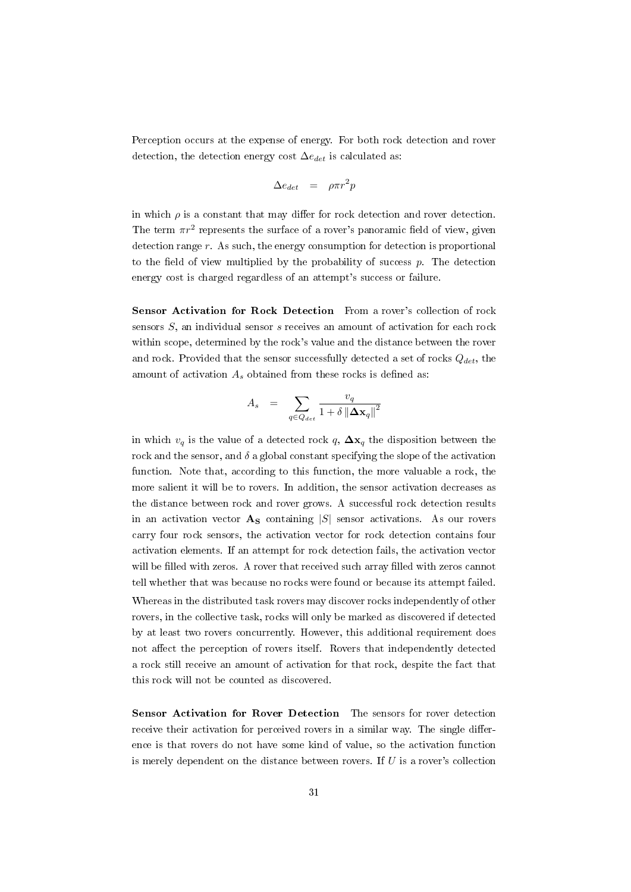Perception occurs at the expense of energy. For both rock detection and rover detection, the detection energy cost  $\Delta e_{det}$  is calculated as:

$$
\Delta e_{det} = \rho \pi r^2 p
$$

in which  $\rho$  is a constant that may differ for rock detection and rover detection. The term  $\pi r^2$  represents the surface of a rover's panoramic field of view, given detection range  $r$ . As such, the energy consumption for detection is proportional to the field of view multiplied by the probability of success  $p$ . The detection energy cost is charged regardless of an attempt's success or failure.

Sensor Activation for Rock Detection From a rover's collection of rock sensors S, an individual sensor s receives an amount of activation for each rock within scope, determined by the rock's value and the distance between the rover and rock. Provided that the sensor successfully detected a set of rocks  $Q_{det}$ , the amount of activation  $A_s$  obtained from these rocks is defined as:

$$
A_s = \sum_{q \in Q_{det}} \frac{v_q}{1 + \delta \left\| \Delta \mathbf{x}_q \right\|^2}
$$

in which  $v_q$  is the value of a detected rock q,  $\Delta x_q$  the disposition between the rock and the sensor, and  $\delta$  a global constant specifying the slope of the activation function. Note that, according to this function, the more valuable a rock, the more salient it will be to rovers. In addition, the sensor activation decreases as the distance between rock and rover grows. A successful rock detection results in an activation vector  $\mathbf{A}_{\mathbf{S}}$  containing  $|S|$  sensor activations. As our rovers carry four rock sensors, the activation vector for rock detection contains four activation elements. If an attempt for rock detection fails, the activation vector will be filled with zeros. A rover that received such array filled with zeros cannot tell whether that was because no rocks were found or because its attempt failed. Whereas in the distributed task rovers may discover rocks independently of other rovers, in the collective task, rocks will only be marked as discovered if detected by at least two rovers concurrently. However, this additional requirement does not affect the perception of rovers itself. Rovers that independently detected a rock still receive an amount of activation for that rock, despite the fact that this rock will not be counted as discovered.

Sensor Activation for Rover Detection The sensors for rover detection receive their activation for perceived rovers in a similar way. The single difference is that rovers do not have some kind of value, so the activation function is merely dependent on the distance between rovers. If  $U$  is a rover's collection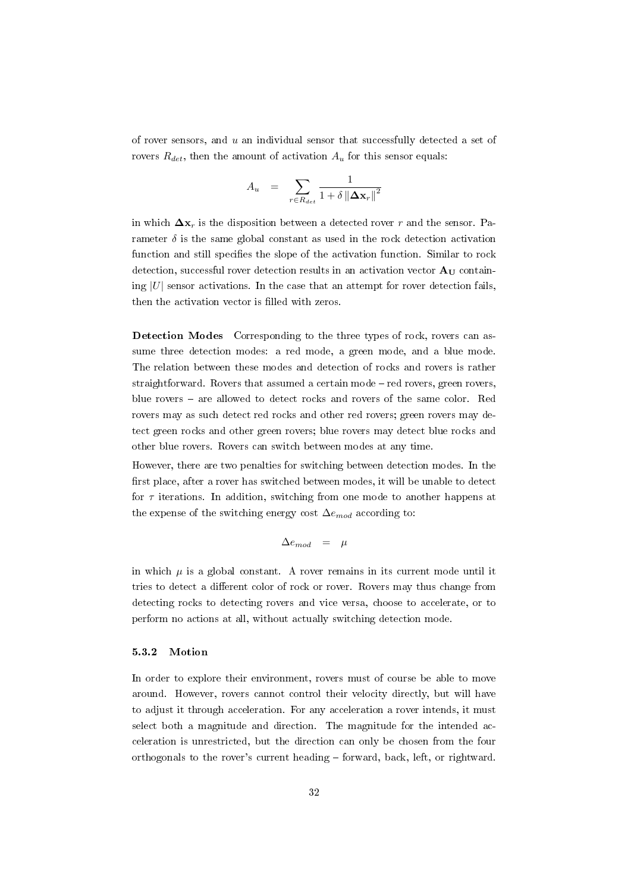of rover sensors, and  $u$  an individual sensor that successfully detected a set of rovers  $R_{det}$ , then the amount of activation  $A_u$  for this sensor equals:

$$
A_u \hspace{2mm} = \hspace{2mm} \sum_{r \in R_{det}} \frac{1}{1+\delta\left\| \boldsymbol{\Delta} \mathbf{x}_{r} \right\|^{2}}
$$

in which  $\Delta x_r$  is the disposition between a detected rover r and the sensor. Parameter  $\delta$  is the same global constant as used in the rock detection activation function and still specifies the slope of the activation function. Similar to rock detection, successful rover detection results in an activation vector  $A_U$  containing  $|U|$  sensor activations. In the case that an attempt for rover detection fails, then the activation vector is filled with zeros.

Detection Modes Corresponding to the three types of rock, rovers can assume three detection modes: a red mode, a green mode, and a blue mode. The relation between these modes and detection of rocks and rovers is rather straightforward. Rovers that assumed a certain  $\text{mode}-\text{red}$  rovers, green rovers, blue rovers - are allowed to detect rocks and rovers of the same color. Red rovers may as such detect red rocks and other red rovers; green rovers may detect green rocks and other green rovers; blue rovers may detect blue rocks and other blue rovers. Rovers can switch between modes at any time.

However, there are two penalties for switching between detection modes. In the first place, after a rover has switched between modes, it will be unable to detect for  $\tau$  iterations. In addition, switching from one mode to another happens at the expense of the switching energy cost  $\Delta e_{mod}$  according to:

$$
\Delta e_{mod} \;\; = \;\; \mu
$$

in which  $\mu$  is a global constant. A rover remains in its current mode until it tries to detect a different color of rock or rover. Rovers may thus change from detecting rocks to detecting rovers and vice versa, choose to accelerate, or to perform no actions at all, without actually switching detection mode.

#### 5.3.2 Motion

In order to explore their environment, rovers must of course be able to move around. However, rovers cannot control their velocity directly, but will have to adjust it through acceleration. For any acceleration a rover intends, it must select both a magnitude and direction. The magnitude for the intended acceleration is unrestricted, but the direction can only be chosen from the four orthogonals to the rover's current heading  $-$  forward, back, left, or rightward.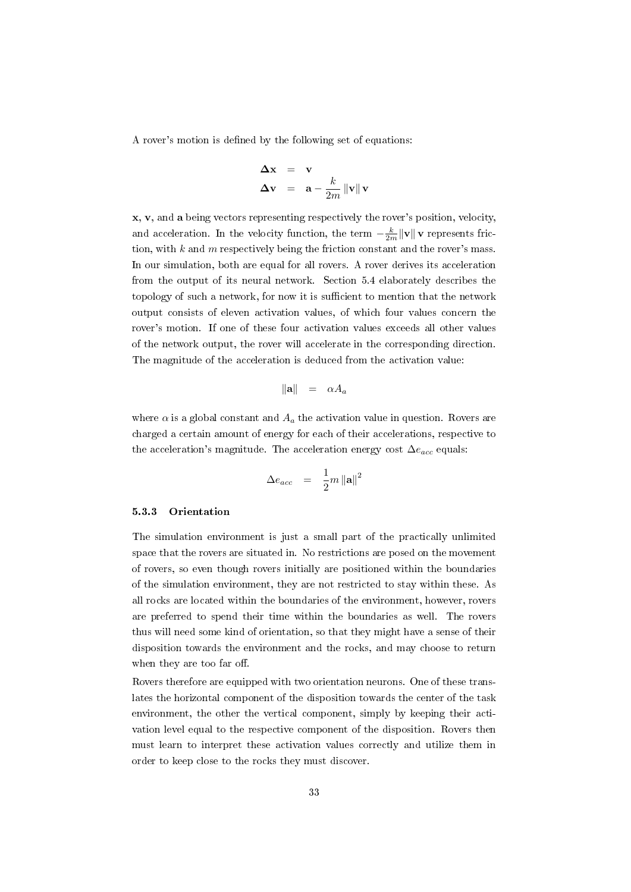A rover's motion is defined by the following set of equations:

$$
\begin{array}{rcl}\n\Delta \mathbf{x} & = & \mathbf{v} \\
\Delta \mathbf{v} & = & \mathbf{a} - \frac{k}{2m} \|\mathbf{v}\| \mathbf{v}\n\end{array}
$$

x, v, and a being vectors representing respectively the rover's position, velocity, and acceleration. In the velocity function, the term  $-\frac{k}{2m} \|\mathbf{v}\|$  v represents friction, with  $k$  and  $m$  respectively being the friction constant and the rover's mass. In our simulation, both are equal for all rovers. A rover derives its acceleration from the output of its neural network. Section 5.4 elaborately describes the topology of such a network, for now it is sufficient to mention that the network output consists of eleven activation values, of which four values concern the rover's motion. If one of these four activation values exceeds all other values of the network output, the rover will accelerate in the corresponding direction. The magnitude of the acceleration is deduced from the activation value:

$$
\|\mathbf{a}\| = \alpha A_a
$$

where  $\alpha$  is a global constant and  $A_a$  the activation value in question. Rovers are charged a certain amount of energy for each of their accelerations, respective to the acceleration's magnitude. The acceleration energy cost  $\Delta e_{acc}$  equals:

$$
\Delta e_{acc} = \frac{1}{2}m \left\| \mathbf{a} \right\|^2
$$

#### 5.3.3 Orientation

The simulation environment is just a small part of the practically unlimited space that the rovers are situated in. No restrictions are posed on the movement of rovers, so even though rovers initially are positioned within the boundaries of the simulation environment, they are not restricted to stay within these. As all rocks are located within the boundaries of the environment, however, rovers are preferred to spend their time within the boundaries as well. The rovers thus will need some kind of orientation, so that they might have a sense of their disposition towards the environment and the rocks, and may choose to return when they are too far off.

Rovers therefore are equipped with two orientation neurons. One of these translates the horizontal component of the disposition towards the center of the task environment, the other the vertical component, simply by keeping their activation level equal to the respective component of the disposition. Rovers then must learn to interpret these activation values correctly and utilize them in order to keep close to the rocks they must discover.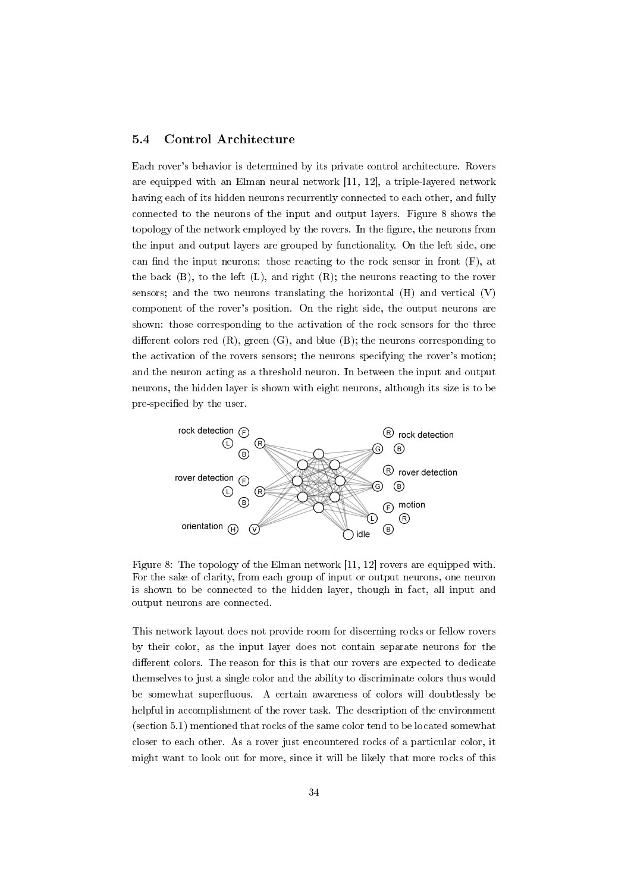### 5.4 Control Architecture

Each rover's behavior is determined by its private control architecture. Rovers are equipped with an Elman neural network [11, 12], a triple-layered network having each of its hidden neurons recurrently connected to each other, and fully connected to the neurons of the input and output layers. Figure 8 shows the topology of the network employed by the rovers. In the figure, the neurons from the input and output layers are grouped by functionality. On the left side, one can find the input neurons: those reacting to the rock sensor in front  $(F)$ , at the back (B), to the left (L), and right (R); the neurons reacting to the rover sensors; and the two neurons translating the horizontal (H) and vertical (V) component of the rover's position. On the right side, the output neurons are shown: those corresponding to the activation of the rock sensors for the three different colors red  $(R)$ , green  $(G)$ , and blue  $(B)$ ; the neurons corresponding to the activation of the rovers sensors; the neurons specifying the rover's motion; and the neuron acting as a threshold neuron. In between the input and output neurons, the hidden layer is shown with eight neurons, although its size is to be pre-specified by the user.



Figure 8: The topology of the Elman network [11, 12] rovers are equipped with. For the sake of clarity, from each group of input or output neurons, one neuron is shown to be connected to the hidden layer, though in fact, all input and output neurons are connected.

This network layout does not provide room for discerning rocks or fellow rovers by their color, as the input layer does not contain separate neurons for the different colors. The reason for this is that our rovers are expected to dedicate themselves to just a single color and the ability to discriminate colors thus would be somewhat superfluous. A certain awareness of colors will doubtlessly be helpful in accomplishment of the rover task. The description of the environment (section 5.1) mentioned that rocks of the same color tend to be located somewhat closer to each other. As a rover just encountered rocks of a particular color, it might want to look out for more, since it will be likely that more rocks of this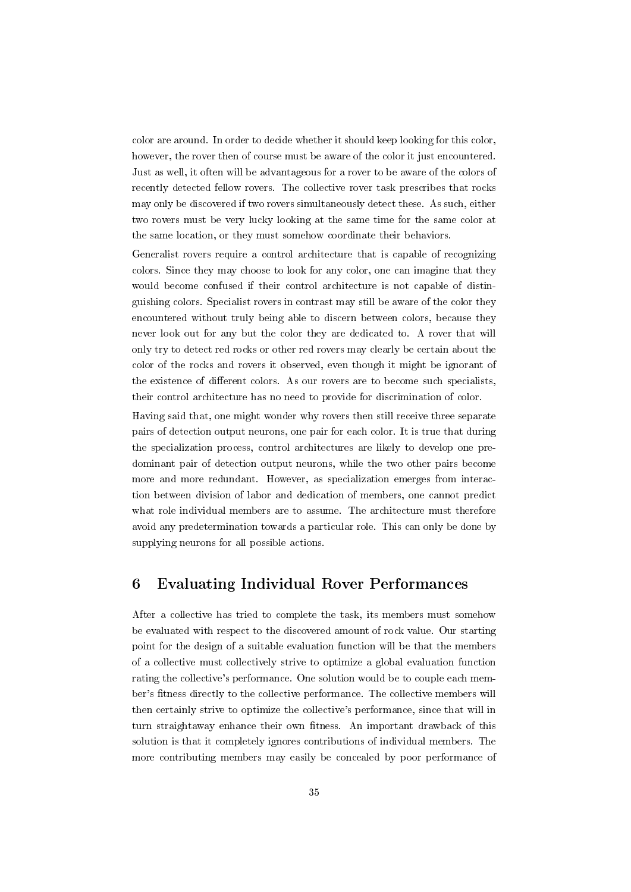color are around. In order to decide whether it should keep looking for this color, however, the rover then of course must be aware of the color it just encountered. Just as well, it often will be advantageous for a rover to be aware of the colors of recently detected fellow rovers. The collective rover task prescribes that rocks may only be discovered if two rovers simultaneously detect these. As such, either two rovers must be very lucky looking at the same time for the same color at the same location, or they must somehow coordinate their behaviors.

Generalist rovers require a control architecture that is capable of recognizing colors. Since they may choose to look for any color, one can imagine that they would become confused if their control architecture is not capable of distinguishing colors. Specialist rovers in contrast may still be aware of the color they encountered without truly being able to discern between colors, because they never look out for any but the color they are dedicated to. A rover that will only try to detect red rocks or other red rovers may clearly be certain about the color of the rocks and rovers it observed, even though it might be ignorant of the existence of different colors. As our rovers are to become such specialists, their control architecture has no need to provide for discrimination of color.

Having said that, one might wonder why rovers then still receive three separate pairs of detection output neurons, one pair for each color. It is true that during the specialization process, control architectures are likely to develop one predominant pair of detection output neurons, while the two other pairs become more and more redundant. However, as specialization emerges from interaction between division of labor and dedication of members, one cannot predict what role individual members are to assume. The architecture must therefore avoid any predetermination towards a particular role. This can only be done by supplying neurons for all possible actions.

## 6 Evaluating Individual Rover Performances

After a collective has tried to complete the task, its members must somehow be evaluated with respect to the discovered amount of rock value. Our starting point for the design of a suitable evaluation function will be that the members of a collective must collectively strive to optimize a global evaluation function rating the collective's performance. One solution would be to couple each member's fitness directly to the collective performance. The collective members will then certainly strive to optimize the collective's performance, since that will in turn straightaway enhance their own fitness. An important drawback of this solution is that it completely ignores contributions of individual members. The more contributing members may easily be concealed by poor performance of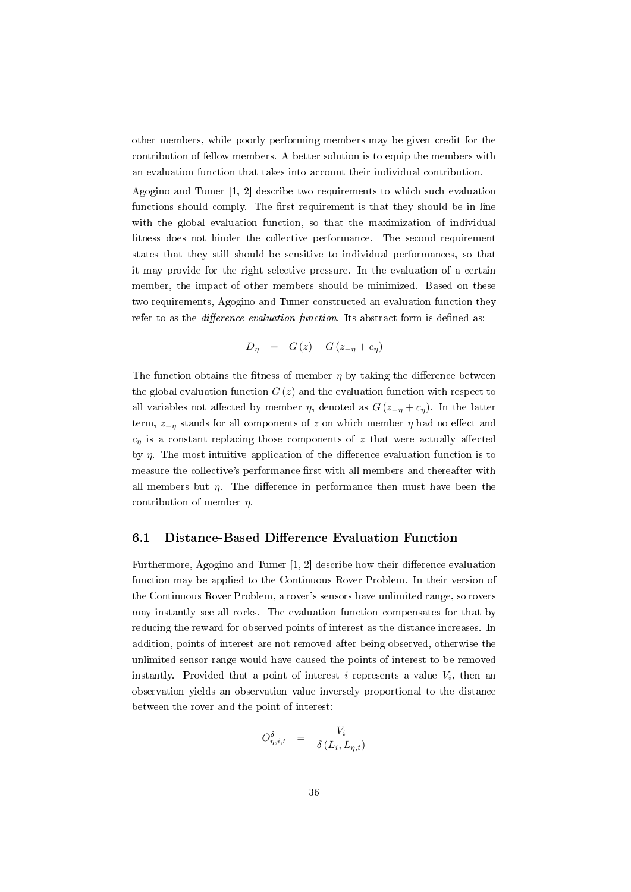other members, while poorly performing members may be given credit for the contribution of fellow members. A better solution is to equip the members with an evaluation function that takes into account their individual contribution.

Agogino and Tumer [1, 2] describe two requirements to which such evaluation functions should comply. The first requirement is that they should be in line with the global evaluation function, so that the maximization of individual fitness does not hinder the collective performance. The second requirement states that they still should be sensitive to individual performances, so that it may provide for the right selective pressure. In the evaluation of a certain member, the impact of other members should be minimized. Based on these two requirements, Agogino and Tumer constructed an evaluation function they refer to as the *difference evaluation function*. Its abstract form is defined as:

$$
D_{\eta} = G(z) - G(z_{-\eta} + c_{\eta})
$$

The function obtains the fitness of member  $\eta$  by taking the difference between the global evaluation function  $G(z)$  and the evaluation function with respect to all variables not affected by member  $\eta$ , denoted as  $G(z_{-\eta}+c_{\eta})$ . In the latter term,  $z_{-n}$  stands for all components of z on which member  $\eta$  had no effect and  $c_n$  is a constant replacing those components of z that were actually affected by  $\eta$ . The most intuitive application of the difference evaluation function is to measure the collective's performance first with all members and thereafter with all members but  $\eta$ . The difference in performance then must have been the contribution of member  $\eta$ .

## 6.1 Distance-Based Difference Evaluation Function

Furthermore, Agogino and Tumer  $[1, 2]$  describe how their difference evaluation function may be applied to the Continuous Rover Problem. In their version of the Continuous Rover Problem, a rover's sensors have unlimited range, so rovers may instantly see all rocks. The evaluation function compensates for that by reducing the reward for observed points of interest as the distance increases. In addition, points of interest are not removed after being observed, otherwise the unlimited sensor range would have caused the points of interest to be removed instantly. Provided that a point of interest  $i$  represents a value  $V_i$ , then an observation yields an observation value inversely proportional to the distance between the rover and the point of interest:

$$
O_{\eta,i,t}^{\delta} = \frac{V_i}{\delta(L_i,L_{\eta,t})}
$$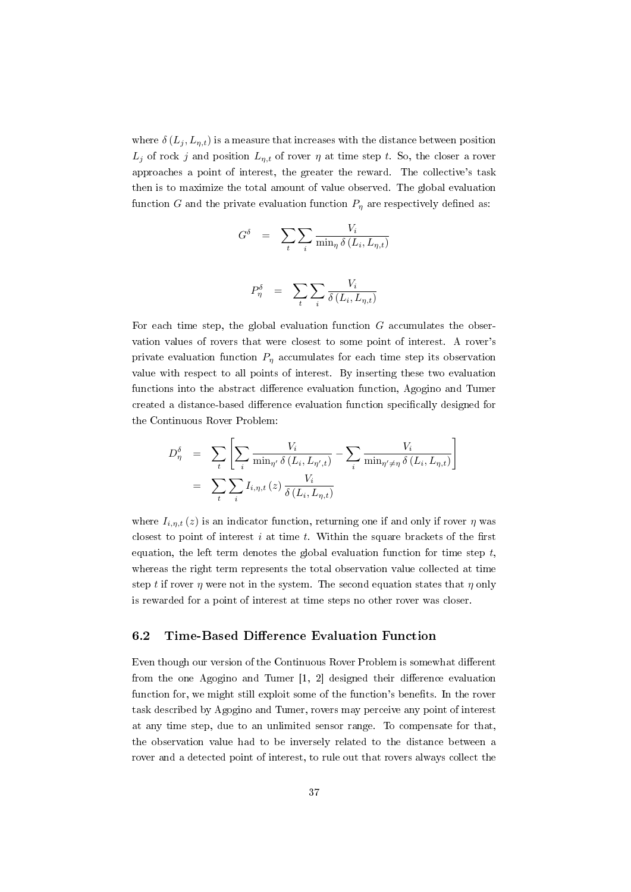where  $\delta(L_i, L_{n,t})$  is a measure that increases with the distance between position  $L_j$  of rock j and position  $L_{n,t}$  of rover  $\eta$  at time step t. So, the closer a rover approaches a point of interest, the greater the reward. The collective's task then is to maximize the total amount of value observed. The global evaluation function G and the private evaluation function  $P_n$  are respectively defined as:

$$
G^{\delta} = \sum_{t} \sum_{i} \frac{V_{i}}{\min_{\eta} \delta(L_{i}, L_{\eta, t})}
$$

$$
P^{\delta}_{\eta} = \sum_{i} \sum_{i} \frac{V_{i}}{\delta(L_{i}, L_{\eta, t})}
$$

i

 $\delta\left(L_i,L_{\eta,t}\right)$ 

For each time step, the global evaluation function  $G$  accumulates the observation values of rovers that were closest to some point of interest. A rover's private evaluation function  $P_n$  accumulates for each time step its observation value with respect to all points of interest. By inserting these two evaluation functions into the abstract difference evaluation function, Agogino and Tumer created a distance-based difference evaluation function specifically designed for the Continuous Rover Problem:

t

$$
D_{\eta}^{\delta} = \sum_{t} \left[ \sum_{i} \frac{V_i}{\min_{\eta'} \delta(L_i, L_{\eta',t})} - \sum_{i} \frac{V_i}{\min_{\eta' \neq \eta} \delta(L_i, L_{\eta,t})} \right]
$$

$$
= \sum_{t} \sum_{i} I_{i,\eta,t}(z) \frac{V_i}{\delta(L_i, L_{\eta,t})}
$$

where  $I_{i,n,t}(z)$  is an indicator function, returning one if and only if rover  $\eta$  was closest to point of interest  $i$  at time  $t$ . Within the square brackets of the first equation, the left term denotes the global evaluation function for time step  $t$ , whereas the right term represents the total observation value collected at time step t if rover  $\eta$  were not in the system. The second equation states that  $\eta$  only is rewarded for a point of interest at time steps no other rover was closer.

### 6.2 Time-Based Difference Evaluation Function

Even though our version of the Continuous Rover Problem is somewhat different from the one Agogino and Tumer  $[1, 2]$  designed their difference evaluation function for, we might still exploit some of the function's benefits. In the rover task described by Agogino and Tumer, rovers may perceive any point of interest at any time step, due to an unlimited sensor range. To compensate for that, the observation value had to be inversely related to the distance between a rover and a detected point of interest, to rule out that rovers always collect the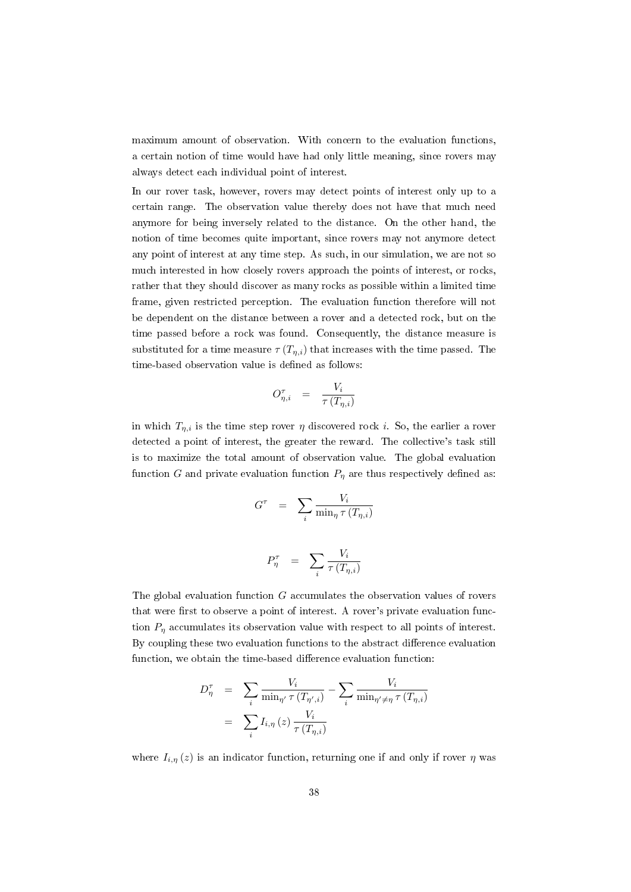maximum amount of observation. With concern to the evaluation functions, a certain notion of time would have had only little meaning, since rovers may always detect each individual point of interest.

In our rover task, however, rovers may detect points of interest only up to a certain range. The observation value thereby does not have that much need anymore for being inversely related to the distance. On the other hand, the notion of time becomes quite important, since rovers may not anymore detect any point of interest at any time step. As such, in our simulation, we are not so much interested in how closely rovers approach the points of interest, or rocks, rather that they should discover as many rocks as possible within a limited time frame, given restricted perception. The evaluation function therefore will not be dependent on the distance between a rover and a detected rock, but on the time passed before a rock was found. Consequently, the distance measure is substituted for a time measure  $\tau(T_{n,i})$  that increases with the time passed. The time-based observation value is defined as follows:

$$
O_{\eta,i}^{\tau} = \frac{V_i}{\tau(T_{\eta,i})}
$$

in which  $T_{\eta,i}$  is the time step rover  $\eta$  discovered rock i. So, the earlier a rover detected a point of interest, the greater the reward. The collective's task still is to maximize the total amount of observation value. The global evaluation function G and private evaluation function  $P_{\eta}$  are thus respectively defined as:

$$
G^{\tau} = \sum_{i} \frac{V_i}{\min_{\eta} \tau(T_{\eta,i})}
$$

$$
P_{\eta}^{\tau} = \sum \frac{V_i}{\tau(T_{\eta,i})}
$$

i

 $\tau\left(T_{\eta,i}\right)$ 

The global evaluation function 
$$
G
$$
 accumulates the observation values of covers that were first to observe a point of interest. A rover's private evaluation function  $P_{\eta}$  accumulates its observation value with respect to all points of interest. By coupling these two evaluation functions to the abstract difference evaluation function, we obtain the time-based difference evaluation function:

$$
D_{\eta}^{\tau} = \sum_{i} \frac{V_i}{\min_{\eta'} \tau(T_{\eta',i})} - \sum_{i} \frac{V_i}{\min_{\eta' \neq \eta} \tau(T_{\eta,i})}
$$

$$
= \sum_{i} I_{i,\eta}(z) \frac{V_i}{\tau(T_{\eta,i})}
$$

where  $I_{i,\eta}(z)$  is an indicator function, returning one if and only if rover  $\eta$  was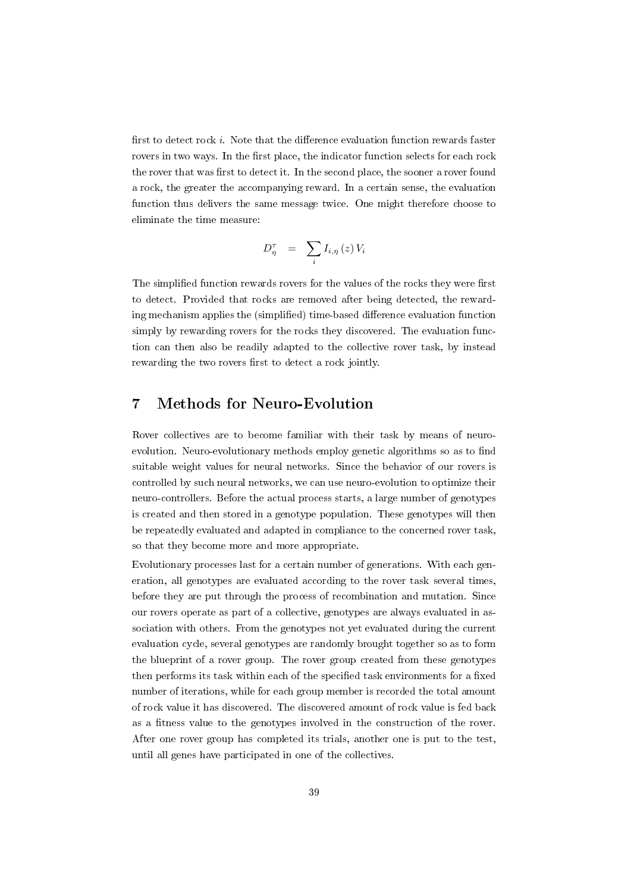first to detect rock i. Note that the difference evaluation function rewards faster rovers in two ways. In the first place, the indicator function selects for each rock the rover that was first to detect it. In the second place, the sooner a rover found a rock, the greater the accompanying reward. In a certain sense, the evaluation function thus delivers the same message twice. One might therefore choose to eliminate the time measure:

$$
D_{\eta}^{\tau} \;\; = \;\; \sum_{i} I_{i,\eta} \left( z \right) V_{i}
$$

The simplified function rewards rovers for the values of the rocks they were first to detect. Provided that rocks are removed after being detected, the rewarding mechanism applies the (simplified) time-based difference evaluation function simply by rewarding rovers for the rocks they discovered. The evaluation function can then also be readily adapted to the collective rover task, by instead rewarding the two rovers first to detect a rock jointly.

## 7 Methods for Neuro-Evolution

Rover collectives are to become familiar with their task by means of neuroevolution. Neuro-evolutionary methods employ genetic algorithms so as to find suitable weight values for neural networks. Since the behavior of our rovers is controlled by such neural networks, we can use neuro-evolution to optimize their neuro-controllers. Before the actual process starts, a large number of genotypes is created and then stored in a genotype population. These genotypes will then be repeatedly evaluated and adapted in compliance to the concerned rover task, so that they become more and more appropriate.

Evolutionary processes last for a certain number of generations. With each generation, all genotypes are evaluated according to the rover task several times, before they are put through the process of recombination and mutation. Since our rovers operate as part of a collective, genotypes are always evaluated in association with others. From the genotypes not yet evaluated during the current evaluation cycle, several genotypes are randomly brought together so as to form the blueprint of a rover group. The rover group created from these genotypes then performs its task within each of the specified task environments for a fixed number of iterations, while for each group member is recorded the total amount of rock value it has discovered. The discovered amount of rock value is fed back as a fitness value to the genotypes involved in the construction of the rover. After one rover group has completed its trials, another one is put to the test, until all genes have participated in one of the collectives.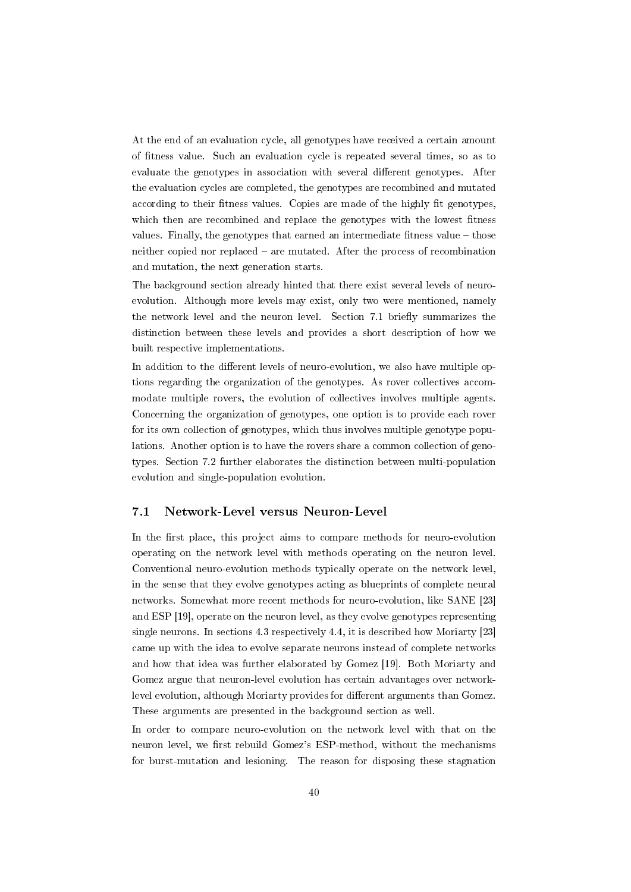At the end of an evaluation cycle, all genotypes have received a certain amount of fitness value. Such an evaluation cycle is repeated several times, so as to evaluate the genotypes in association with several different genotypes. After the evaluation cycles are completed, the genotypes are recombined and mutated according to their fitness values. Copies are made of the highly fit genotypes, which then are recombined and replace the genotypes with the lowest fitness values. Finally, the genotypes that earned an intermediate fitness value  $-$  those neither copied nor replaced  $-$  are mutated. After the process of recombination and mutation, the next generation starts.

The background section already hinted that there exist several levels of neuroevolution. Although more levels may exist, only two were mentioned, namely the network level and the neuron level. Section 7.1 briefly summarizes the distinction between these levels and provides a short description of how we built respective implementations.

In addition to the different levels of neuro-evolution, we also have multiple options regarding the organization of the genotypes. As rover collectives accommodate multiple rovers, the evolution of collectives involves multiple agents. Concerning the organization of genotypes, one option is to provide each rover for its own collection of genotypes, which thus involves multiple genotype populations. Another option is to have the rovers share a common collection of genotypes. Section 7.2 further elaborates the distinction between multi-population evolution and single-population evolution.

## 7.1 Network-Level versus Neuron-Level

In the first place, this project aims to compare methods for neuro-evolution operating on the network level with methods operating on the neuron level. Conventional neuro-evolution methods typically operate on the network level, in the sense that they evolve genotypes acting as blueprints of complete neural networks. Somewhat more recent methods for neuro-evolution, like SANE [23] and ESP [19], operate on the neuron level, as they evolve genotypes representing single neurons. In sections 4.3 respectively 4.4, it is described how Moriarty [23] came up with the idea to evolve separate neurons instead of complete networks and how that idea was further elaborated by Gomez [19]. Both Moriarty and Gomez argue that neuron-level evolution has certain advantages over networklevel evolution, although Moriarty provides for different arguments than Gomez. These arguments are presented in the background section as well.

In order to compare neuro-evolution on the network level with that on the neuron level, we first rebuild Gomez's ESP-method, without the mechanisms for burst-mutation and lesioning. The reason for disposing these stagnation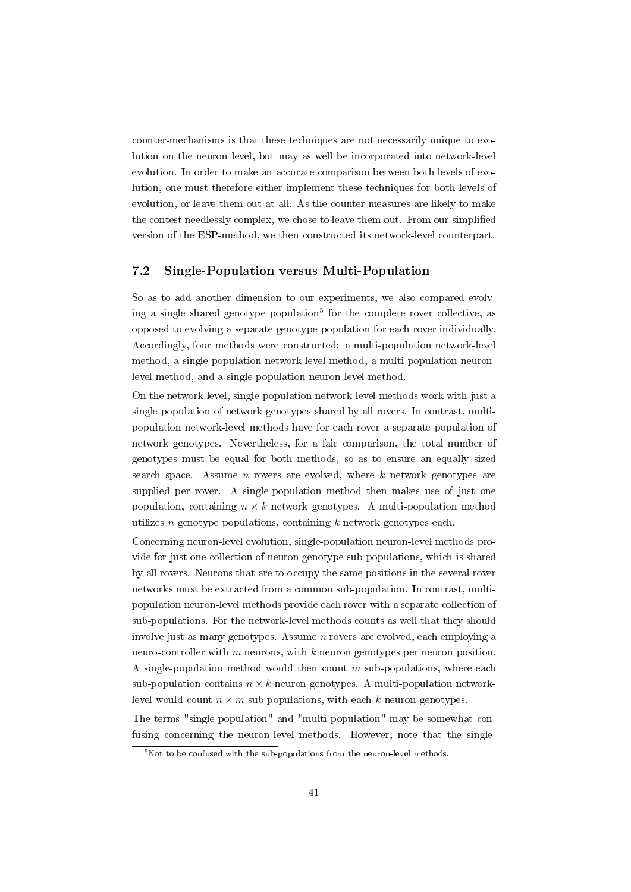counter-mechanisms is that these techniques are not necessarily unique to evolution on the neuron level, but may as well be incorporated into network-level evolution. In order to make an accurate comparison between both levels of evolution, one must therefore either implement these techniques for both levels of evolution, or leave them out at all. As the counter-measures are likely to make the contest needlessly complex, we chose to leave them out. From our simplied version of the ESP-method, we then constructed its network-level counterpart.

## 7.2 Single-Population versus Multi-Population

So as to add another dimension to our experiments, we also compared evolving a single shared genotype population<sup>5</sup> for the complete rover collective, as opposed to evolving a separate genotype population for each rover individually. Accordingly, four methods were constructed: a multi-population network-level method, a single-population network-level method, a multi-population neuronlevel method, and a single-population neuron-level method.

On the network level, single-population network-level methods work with just a single population of network genotypes shared by all rovers. In contrast, multipopulation network-level methods have for each rover a separate population of network genotypes. Nevertheless, for a fair comparison, the total number of genotypes must be equal for both methods, so as to ensure an equally sized search space. Assume *n* rovers are evolved, where  $k$  network genotypes are supplied per rover. A single-population method then makes use of just one population, containing  $n \times k$  network genotypes. A multi-population method utilizes n genotype populations, containing  $k$  network genotypes each.

Concerning neuron-level evolution, single-population neuron-level methods provide for just one collection of neuron genotype sub-populations, which is shared by all rovers. Neurons that are to occupy the same positions in the several rover networks must be extracted from a common sub-population. In contrast, multipopulation neuron-level methods provide each rover with a separate collection of sub-populations. For the network-level methods counts as well that they should involve just as many genotypes. Assume  $n$  rovers are evolved, each employing a neuro-controller with  $m$  neurons, with  $k$  neuron genotypes per neuron position. A single-population method would then count  $m$  sub-populations, where each sub-population contains  $n \times k$  neuron genotypes. A multi-population networklevel would count  $n \times m$  sub-populations, with each k neuron genotypes.

The terms "single-population" and "multi-population" may be somewhat confusing concerning the neuron-level methods. However, note that the single-

 $5$ Not to be confused with the sub-populations from the neuron-level methods.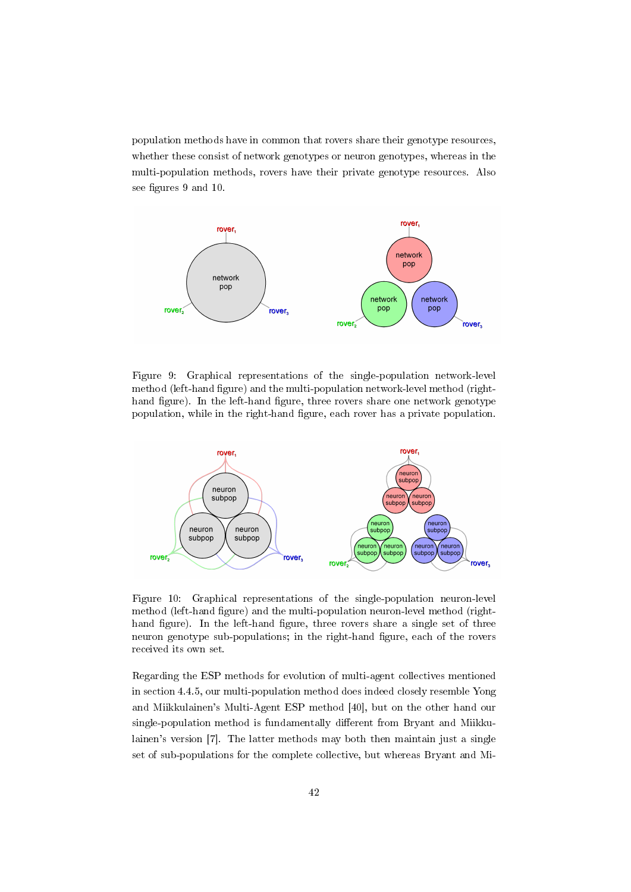population methods have in common that rovers share their genotype resources, whether these consist of network genotypes or neuron genotypes, whereas in the multi-population methods, rovers have their private genotype resources. Also see figures 9 and 10.



Figure 9: Graphical representations of the single-population network-level method (left-hand figure) and the multi-population network-level method (righthand figure). In the left-hand figure, three rovers share one network genotype population, while in the right-hand figure, each rover has a private population.



Figure 10: Graphical representations of the single-population neuron-level method (left-hand figure) and the multi-population neuron-level method (righthand figure). In the left-hand figure, three rovers share a single set of three neuron genotype sub-populations; in the right-hand figure, each of the rovers received its own set.

Regarding the ESP methods for evolution of multi-agent collectives mentioned in section 4.4.5, our multi-population method does indeed closely resemble Yong and Miikkulainen's Multi-Agent ESP method [40], but on the other hand our single-population method is fundamentally different from Bryant and Miikkulainen's version [7]. The latter methods may both then maintain just a single set of sub-populations for the complete collective, but whereas Bryant and Mi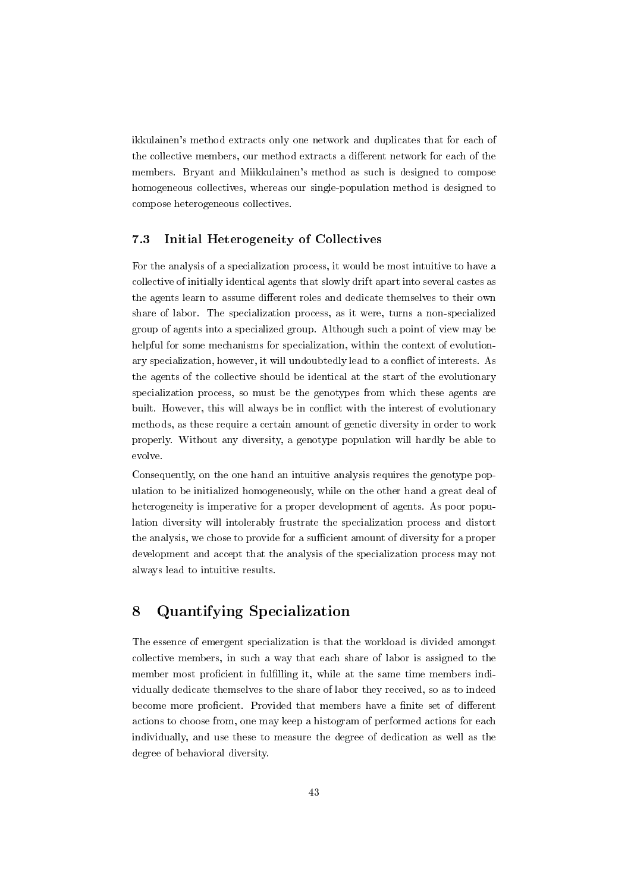ikkulainen's method extracts only one network and duplicates that for each of the collective members, our method extracts a different network for each of the members. Bryant and Miikkulainen's method as such is designed to compose homogeneous collectives, whereas our single-population method is designed to compose heterogeneous collectives.

## 7.3 Initial Heterogeneity of Collectives

For the analysis of a specialization process, it would be most intuitive to have a collective of initially identical agents that slowly drift apart into several castes as the agents learn to assume different roles and dedicate themselves to their own share of labor. The specialization process, as it were, turns a non-specialized group of agents into a specialized group. Although such a point of view may be helpful for some mechanisms for specialization, within the context of evolutionary specialization, however, it will undoubtedly lead to a conflict of interests. As the agents of the collective should be identical at the start of the evolutionary specialization process, so must be the genotypes from which these agents are built. However, this will always be in conflict with the interest of evolutionary methods, as these require a certain amount of genetic diversity in order to work properly. Without any diversity, a genotype population will hardly be able to evolve.

Consequently, on the one hand an intuitive analysis requires the genotype population to be initialized homogeneously, while on the other hand a great deal of heterogeneity is imperative for a proper development of agents. As poor population diversity will intolerably frustrate the specialization process and distort the analysis, we chose to provide for a sufficient amount of diversity for a proper development and accept that the analysis of the specialization process may not always lead to intuitive results.

## 8 Quantifying Specialization

The essence of emergent specialization is that the workload is divided amongst collective members, in such a way that each share of labor is assigned to the member most proficient in fulfilling it, while at the same time members individually dedicate themselves to the share of labor they received, so as to indeed become more proficient. Provided that members have a finite set of different actions to choose from, one may keep a histogram of performed actions for each individually, and use these to measure the degree of dedication as well as the degree of behavioral diversity.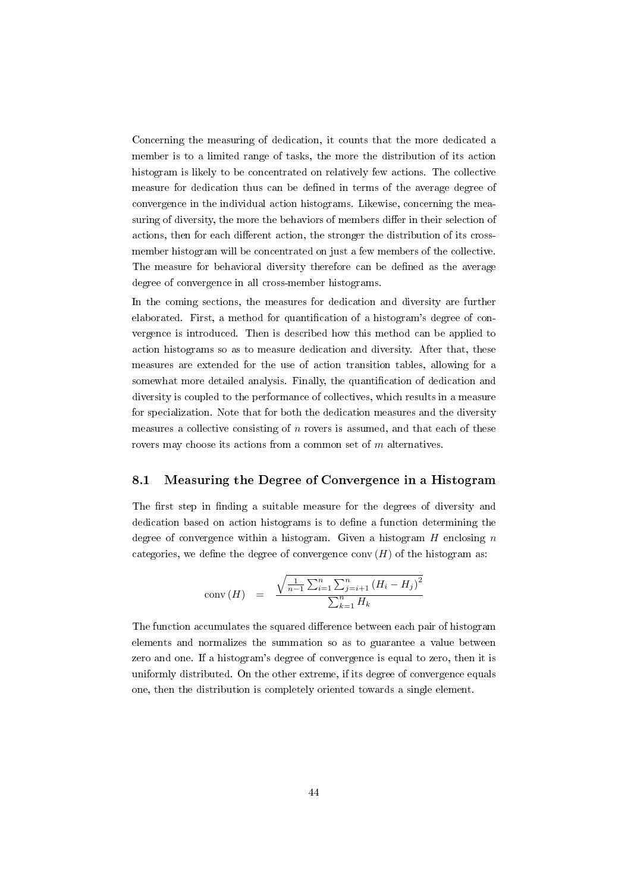Concerning the measuring of dedication, it counts that the more dedicated a member is to a limited range of tasks, the more the distribution of its action histogram is likely to be concentrated on relatively few actions. The collective measure for dedication thus can be defined in terms of the average degree of convergence in the individual action histograms. Likewise, concerning the measuring of diversity, the more the behaviors of members differ in their selection of actions, then for each different action, the stronger the distribution of its crossmember histogram will be concentrated on just a few members of the collective. The measure for behavioral diversity therefore can be defined as the average degree of convergence in all cross-member histograms.

In the coming sections, the measures for dedication and diversity are further elaborated. First, a method for quantification of a histogram's degree of convergence is introduced. Then is described how this method can be applied to action histograms so as to measure dedication and diversity. After that, these measures are extended for the use of action transition tables, allowing for a somewhat more detailed analysis. Finally, the quantification of dedication and diversity is coupled to the performance of collectives, which results in a measure for specialization. Note that for both the dedication measures and the diversity measures a collective consisting of n rovers is assumed, and that each of these rovers may choose its actions from a common set of m alternatives.

## 8.1 Measuring the Degree of Convergence in a Histogram

The first step in finding a suitable measure for the degrees of diversity and dedication based on action histograms is to dene a function determining the degree of convergence within a histogram. Given a histogram  $H$  enclosing  $n$ categories, we define the degree of convergence conv  $(H)$  of the histogram as:

conv (H) = 
$$
\frac{\sqrt{\frac{1}{n-1} \sum_{i=1}^{n} \sum_{j=i+1}^{n} (H_i - H_j)^2}}{\sum_{k=1}^{n} H_k}
$$

The function accumulates the squared difference between each pair of histogram elements and normalizes the summation so as to guarantee a value between zero and one. If a histogram's degree of convergence is equal to zero, then it is uniformly distributed. On the other extreme, if its degree of convergence equals one, then the distribution is completely oriented towards a single element.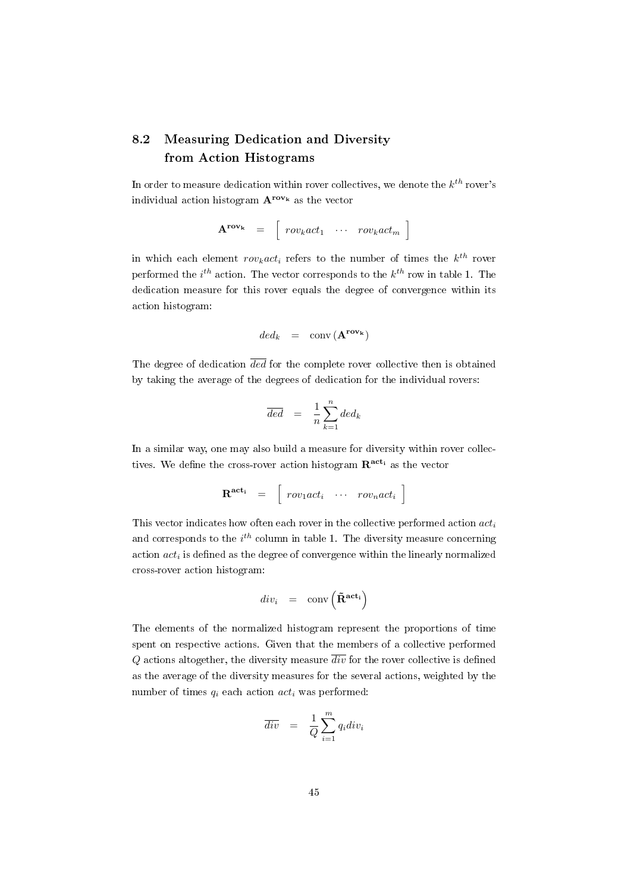## 8.2 Measuring Dedication and Diversity from Action Histograms

In order to measure dedication within rover collectives, we denote the  $k^{th}$  rover's individual action histogram  $A^{row_k}$  as the vector

$$
\mathbf{A}^{\text{rov}_{k}} = \begin{bmatrix} row_{k} act_{1} & \cdots & row_{k} act_{m} \end{bmatrix}
$$

in which each element  $row_kact_i$  refers to the number of times the  $k^{th}$  rover performed the  $i^{th}$  action. The vector corresponds to the  $k^{th}$  row in table 1. The dedication measure for this rover equals the degree of convergence within its action histogram:

$$
\text{ded}_k \quad = \quad \text{conv}\left(\mathbf{A}^{\text{row}_k}\right)
$$

The degree of dedication  $\overline{ded}$  for the complete rover collective then is obtained by taking the average of the degrees of dedication for the individual rovers:

$$
\overline{ded} = \frac{1}{n} \sum_{k=1}^{n} ded_k
$$

In a similar way, one may also build a measure for diversity within rover collectives. We define the cross-rover action histogram  $\mathbf{R}^{\text{act}_{i}}$  as the vector

$$
\mathbf{R}^{\text{act}_i} = \begin{bmatrix} row_1 act_i & \cdots & row_n act_i \end{bmatrix}
$$

This vector indicates how often each rover in the collective performed action  $act_i$ and corresponds to the  $i^{th}$  column in table 1. The diversity measure concerning action  $act_i$  is defined as the degree of convergence within the linearly normalized cross-rover action histogram:

$$
\mathit{div}_i \ = \ \mathop{\rm conv}\nolimits\left(\mathbf{\tilde{R}^{act_i}}\right)
$$

The elements of the normalized histogram represent the proportions of time spent on respective actions. Given that the members of a collective performed Q actions altogether, the diversity measure  $\overline{div}$  for the rover collective is defined as the average of the diversity measures for the several actions, weighted by the number of times  $q_i$  each action  $act_i$  was performed:

$$
\overline{div} = \frac{1}{Q} \sum_{i=1}^{m} q_i div_i
$$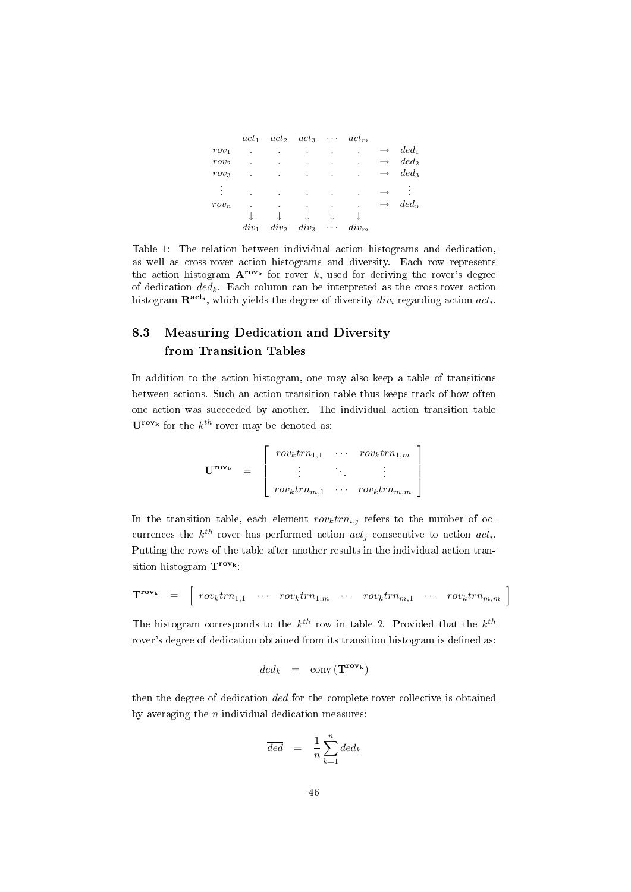|         | $act_1$ |         | $act_2 \quad act_3$ | $\cdots$ .           | $act_m$              |         |
|---------|---------|---------|---------------------|----------------------|----------------------|---------|
| $row_1$ |         |         |                     |                      | ٠                    | $ded_1$ |
| $row_2$ |         |         |                     | ٠                    | $\ddot{\phantom{0}}$ | $ded_2$ |
| $row_3$ |         | ٠       |                     | ٠                    | $\bullet$            | $ded_3$ |
| ٠<br>ä, |         |         |                     |                      | ۰                    |         |
| $row_n$ |         |         |                     |                      |                      | $ded_n$ |
|         |         |         |                     |                      |                      |         |
|         | $div_1$ | $div_2$ | $div_3$             | $\sim$ $\sim$ $\sim$ | $div_m$              |         |

Table 1: The relation between individual action histograms and dedication, as well as cross-rover action histograms and diversity. Each row represents the action histogram  ${\bf A}^{row*}$  for rover k, used for deriving the rover's degree of dedication  $ded_k$ . Each column can be interpreted as the cross-rover action histogram  $\mathbf{R^{act_i}}$ , which yields the degree of diversity  $div_i$  regarding action  $act_i$ .

## 8.3 Measuring Dedication and Diversity from Transition Tables

In addition to the action histogram, one may also keep a table of transitions between actions. Such an action transition table thus keeps track of how often one action was succeeded by another. The individual action transition table  $\mathbf{U}^{\text{row}_{k}}$  for the  $k^{th}$  rover may be denoted as:

$$
\mathbf{U}^{\text{row}_k} = \begin{bmatrix} row_k tr n_{1,1} & \cdots & row_k tr n_{1,m} \\ \vdots & & \vdots \\ row_k tr n_{m,1} & \cdots & row_k tr n_{m,m} \end{bmatrix}
$$

In the transition table, each element  $row_k trn_{i,j}$  refers to the number of occurrences the  $k^{th}$  rover has performed action  $act_j$  consecutive to action  $act_i$ . Putting the rows of the table after another results in the individual action transition histogram  $T^{\text{rov}_k}$ :

$$
\mathbf{T}^{\text{row}_k} = \begin{bmatrix} row_k tr n_{1,1} & \cdots & row_k tr n_{1,m} & \cdots & row_k tr n_{m,1} & \cdots & row_k tr n_{m,m} \end{bmatrix}
$$

The histogram corresponds to the  $k^{th}$  row in table 2. Provided that the  $k^{th}$ rover's degree of dedication obtained from its transition histogram is defined as:

$$
ded_k = \text{conv}\left(\mathbf{T}^{\text{row}_{k}}\right)
$$

then the degree of dedication  $\overline{ded}$  for the complete rover collective is obtained by averaging the  $n$  individual dedication measures:

$$
\overline{ded} = \frac{1}{n} \sum_{k=1}^{n} ded_k
$$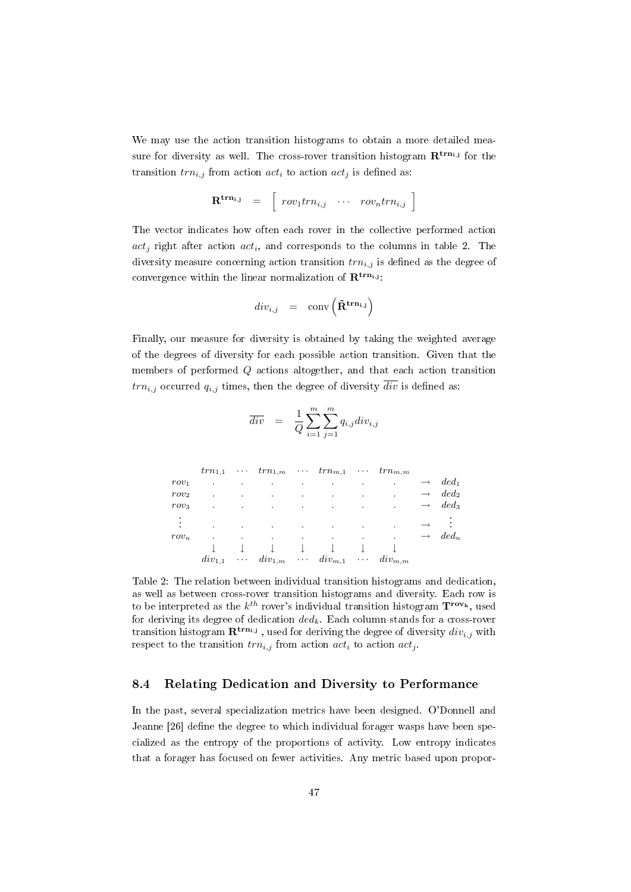We may use the action transition histograms to obtain a more detailed measure for diversity as well. The cross-rover transition histogram  $\mathbf{R}^{\text{trn}_{i,j}}$  for the transition  $trn_{i,j}$  from action  $act_i$  to action  $act_j$  is defined as:

$$
\mathbf{R}^{\mathbf{trn}_{i,j}} = \begin{bmatrix} row_1 trn_{i,j} & \cdots & row_n trn_{i,j} \end{bmatrix}
$$

The vector indicates how often each rover in the collective performed action  $act_j$  right after action  $act_i$ , and corresponds to the columns in table 2. The diversity measure concerning action transition  $trn_{i,j}$  is defined as the degree of convergence within the linear normalization of  $\mathbf{R}^{\text{trn}_{i,j}}$ :

$$
div_{i,j} \hspace{2mm} = \hspace{2mm} \text{conv}\left(\tilde{\mathbf{R}}^{\mathbf{trn_{i,j}}}\right)
$$

Finally, our measure for diversity is obtained by taking the weighted average of the degrees of diversity for each possible action transition. Given that the members of performed Q actions altogether, and that each action transition  $trn_{i,j}$  occurred  $q_{i,j}$  times, then the degree of diversity  $\overline{div}$  is defined as:

$$
\overline{div} = \frac{1}{Q} \sum_{i=1}^{m} \sum_{j=1}^{m} q_{i,j} div_{i,j}
$$

|                  | $trn_{1,1}$ | $\sim$ 0.000 $\sim$ |                             |   | $trn_{1,m}$ $trn_{m,1}$     |                             | $trn_{m,m}$ |                   |         |
|------------------|-------------|---------------------|-----------------------------|---|-----------------------------|-----------------------------|-------------|-------------------|---------|
| $row_1$          | ٠           | ٠                   | ٠                           | ٠ |                             |                             |             | $\longrightarrow$ | $ded_1$ |
| row <sub>2</sub> | ٠           | ٠                   | ٠                           | ٠ | ٠                           |                             |             | $\rightarrow$     | $ded_2$ |
| $row_3$          | ٠           | ٠                   | ٠                           | ٠ | ٠                           |                             |             | $\rightarrow$     | $ded_3$ |
| ٠                | ٠           | ٠                   | ٠                           | ٠ |                             |                             | ٠           |                   |         |
| $row_n$          |             |                     |                             |   |                             |                             |             | $\rightarrow$     | $ded_n$ |
|                  |             |                     |                             |   |                             |                             |             |                   |         |
|                  | $div_{1,1}$ |                     | $\cdots$ div <sub>1,m</sub> |   | $\cdots$ div <sub>m,1</sub> | $\sim$ $\sim$ $\sim$ $\sim$ | $div_{m,m}$ |                   |         |

Table 2: The relation between individual transition histograms and dedication, as well as between cross-rover transition histograms and diversity. Each row is to be interpreted as the  $k^{th}$  rover's individual transition histogram  $\mathbf{T^{row_k}}$ , used for deriving its degree of dedication  $ded_k$ . Each column stands for a cross-rover transition histogram  ${\bf R}^{{\bf trn_{i,j}}}$  , used for deriving the degree of diversity  $div_{i,j}$  with respect to the transition  $trn_{i,j}$  from action  $act_i$  to action  $act_j$ .

## 8.4 Relating Dedication and Diversity to Performance

In the past, several specialization metrics have been designed. O'Donnell and Jeanne [26] define the degree to which individual forager wasps have been specialized as the entropy of the proportions of activity. Low entropy indicates that a forager has focused on fewer activities. Any metric based upon propor-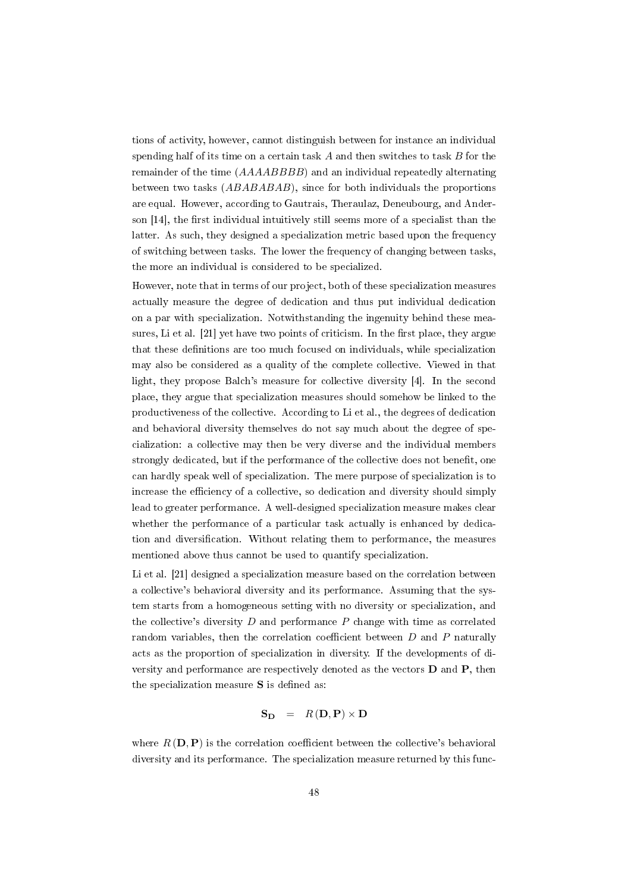tions of activity, however, cannot distinguish between for instance an individual spending half of its time on a certain task  $A$  and then switches to task  $B$  for the remainder of the time  $(AAAABBBB)$  and an individual repeatedly alternating between two tasks (ABABABAB), since for both individuals the proportions are equal. However, according to Gautrais, Theraulaz, Deneubourg, and Anderson  $[14]$ , the first individual intuitively still seems more of a specialist than the latter. As such, they designed a specialization metric based upon the frequency of switching between tasks. The lower the frequency of changing between tasks, the more an individual is considered to be specialized.

However, note that in terms of our project, both of these specialization measures actually measure the degree of dedication and thus put individual dedication on a par with specialization. Notwithstanding the ingenuity behind these measures, Li et al.  $[21]$  yet have two points of criticism. In the first place, they argue that these definitions are too much focused on individuals, while specialization may also be considered as a quality of the complete collective. Viewed in that light, they propose Balch's measure for collective diversity [4]. In the second place, they argue that specialization measures should somehow be linked to the productiveness of the collective. According to Li et al., the degrees of dedication and behavioral diversity themselves do not say much about the degree of specialization: a collective may then be very diverse and the individual members strongly dedicated, but if the performance of the collective does not benet, one can hardly speak well of specialization. The mere purpose of specialization is to increase the efficiency of a collective, so dedication and diversity should simply lead to greater performance. A well-designed specialization measure makes clear whether the performance of a particular task actually is enhanced by dedication and diversification. Without relating them to performance, the measures mentioned above thus cannot be used to quantify specialization.

Li et al. [21] designed a specialization measure based on the correlation between a collective's behavioral diversity and its performance. Assuming that the system starts from a homogeneous setting with no diversity or specialization, and the collective's diversity  $D$  and performance  $P$  change with time as correlated random variables, then the correlation coefficient between  $D$  and  $P$  naturally acts as the proportion of specialization in diversity. If the developments of diversity and performance are respectively denoted as the vectors D and P, then the specialization measure  $S$  is defined as:

$$
\mathbf{S_D} = R(\mathbf{D}, \mathbf{P}) \times \mathbf{D}
$$

where  $R(D, P)$  is the correlation coefficient between the collective's behavioral diversity and its performance. The specialization measure returned by this func-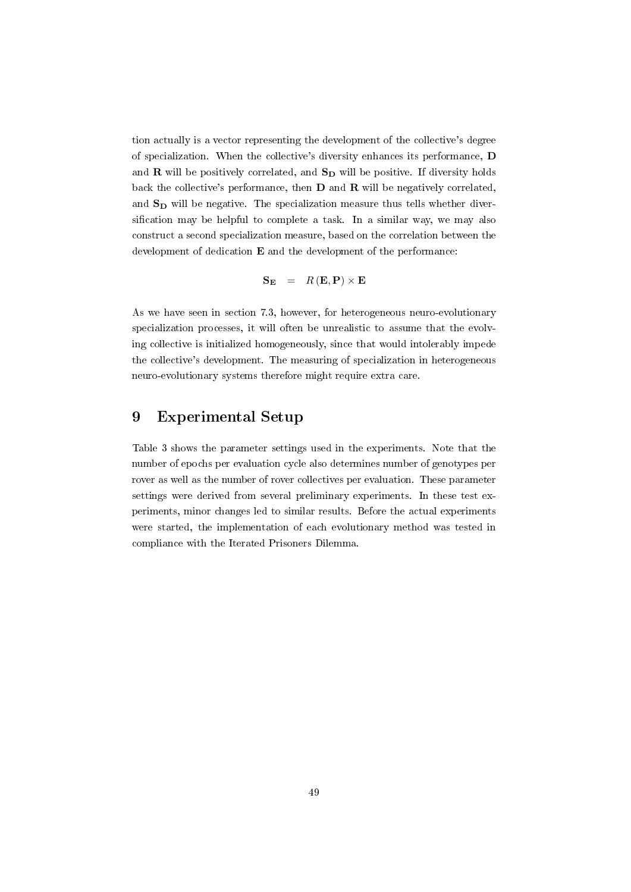tion actually is a vector representing the development of the collective's degree of specialization. When the collective's diversity enhances its performance, D and  $R$  will be positively correlated, and  $S_D$  will be positive. If diversity holds back the collective's performance, then D and R will be negatively correlated, and  $S_D$  will be negative. The specialization measure thus tells whether diversification may be helpful to complete a task. In a similar way, we may also construct a second specialization measure, based on the correlation between the development of dedication E and the development of the performance:

$$
\mathbf{S}_{\mathbf{E}} = R(\mathbf{E}, \mathbf{P}) \times \mathbf{E}
$$

As we have seen in section 7.3, however, for heterogeneous neuro-evolutionary specialization processes, it will often be unrealistic to assume that the evolving collective is initialized homogeneously, since that would intolerably impede the collective's development. The measuring of specialization in heterogeneous neuro-evolutionary systems therefore might require extra care.

## 9 Experimental Setup

Table 3 shows the parameter settings used in the experiments. Note that the number of epochs per evaluation cycle also determines number of genotypes per rover as well as the number of rover collectives per evaluation. These parameter settings were derived from several preliminary experiments. In these test experiments, minor changes led to similar results. Before the actual experiments were started, the implementation of each evolutionary method was tested in compliance with the Iterated Prisoners Dilemma.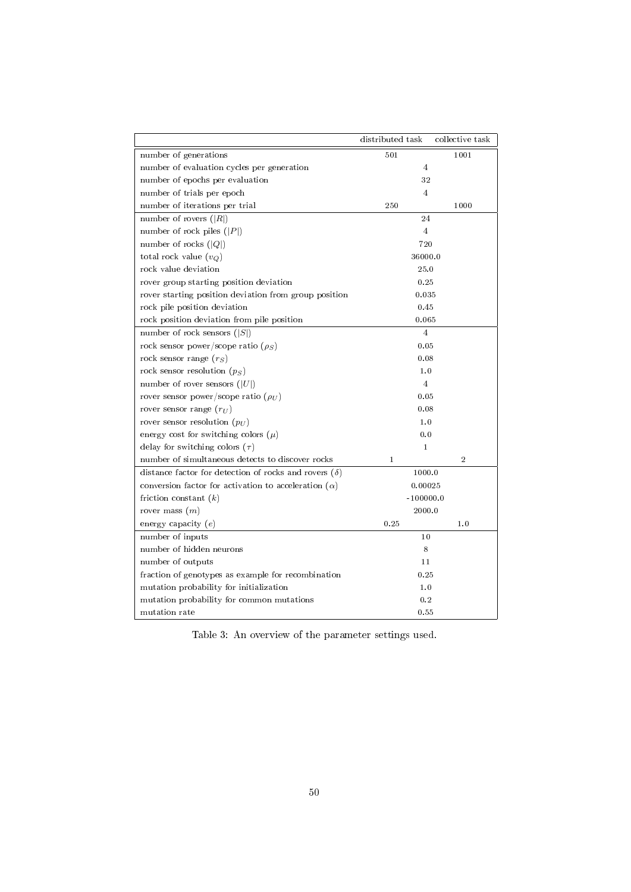|                                                                        | distributed task | collective task |  |
|------------------------------------------------------------------------|------------------|-----------------|--|
| number of generations                                                  | 501              | 1001            |  |
| number of evaluation cycles per generation                             |                  | $\overline{4}$  |  |
| number of epochs per evaluation                                        |                  | 32              |  |
| number of trials per epoch                                             |                  | $\overline{4}$  |  |
| number of iterations per trial                                         | 250              | 1000            |  |
| number of rovers $( R )$                                               |                  | 24              |  |
| number of rock piles $( P )$                                           |                  | 4               |  |
| number of rocks $( Q )$                                                |                  | 720             |  |
| total rock value $(v_Q)$                                               |                  | 36000.0         |  |
| rock value deviation                                                   |                  | 25.0            |  |
| rover group starting position deviation                                |                  | 0.25            |  |
| rover starting position deviation from group position                  | 0.035            |                 |  |
| rock pile position deviation                                           |                  | 0.45            |  |
| rock position deviation from pile position                             |                  | 0.065           |  |
| number of rock sensors $( S )$                                         |                  | $\overline{4}$  |  |
| rock sensor power/scope ratio $(\rho_S)$                               |                  | 0.05            |  |
| rock sensor range $(r_S)$                                              | 0.08             |                 |  |
| rock sensor resolution $(p_S)$                                         | 1.0              |                 |  |
| number of rover sensors $( U )$                                        | $\overline{4}$   |                 |  |
| rover sensor power/scope ratio $(\rho_U)$                              | 0.05             |                 |  |
| rover sensor range $(r_U)$                                             | 0.08             |                 |  |
| rover sensor resolution $(p_{II})$                                     | 1.0              |                 |  |
| energy cost for switching colors $(\mu)$                               | 0.0              |                 |  |
| delay for switching colors $(\tau)$                                    | $\mathbf{1}$     |                 |  |
| number of simultaneous detects to discover rocks                       | $\mathbf{1}$     | $\overline{2}$  |  |
| distance factor for detection of rocks and rovers $(\delta)$           |                  | 1000.0          |  |
| conversion factor for activation to acceleration $(\alpha)$<br>0.00025 |                  |                 |  |
| friction constant $(k)$                                                | $-100000.0$      |                 |  |
| rover mass $(m)$                                                       | 2000.0           |                 |  |
| energy capacity $(e)$                                                  | 0.25             | 1.0             |  |
| number of inputs                                                       |                  | 10              |  |
| number of hidden neurons                                               |                  | 8               |  |
| number of outputs                                                      | 11               |                 |  |
| fraction of genotypes as example for recombination<br>0.25             |                  |                 |  |
| mutation probability for initialization<br>1.0                         |                  |                 |  |
| mutation probability for common mutations                              |                  | 0.2             |  |
| mutation rate                                                          |                  | 0.55            |  |

Table 3: An overview of the parameter settings used.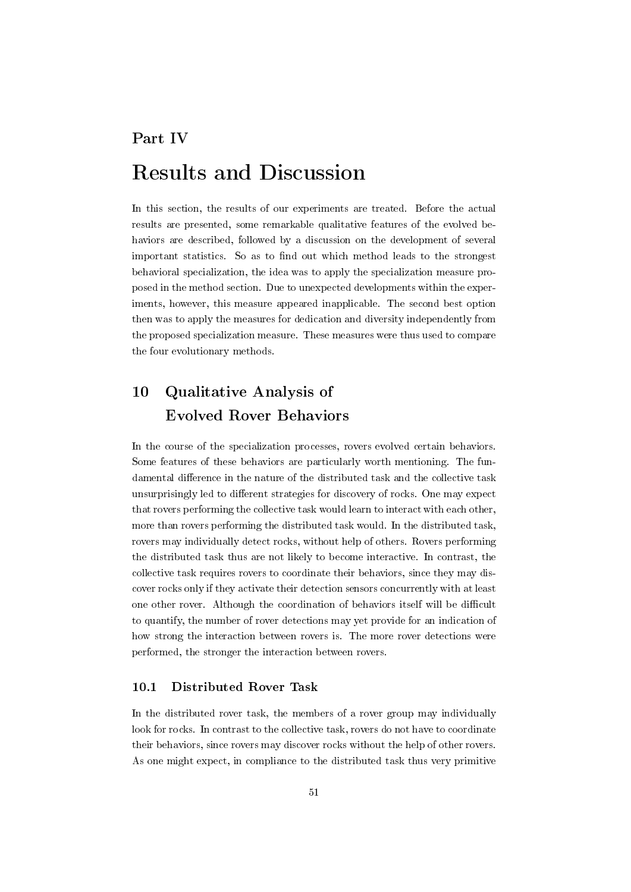# Part IV Results and Discussion

In this section, the results of our experiments are treated. Before the actual results are presented, some remarkable qualitative features of the evolved behaviors are described, followed by a discussion on the development of several important statistics. So as to find out which method leads to the strongest behavioral specialization, the idea was to apply the specialization measure proposed in the method section. Due to unexpected developments within the experiments, however, this measure appeared inapplicable. The second best option then was to apply the measures for dedication and diversity independently from the proposed specialization measure. These measures were thus used to compare the four evolutionary methods.

## 10 Qualitative Analysis of Evolved Rover Behaviors

In the course of the specialization processes, rovers evolved certain behaviors. Some features of these behaviors are particularly worth mentioning. The fundamental difference in the nature of the distributed task and the collective task unsurprisingly led to different strategies for discovery of rocks. One may expect that rovers performing the collective task would learn to interact with each other, more than rovers performing the distributed task would. In the distributed task, rovers may individually detect rocks, without help of others. Rovers performing the distributed task thus are not likely to become interactive. In contrast, the collective task requires rovers to coordinate their behaviors, since they may discover rocks only if they activate their detection sensors concurrently with at least one other rover. Although the coordination of behaviors itself will be difficult to quantify, the number of rover detections may yet provide for an indication of how strong the interaction between rovers is. The more rover detections were performed, the stronger the interaction between rovers.

## 10.1 Distributed Rover Task

In the distributed rover task, the members of a rover group may individually look for rocks. In contrast to the collective task, rovers do not have to coordinate their behaviors, since rovers may discover rocks without the help of other rovers. As one might expect, in compliance to the distributed task thus very primitive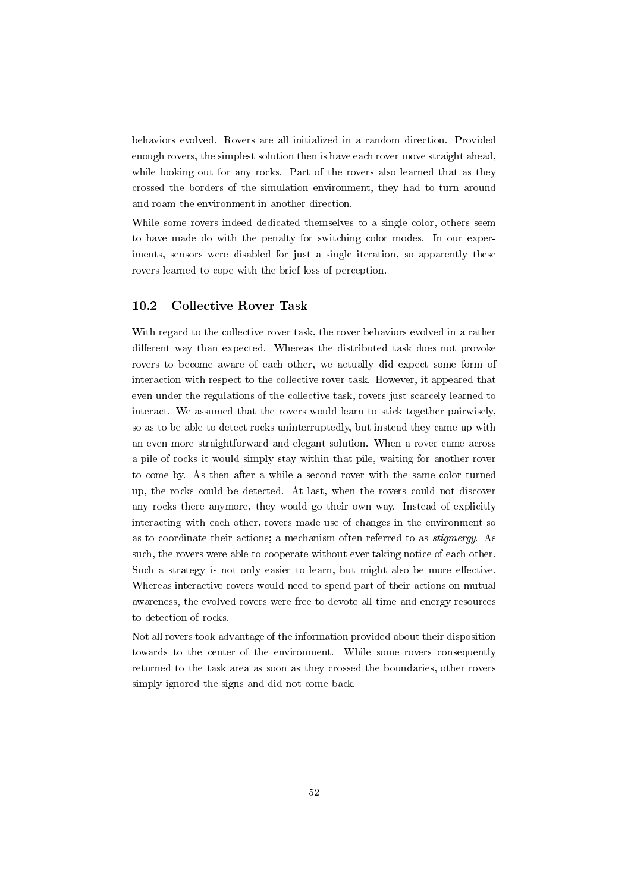behaviors evolved. Rovers are all initialized in a random direction. Provided enough rovers, the simplest solution then is have each rover move straight ahead, while looking out for any rocks. Part of the rovers also learned that as they crossed the borders of the simulation environment, they had to turn around and roam the environment in another direction.

While some rovers indeed dedicated themselves to a single color, others seem to have made do with the penalty for switching color modes. In our experiments, sensors were disabled for just a single iteration, so apparently these rovers learned to cope with the brief loss of perception.

## 10.2 Collective Rover Task

With regard to the collective rover task, the rover behaviors evolved in a rather different way than expected. Whereas the distributed task does not provoke rovers to become aware of each other, we actually did expect some form of interaction with respect to the collective rover task. However, it appeared that even under the regulations of the collective task, rovers just scarcely learned to interact. We assumed that the rovers would learn to stick together pairwisely, so as to be able to detect rocks uninterruptedly, but instead they came up with an even more straightforward and elegant solution. When a rover came across a pile of rocks it would simply stay within that pile, waiting for another rover to come by. As then after a while a second rover with the same color turned up, the rocks could be detected. At last, when the rovers could not discover any rocks there anymore, they would go their own way. Instead of explicitly interacting with each other, rovers made use of changes in the environment so as to coordinate their actions; a mechanism often referred to as stigmergy. As such, the rovers were able to cooperate without ever taking notice of each other. Such a strategy is not only easier to learn, but might also be more effective. Whereas interactive rovers would need to spend part of their actions on mutual awareness, the evolved rovers were free to devote all time and energy resources to detection of rocks.

Not all rovers took advantage of the information provided about their disposition towards to the center of the environment. While some rovers consequently returned to the task area as soon as they crossed the boundaries, other rovers simply ignored the signs and did not come back.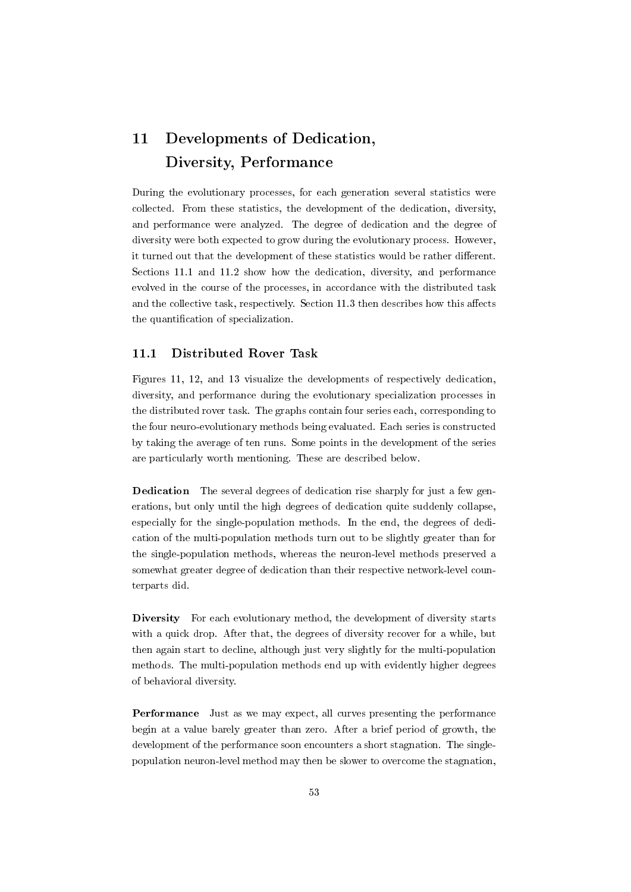## 11 Developments of Dedication, Diversity, Performance

During the evolutionary processes, for each generation several statistics were collected. From these statistics, the development of the dedication, diversity, and performance were analyzed. The degree of dedication and the degree of diversity were both expected to grow during the evolutionary process. However, it turned out that the development of these statistics would be rather different. Sections 11.1 and 11.2 show how the dedication, diversity, and performance evolved in the course of the processes, in accordance with the distributed task and the collective task, respectively. Section  $11.3$  then describes how this affects the quantification of specialization.

## 11.1 Distributed Rover Task

Figures 11, 12, and 13 visualize the developments of respectively dedication, diversity, and performance during the evolutionary specialization processes in the distributed rover task. The graphs contain four series each, corresponding to the four neuro-evolutionary methods being evaluated. Each series is constructed by taking the average of ten runs. Some points in the development of the series are particularly worth mentioning. These are described below.

Dedication The several degrees of dedication rise sharply for just a few generations, but only until the high degrees of dedication quite suddenly collapse, especially for the single-population methods. In the end, the degrees of dedication of the multi-population methods turn out to be slightly greater than for the single-population methods, whereas the neuron-level methods preserved a somewhat greater degree of dedication than their respective network-level counterparts did.

Diversity For each evolutionary method, the development of diversity starts with a quick drop. After that, the degrees of diversity recover for a while, but then again start to decline, although just very slightly for the multi-population methods. The multi-population methods end up with evidently higher degrees of behavioral diversity.

Performance Just as we may expect, all curves presenting the performance begin at a value barely greater than zero. After a brief period of growth, the development of the performance soon encounters a short stagnation. The singlepopulation neuron-level method may then be slower to overcome the stagnation,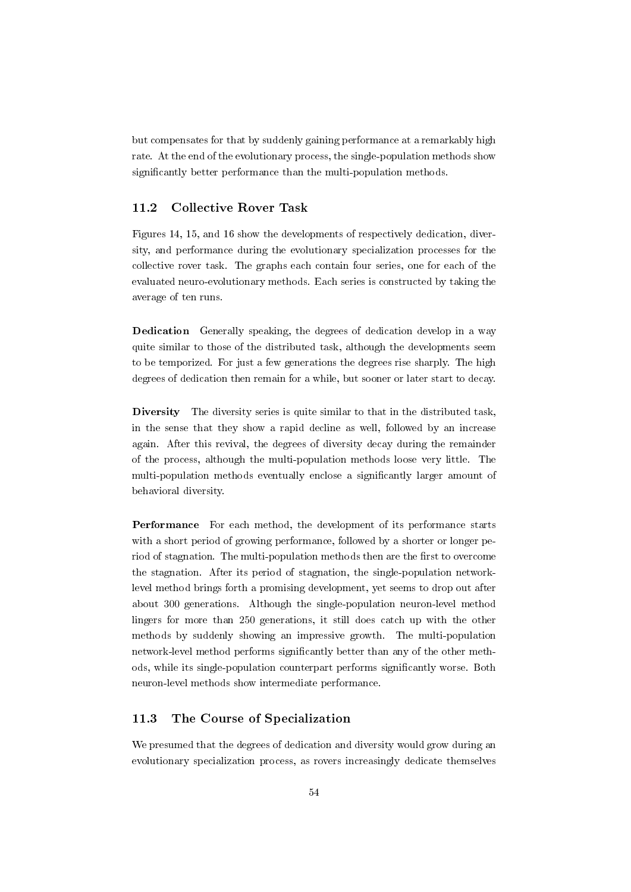but compensates for that by suddenly gaining performance at a remarkably high rate. At the end of the evolutionary process, the single-population methods show significantly better performance than the multi-population methods.

## 11.2 Collective Rover Task

Figures 14, 15, and 16 show the developments of respectively dedication, diversity, and performance during the evolutionary specialization processes for the collective rover task. The graphs each contain four series, one for each of the evaluated neuro-evolutionary methods. Each series is constructed by taking the average of ten runs.

Dedication Generally speaking, the degrees of dedication develop in a way quite similar to those of the distributed task, although the developments seem to be temporized. For just a few generations the degrees rise sharply. The high degrees of dedication then remain for a while, but sooner or later start to decay.

Diversity The diversity series is quite similar to that in the distributed task, in the sense that they show a rapid decline as well, followed by an increase again. After this revival, the degrees of diversity decay during the remainder of the process, although the multi-population methods loose very little. The multi-population methods eventually enclose a significantly larger amount of behavioral diversity.

Performance For each method, the development of its performance starts with a short period of growing performance, followed by a shorter or longer period of stagnation. The multi-population methods then are the first to overcome the stagnation. After its period of stagnation, the single-population networklevel method brings forth a promising development, yet seems to drop out after about 300 generations. Although the single-population neuron-level method lingers for more than 250 generations, it still does catch up with the other methods by suddenly showing an impressive growth. The multi-population network-level method performs signicantly better than any of the other methods, while its single-population counterpart performs signicantly worse. Both neuron-level methods show intermediate performance.

## 11.3 The Course of Specialization

We presumed that the degrees of dedication and diversity would grow during an evolutionary specialization process, as rovers increasingly dedicate themselves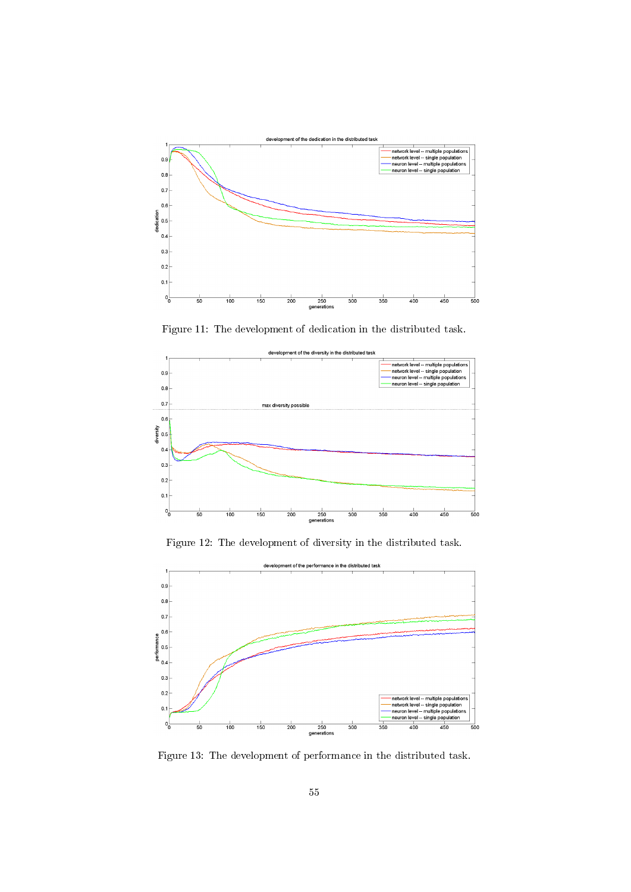

Figure 11: The development of dedication in the distributed task.



Figure 12: The development of diversity in the distributed task.



Figure 13: The development of performance in the distributed task.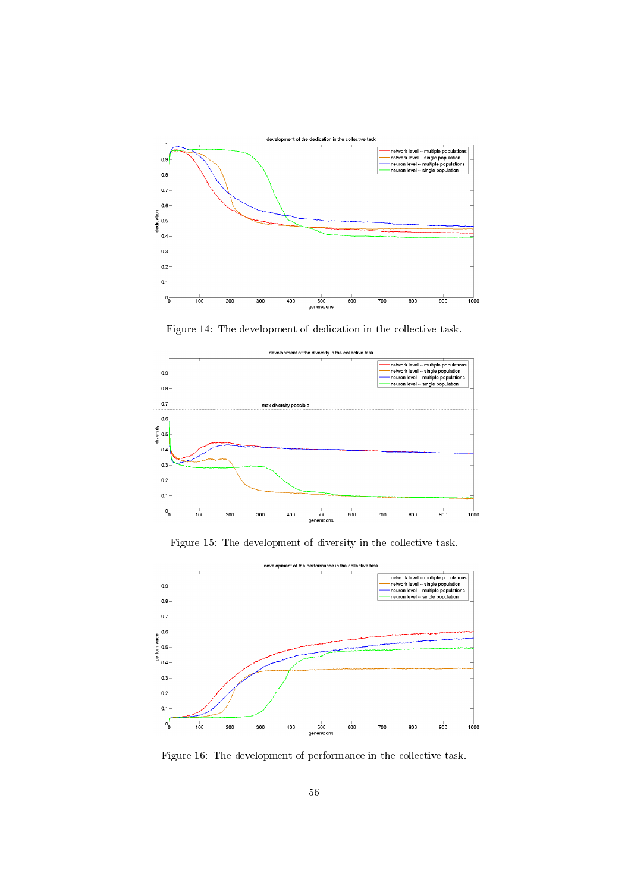

Figure 14: The development of dedication in the collective task.



Figure 15: The development of diversity in the collective task.



Figure 16: The development of performance in the collective task.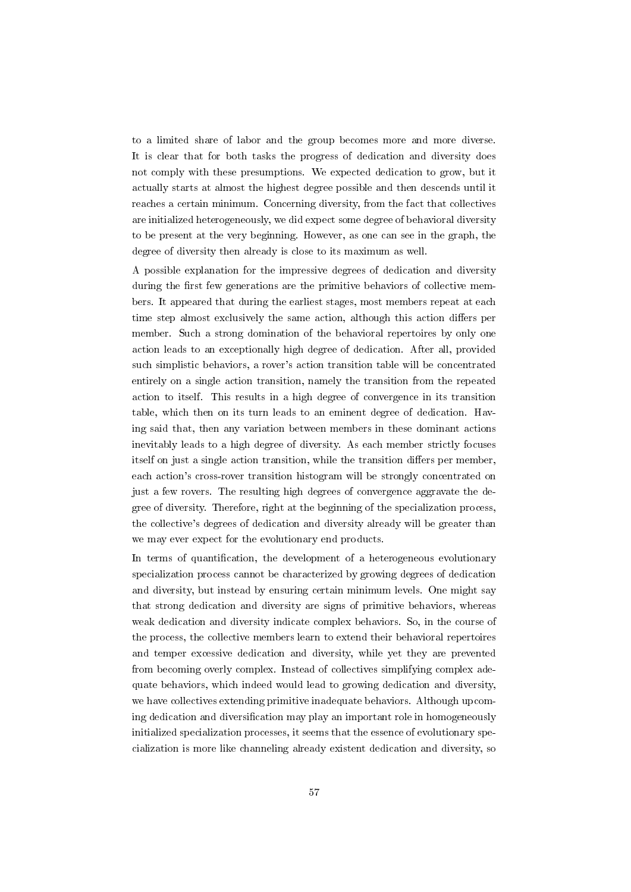to a limited share of labor and the group becomes more and more diverse. It is clear that for both tasks the progress of dedication and diversity does not comply with these presumptions. We expected dedication to grow, but it actually starts at almost the highest degree possible and then descends until it reaches a certain minimum. Concerning diversity, from the fact that collectives are initialized heterogeneously, we did expect some degree of behavioral diversity to be present at the very beginning. However, as one can see in the graph, the degree of diversity then already is close to its maximum as well.

A possible explanation for the impressive degrees of dedication and diversity during the first few generations are the primitive behaviors of collective members. It appeared that during the earliest stages, most members repeat at each time step almost exclusively the same action, although this action differs per member. Such a strong domination of the behavioral repertoires by only one action leads to an exceptionally high degree of dedication. After all, provided such simplistic behaviors, a rover's action transition table will be concentrated entirely on a single action transition, namely the transition from the repeated action to itself. This results in a high degree of convergence in its transition table, which then on its turn leads to an eminent degree of dedication. Having said that, then any variation between members in these dominant actions inevitably leads to a high degree of diversity. As each member strictly focuses itself on just a single action transition, while the transition differs per member, each action's cross-rover transition histogram will be strongly concentrated on just a few rovers. The resulting high degrees of convergence aggravate the degree of diversity. Therefore, right at the beginning of the specialization process, the collective's degrees of dedication and diversity already will be greater than we may ever expect for the evolutionary end products.

In terms of quantification, the development of a heterogeneous evolutionary specialization process cannot be characterized by growing degrees of dedication and diversity, but instead by ensuring certain minimum levels. One might say that strong dedication and diversity are signs of primitive behaviors, whereas weak dedication and diversity indicate complex behaviors. So, in the course of the process, the collective members learn to extend their behavioral repertoires and temper excessive dedication and diversity, while yet they are prevented from becoming overly complex. Instead of collectives simplifying complex adequate behaviors, which indeed would lead to growing dedication and diversity, we have collectives extending primitive inadequate behaviors. Although upcoming dedication and diversification may play an important role in homogeneously initialized specialization processes, it seems that the essence of evolutionary specialization is more like channeling already existent dedication and diversity, so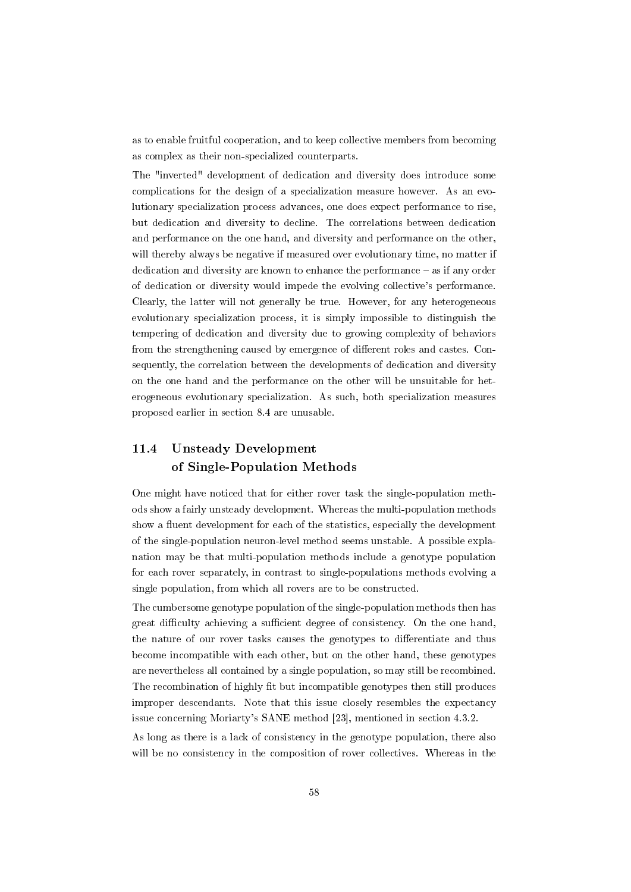as to enable fruitful cooperation, and to keep collective members from becoming as complex as their non-specialized counterparts.

The "inverted" development of dedication and diversity does introduce some complications for the design of a specialization measure however. As an evolutionary specialization process advances, one does expect performance to rise, but dedication and diversity to decline. The correlations between dedication and performance on the one hand, and diversity and performance on the other, will thereby always be negative if measured over evolutionary time, no matter if dedication and diversity are known to enhance the performance – as if any order of dedication or diversity would impede the evolving collective's performance. Clearly, the latter will not generally be true. However, for any heterogeneous evolutionary specialization process, it is simply impossible to distinguish the tempering of dedication and diversity due to growing complexity of behaviors from the strengthening caused by emergence of different roles and castes. Consequently, the correlation between the developments of dedication and diversity on the one hand and the performance on the other will be unsuitable for heterogeneous evolutionary specialization. As such, both specialization measures proposed earlier in section 8.4 are unusable.

## 11.4 Unsteady Development of Single-Population Methods

One might have noticed that for either rover task the single-population methods show a fairly unsteady development. Whereas the multi-population methods show a fluent development for each of the statistics, especially the development of the single-population neuron-level method seems unstable. A possible explanation may be that multi-population methods include a genotype population for each rover separately, in contrast to single-populations methods evolving a single population, from which all rovers are to be constructed.

The cumbersome genotype population of the single-population methods then has great difficulty achieving a sufficient degree of consistency. On the one hand, the nature of our rover tasks causes the genotypes to differentiate and thus become incompatible with each other, but on the other hand, these genotypes are nevertheless all contained by a single population, so may still be recombined. The recombination of highly fit but incompatible genotypes then still produces improper descendants. Note that this issue closely resembles the expectancy issue concerning Moriarty's SANE method [23], mentioned in section 4.3.2.

As long as there is a lack of consistency in the genotype population, there also will be no consistency in the composition of rover collectives. Whereas in the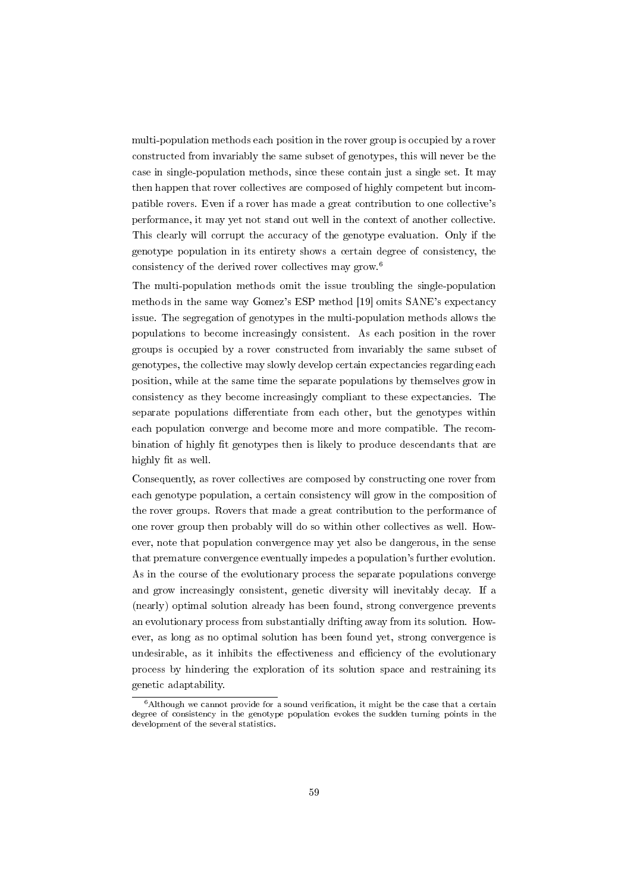multi-population methods each position in the rover group is occupied by a rover constructed from invariably the same subset of genotypes, this will never be the case in single-population methods, since these contain just a single set. It may then happen that rover collectives are composed of highly competent but incompatible rovers. Even if a rover has made a great contribution to one collective's performance, it may yet not stand out well in the context of another collective. This clearly will corrupt the accuracy of the genotype evaluation. Only if the genotype population in its entirety shows a certain degree of consistency, the consistency of the derived rover collectives may grow.<sup>6</sup>

The multi-population methods omit the issue troubling the single-population methods in the same way Gomez's ESP method [19] omits SANE's expectancy issue. The segregation of genotypes in the multi-population methods allows the populations to become increasingly consistent. As each position in the rover groups is occupied by a rover constructed from invariably the same subset of genotypes, the collective may slowly develop certain expectancies regarding each position, while at the same time the separate populations by themselves grow in consistency as they become increasingly compliant to these expectancies. The separate populations differentiate from each other, but the genotypes within each population converge and become more and more compatible. The recombination of highly fit genotypes then is likely to produce descendants that are highly fit as well.

Consequently, as rover collectives are composed by constructing one rover from each genotype population, a certain consistency will grow in the composition of the rover groups. Rovers that made a great contribution to the performance of one rover group then probably will do so within other collectives as well. However, note that population convergence may yet also be dangerous, in the sense that premature convergence eventually impedes a population's further evolution. As in the course of the evolutionary process the separate populations converge and grow increasingly consistent, genetic diversity will inevitably decay. If a (nearly) optimal solution already has been found, strong convergence prevents an evolutionary process from substantially drifting away from its solution. However, as long as no optimal solution has been found yet, strong convergence is undesirable, as it inhibits the effectiveness and efficiency of the evolutionary process by hindering the exploration of its solution space and restraining its genetic adaptability.

 $6$ Although we cannot provide for a sound verification, it might be the case that a certain degree of consistency in the genotype population evokes the sudden turning points in the development of the several statistics.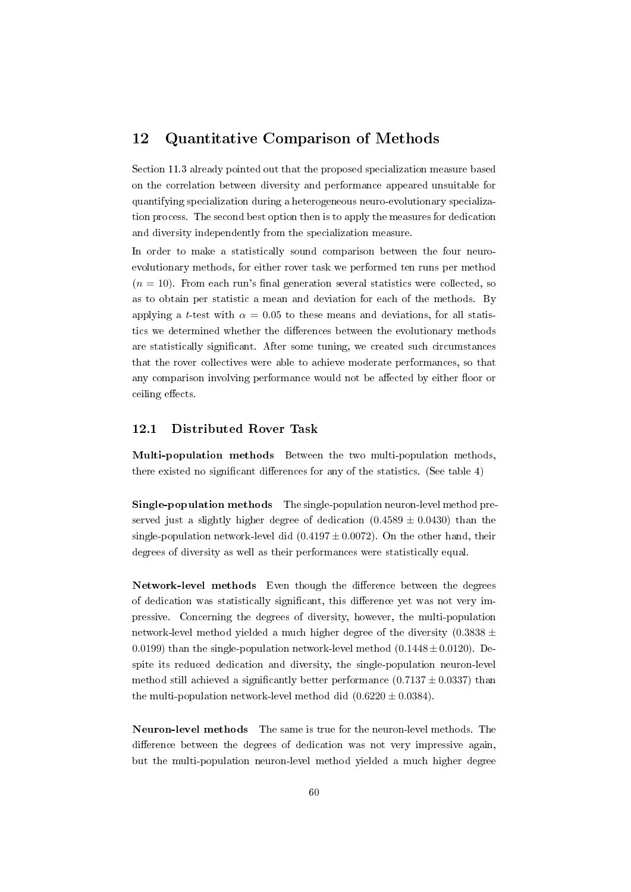## 12 Quantitative Comparison of Methods

Section 11.3 already pointed out that the proposed specialization measure based on the correlation between diversity and performance appeared unsuitable for quantifying specialization during a heterogeneous neuro-evolutionary specialization process. The second best option then is to apply the measures for dedication and diversity independently from the specialization measure.

In order to make a statistically sound comparison between the four neuroevolutionary methods, for either rover task we performed ten runs per method  $(n = 10)$ . From each run's final generation several statistics were collected, so as to obtain per statistic a mean and deviation for each of the methods. By applying a t-test with  $\alpha = 0.05$  to these means and deviations, for all statistics we determined whether the differences between the evolutionary methods are statistically signicant. After some tuning, we created such circumstances that the rover collectives were able to achieve moderate performances, so that any comparison involving performance would not be affected by either floor or ceiling effects.

## 12.1 Distributed Rover Task

Multi-population methods Between the two multi-population methods, there existed no significant differences for any of the statistics. (See table  $4$ )

Single-population methods The single-population neuron-level method preserved just a slightly higher degree of dedication  $(0.4589 \pm 0.0430)$  than the single-population network-level did  $(0.4197 \pm 0.0072)$ . On the other hand, their degrees of diversity as well as their performances were statistically equal.

Network-level methods Even though the difference between the degrees of dedication was statistically significant, this difference yet was not very impressive. Concerning the degrees of diversity, however, the multi-population network-level method yielded a much higher degree of the diversity  $(0.3838 \pm$ 0.0199) than the single-population network-level method  $(0.1448 \pm 0.0120)$ . Despite its reduced dedication and diversity, the single-population neuron-level method still achieved a significantly better performance  $(0.7137 \pm 0.0337)$  than the multi-population network-level method did  $(0.6220 \pm 0.0384)$ .

Neuron-level methods The same is true for the neuron-level methods. The difference between the degrees of dedication was not very impressive again, but the multi-population neuron-level method yielded a much higher degree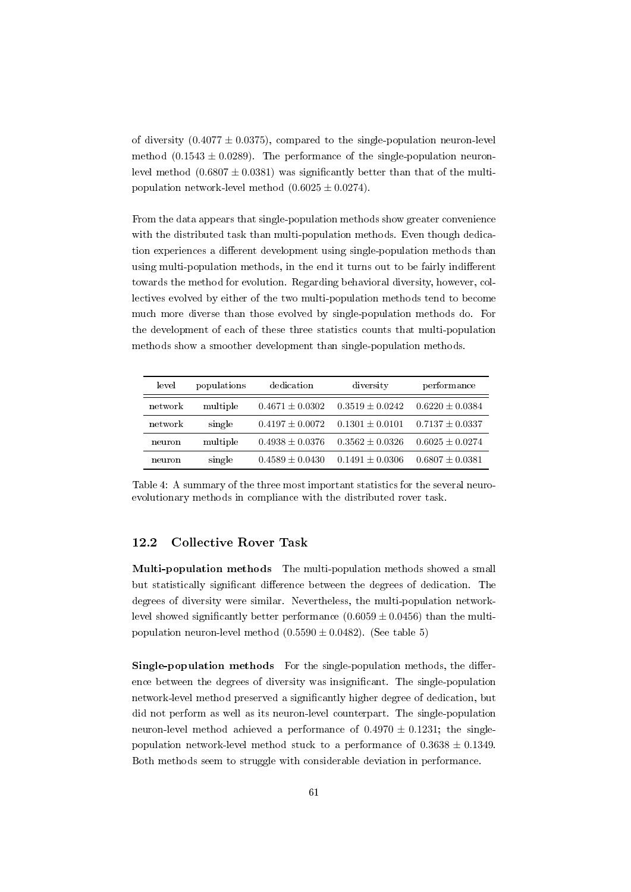of diversity  $(0.4077 \pm 0.0375)$ , compared to the single-population neuron-level method  $(0.1543 \pm 0.0289)$ . The performance of the single-population neuronlevel method  $(0.6807 \pm 0.0381)$  was significantly better than that of the multipopulation network-level method  $(0.6025 \pm 0.0274)$ .

From the data appears that single-population methods show greater convenience with the distributed task than multi-population methods. Even though dedication experiences a different development using single-population methods than using multi-population methods, in the end it turns out to be fairly indifferent towards the method for evolution. Regarding behavioral diversity, however, collectives evolved by either of the two multi-population methods tend to become much more diverse than those evolved by single-population methods do. For the development of each of these three statistics counts that multi-population methods show a smoother development than single-population methods.

| level   | populations | dedication          | diversity           | performance         |
|---------|-------------|---------------------|---------------------|---------------------|
| network | multiple    | $0.4671 \pm 0.0302$ | $0.3519 \pm 0.0242$ | $0.6220 \pm 0.0384$ |
| network | single      | $0.4197 \pm 0.0072$ | $0.1301 \pm 0.0101$ | $0.7137 \pm 0.0337$ |
| neuron  | multiple    | $0.4938 \pm 0.0376$ | $0.3562 \pm 0.0326$ | $0.6025 \pm 0.0274$ |
| neuron  | single      | $0.4589 \pm 0.0430$ | $0.1491 \pm 0.0306$ | $0.6807 \pm 0.0381$ |

Table 4: A summary of the three most important statistics for the several neuroevolutionary methods in compliance with the distributed rover task.

## 12.2 Collective Rover Task

Multi-population methods The multi-population methods showed a small but statistically significant difference between the degrees of dedication. The degrees of diversity were similar. Nevertheless, the multi-population networklevel showed significantly better performance  $(0.6059 \pm 0.0456)$  than the multipopulation neuron-level method  $(0.5590 \pm 0.0482)$ . (See table 5)

Single-population methods For the single-population methods, the difference between the degrees of diversity was insignificant. The single-population network-level method preserved a signicantly higher degree of dedication, but did not perform as well as its neuron-level counterpart. The single-population neuron-level method achieved a performance of  $0.4970 \pm 0.1231$ ; the singlepopulation network-level method stuck to a performance of  $0.3638 \pm 0.1349$ . Both methods seem to struggle with considerable deviation in performance.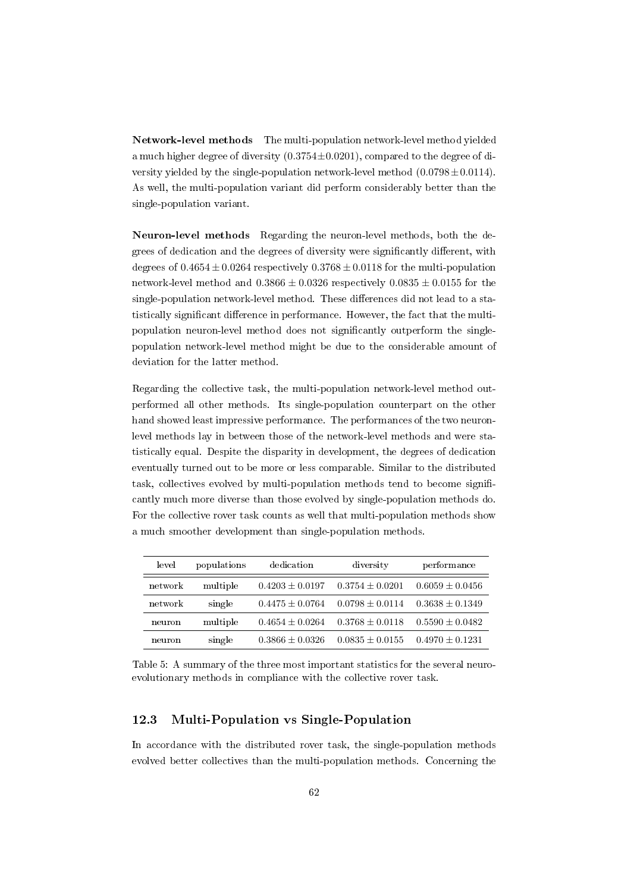Network-level methods The multi-population network-level method yielded a much higher degree of diversity  $(0.3754\pm0.0201)$ , compared to the degree of diversity yielded by the single-population network-level method  $(0.0798 \pm 0.0114)$ . As well, the multi-population variant did perform considerably better than the single-population variant.

Neuron-level methods Regarding the neuron-level methods, both the degrees of dedication and the degrees of diversity were significantly different, with degrees of  $0.4654 \pm 0.0264$  respectively  $0.3768 \pm 0.0118$  for the multi-population network-level method and  $0.3866 \pm 0.0326$  respectively  $0.0835 \pm 0.0155$  for the single-population network-level method. These differences did not lead to a statistically significant difference in performance. However, the fact that the multipopulation neuron-level method does not signicantly outperform the singlepopulation network-level method might be due to the considerable amount of deviation for the latter method.

Regarding the collective task, the multi-population network-level method outperformed all other methods. Its single-population counterpart on the other hand showed least impressive performance. The performances of the two neuronlevel methods lay in between those of the network-level methods and were statistically equal. Despite the disparity in development, the degrees of dedication eventually turned out to be more or less comparable. Similar to the distributed task, collectives evolved by multi-population methods tend to become signi cantly much more diverse than those evolved by single-population methods do. For the collective rover task counts as well that multi-population methods show a much smoother development than single-population methods.

| level   | populations | dedication          | diversity           | performance         |
|---------|-------------|---------------------|---------------------|---------------------|
| network | multiple    | $0.4203 \pm 0.0197$ | $0.3754 \pm 0.0201$ | $0.6059 \pm 0.0456$ |
| network | single      | $0.4475 \pm 0.0764$ | $0.0798 \pm 0.0114$ | $0.3638 \pm 0.1349$ |
| neuron  | multiple    | $0.4654 \pm 0.0264$ | $0.3768 \pm 0.0118$ | $0.5590 \pm 0.0482$ |
| neuron  | single      | $0.3866 \pm 0.0326$ | $0.0835 \pm 0.0155$ | $0.4970 \pm 0.1231$ |

Table 5: A summary of the three most important statistics for the several neuroevolutionary methods in compliance with the collective rover task.

## 12.3 Multi-Population vs Single-Population

In accordance with the distributed rover task, the single-population methods evolved better collectives than the multi-population methods. Concerning the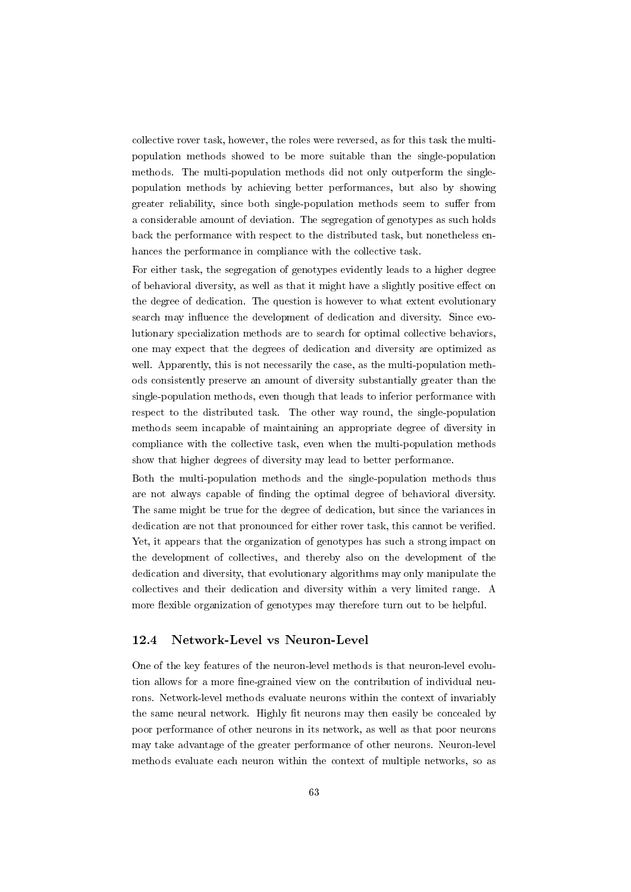collective rover task, however, the roles were reversed, as for this task the multipopulation methods showed to be more suitable than the single-population methods. The multi-population methods did not only outperform the singlepopulation methods by achieving better performances, but also by showing greater reliability, since both single-population methods seem to suffer from a considerable amount of deviation. The segregation of genotypes as such holds back the performance with respect to the distributed task, but nonetheless enhances the performance in compliance with the collective task.

For either task, the segregation of genotypes evidently leads to a higher degree of behavioral diversity, as well as that it might have a slightly positive effect on the degree of dedication. The question is however to what extent evolutionary search may influence the development of dedication and diversity. Since evolutionary specialization methods are to search for optimal collective behaviors, one may expect that the degrees of dedication and diversity are optimized as well. Apparently, this is not necessarily the case, as the multi-population methods consistently preserve an amount of diversity substantially greater than the single-population methods, even though that leads to inferior performance with respect to the distributed task. The other way round, the single-population methods seem incapable of maintaining an appropriate degree of diversity in compliance with the collective task, even when the multi-population methods show that higher degrees of diversity may lead to better performance.

Both the multi-population methods and the single-population methods thus are not always capable of finding the optimal degree of behavioral diversity. The same might be true for the degree of dedication, but since the variances in dedication are not that pronounced for either rover task, this cannot be verified. Yet, it appears that the organization of genotypes has such a strong impact on the development of collectives, and thereby also on the development of the dedication and diversity, that evolutionary algorithms may only manipulate the collectives and their dedication and diversity within a very limited range. A more flexible organization of genotypes may therefore turn out to be helpful.

### 12.4 Network-Level vs Neuron-Level

One of the key features of the neuron-level methods is that neuron-level evolution allows for a more fine-grained view on the contribution of individual neurons. Network-level methods evaluate neurons within the context of invariably the same neural network. Highly fit neurons may then easily be concealed by poor performance of other neurons in its network, as well as that poor neurons may take advantage of the greater performance of other neurons. Neuron-level methods evaluate each neuron within the context of multiple networks, so as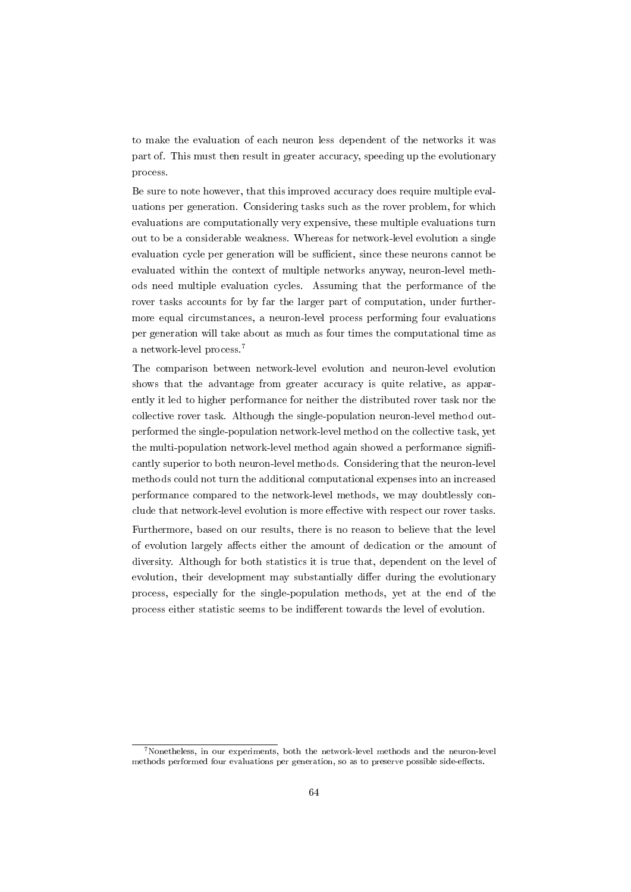to make the evaluation of each neuron less dependent of the networks it was part of. This must then result in greater accuracy, speeding up the evolutionary process.

Be sure to note however, that this improved accuracy does require multiple evaluations per generation. Considering tasks such as the rover problem, for which evaluations are computationally very expensive, these multiple evaluations turn out to be a considerable weakness. Whereas for network-level evolution a single evaluation cycle per generation will be sufficient, since these neurons cannot be evaluated within the context of multiple networks anyway, neuron-level methods need multiple evaluation cycles. Assuming that the performance of the rover tasks accounts for by far the larger part of computation, under furthermore equal circumstances, a neuron-level process performing four evaluations per generation will take about as much as four times the computational time as a network-level process.<sup>7</sup>

The comparison between network-level evolution and neuron-level evolution shows that the advantage from greater accuracy is quite relative, as apparently it led to higher performance for neither the distributed rover task nor the collective rover task. Although the single-population neuron-level method outperformed the single-population network-level method on the collective task, yet the multi-population network-level method again showed a performance significantly superior to both neuron-level methods. Considering that the neuron-level methods could not turn the additional computational expenses into an increased performance compared to the network-level methods, we may doubtlessly conclude that network-level evolution is more effective with respect our rover tasks.

Furthermore, based on our results, there is no reason to believe that the level of evolution largely affects either the amount of dedication or the amount of diversity. Although for both statistics it is true that, dependent on the level of evolution, their development may substantially differ during the evolutionary process, especially for the single-population methods, yet at the end of the process either statistic seems to be indifferent towards the level of evolution.

<sup>7</sup>Nonetheless, in our experiments, both the network-level methods and the neuron-level methods performed four evaluations per generation, so as to preserve possible side-effects.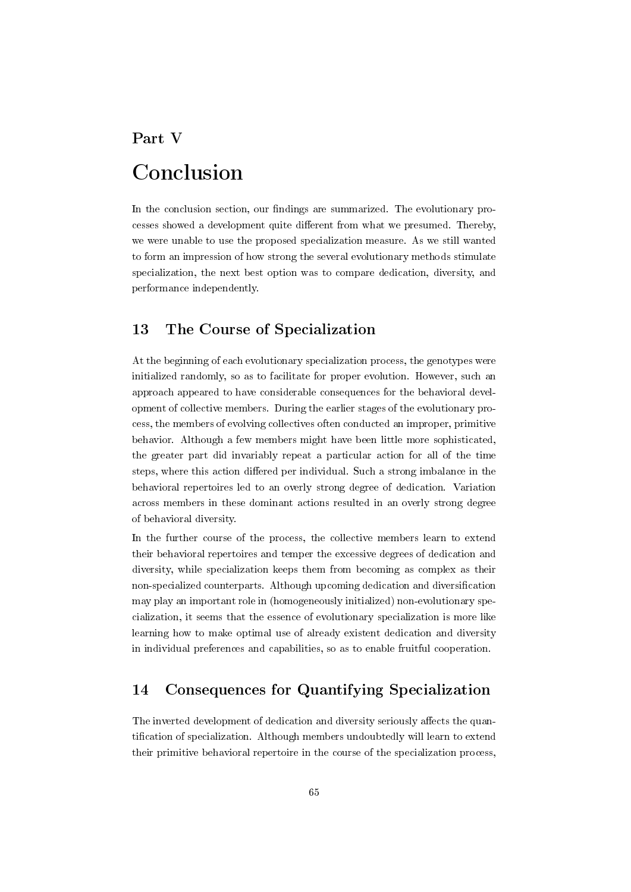## Part V Conclusion

In the conclusion section, our findings are summarized. The evolutionary processes showed a development quite different from what we presumed. Thereby, we were unable to use the proposed specialization measure. As we still wanted to form an impression of how strong the several evolutionary methods stimulate specialization, the next best option was to compare dedication, diversity, and performance independently.

## 13 The Course of Specialization

At the beginning of each evolutionary specialization process, the genotypes were initialized randomly, so as to facilitate for proper evolution. However, such an approach appeared to have considerable consequences for the behavioral development of collective members. During the earlier stages of the evolutionary process, the members of evolving collectives often conducted an improper, primitive behavior. Although a few members might have been little more sophisticated, the greater part did invariably repeat a particular action for all of the time steps, where this action differed per individual. Such a strong imbalance in the behavioral repertoires led to an overly strong degree of dedication. Variation across members in these dominant actions resulted in an overly strong degree of behavioral diversity.

In the further course of the process, the collective members learn to extend their behavioral repertoires and temper the excessive degrees of dedication and diversity, while specialization keeps them from becoming as complex as their non-specialized counterparts. Although upcoming dedication and diversication may play an important role in (homogeneously initialized) non-evolutionary specialization, it seems that the essence of evolutionary specialization is more like learning how to make optimal use of already existent dedication and diversity in individual preferences and capabilities, so as to enable fruitful cooperation.

## 14 Consequences for Quantifying Specialization

The inverted development of dedication and diversity seriously affects the quantification of specialization. Although members undoubtedly will learn to extend their primitive behavioral repertoire in the course of the specialization process,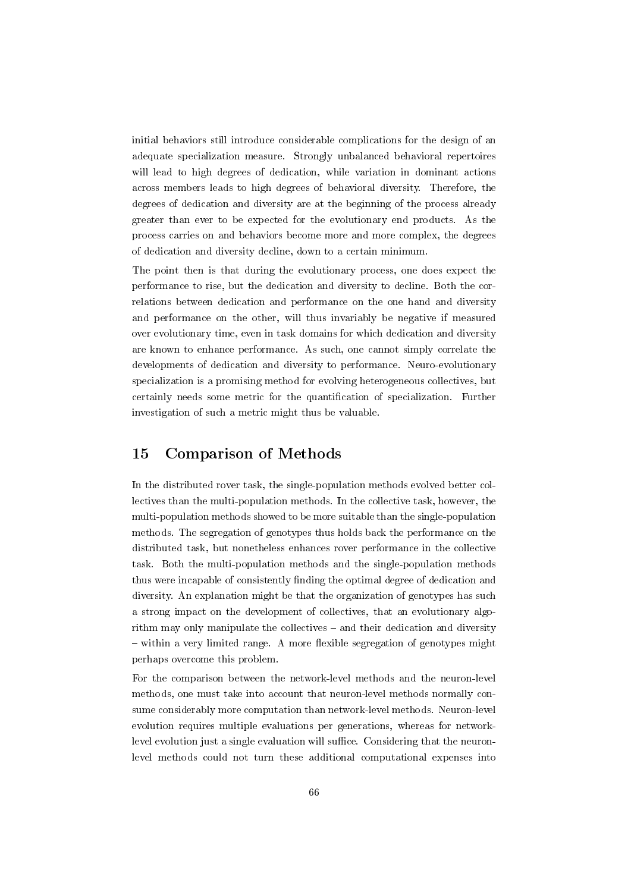initial behaviors still introduce considerable complications for the design of an adequate specialization measure. Strongly unbalanced behavioral repertoires will lead to high degrees of dedication, while variation in dominant actions across members leads to high degrees of behavioral diversity. Therefore, the degrees of dedication and diversity are at the beginning of the process already greater than ever to be expected for the evolutionary end products. As the process carries on and behaviors become more and more complex, the degrees of dedication and diversity decline, down to a certain minimum.

The point then is that during the evolutionary process, one does expect the performance to rise, but the dedication and diversity to decline. Both the correlations between dedication and performance on the one hand and diversity and performance on the other, will thus invariably be negative if measured over evolutionary time, even in task domains for which dedication and diversity are known to enhance performance. As such, one cannot simply correlate the developments of dedication and diversity to performance. Neuro-evolutionary specialization is a promising method for evolving heterogeneous collectives, but certainly needs some metric for the quantification of specialization. Further investigation of such a metric might thus be valuable.

## 15 Comparison of Methods

In the distributed rover task, the single-population methods evolved better collectives than the multi-population methods. In the collective task, however, the multi-population methods showed to be more suitable than the single-population methods. The segregation of genotypes thus holds back the performance on the distributed task, but nonetheless enhances rover performance in the collective task. Both the multi-population methods and the single-population methods thus were incapable of consistently finding the optimal degree of dedication and diversity. An explanation might be that the organization of genotypes has such a strong impact on the development of collectives, that an evolutionary algorithm may only manipulate the collectives  $-$  and their dedication and diversity  $-$  within a very limited range. A more flexible segregation of genotypes might perhaps overcome this problem.

For the comparison between the network-level methods and the neuron-level methods, one must take into account that neuron-level methods normally consume considerably more computation than network-level methods. Neuron-level evolution requires multiple evaluations per generations, whereas for networklevel evolution just a single evaluation will suffice. Considering that the neuronlevel methods could not turn these additional computational expenses into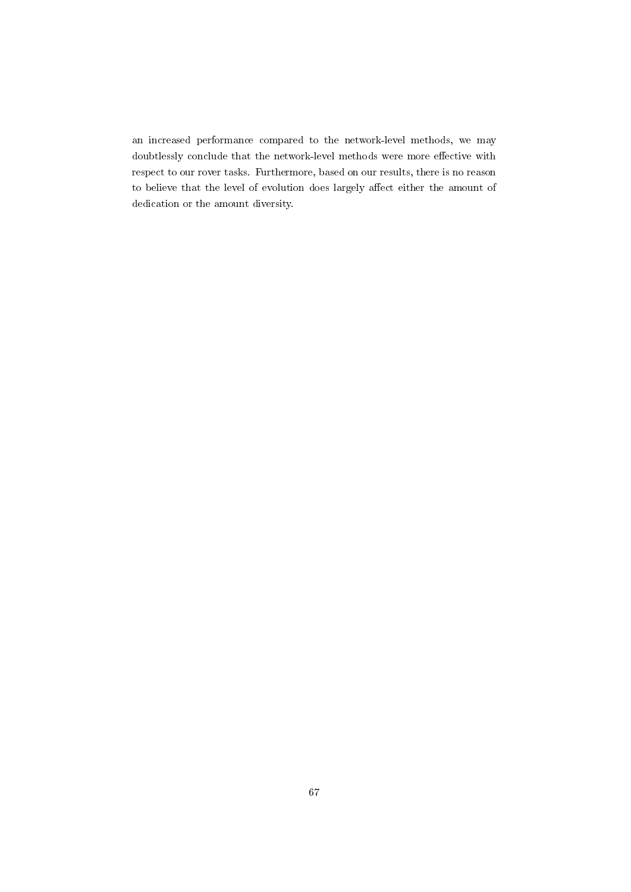an increased performance compared to the network-level methods, we may doubtlessly conclude that the network-level methods were more effective with respect to our rover tasks. Furthermore, based on our results, there is no reason to believe that the level of evolution does largely affect either the amount of dedication or the amount diversity.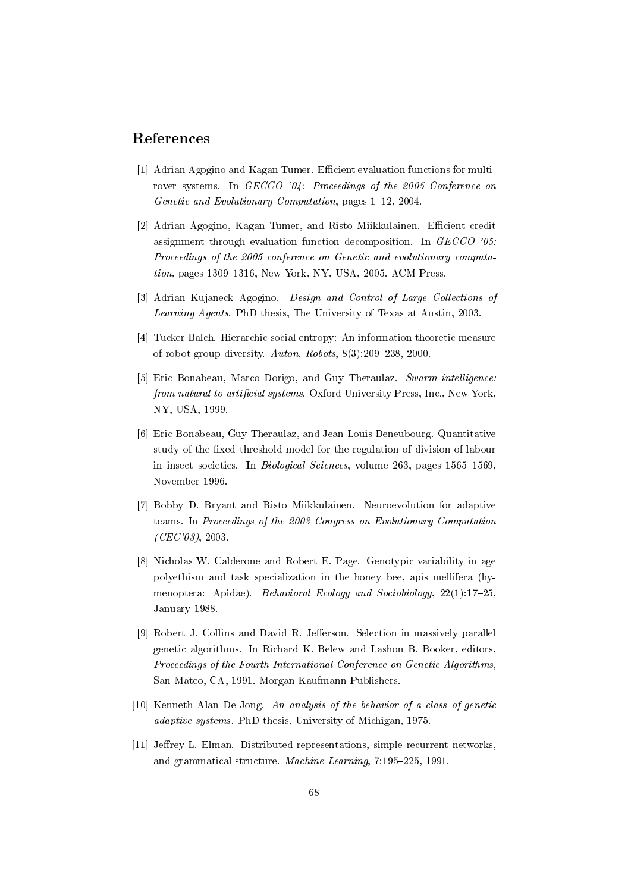## References

- [1] Adrian Agogino and Kagan Tumer. Efficient evaluation functions for multirover systems. In GECCO '04: Proceedings of the 2005 Conference on Genetic and Evolutionary Computation, pages  $1-12$ , 2004.
- [2] Adrian Agogino, Kagan Tumer, and Risto Miikkulainen. Efficient credit assignment through evaluation function decomposition. In GECCO '05: Proceedings of the 2005 conference on Genetic and evolutionary computa $tion, pages 1309–1316, New York, NY, USA, 2005. ACM Press.$
- [3] Adrian Kujaneck Agogino. *Design and Control of Large Collections of* Learning Agents. PhD thesis, The University of Texas at Austin, 2003.
- [4] Tucker Balch. Hierarchic social entropy: An information theoretic measure of robot group diversity. Auton. Robots,  $8(3):209-238$ , 2000.
- [5] Eric Bonabeau, Marco Dorigo, and Guy Theraulaz. Swarm intelligence: from natural to artificial systems. Oxford University Press, Inc., New York, NY, USA, 1999.
- [6] Eric Bonabeau, Guy Theraulaz, and Jean-Louis Deneubourg. Quantitative study of the fixed threshold model for the regulation of division of labour in insect societies. In *Biological Sciences*, volume 263, pages  $1565-1569$ , November 1996.
- [7] Bobby D. Bryant and Risto Miikkulainen. Neuroevolution for adaptive teams. In Proceedings of the 2003 Congress on Evolutionary Computation  $(CEC'03)$ , 2003.
- [8] Nicholas W. Calderone and Robert E. Page. Genotypic variability in age polyethism and task specialization in the honey bee, apis mellifera (hymenoptera: Apidae). Behavioral Ecology and Sociobiology, 22(1):17-25. January 1988.
- [9] Robert J. Collins and David R. Jefferson. Selection in massively parallel genetic algorithms. In Richard K. Belew and Lashon B. Booker, editors, Proceedings of the Fourth International Conference on Genetic Algorithms, San Mateo, CA, 1991. Morgan Kaufmann Publishers.
- [10] Kenneth Alan De Jong. An analysis of the behavior of a class of genetic adaptive systems. PhD thesis, University of Michigan, 1975.
- [11] Jeffrey L. Elman. Distributed representations, simple recurrent networks, and grammatical structure. *Machine Learning*,  $7:195-225$ , 1991.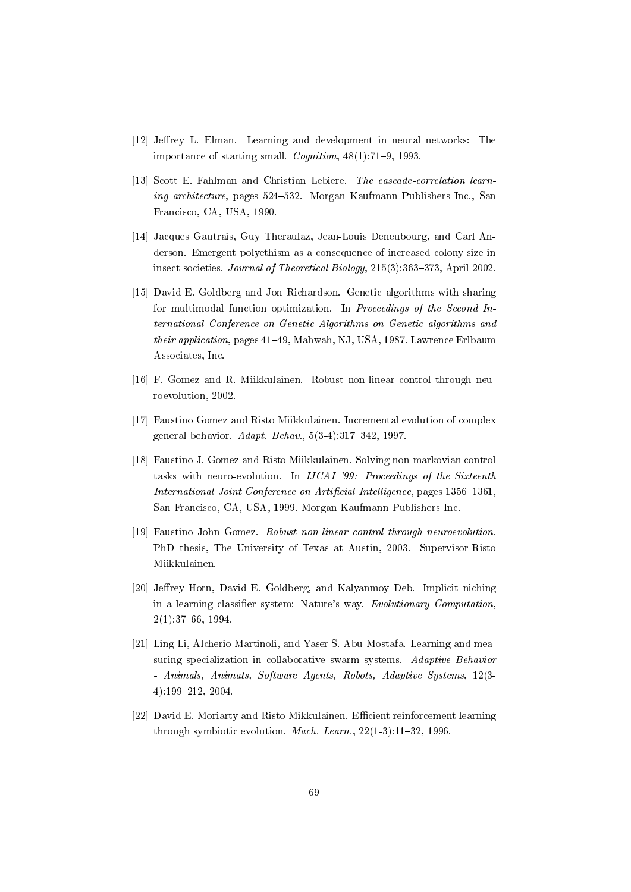- [12] Jeffrey L. Elman. Learning and development in neural networks: The importance of starting small. Cognition,  $48(1)$ : 71–9, 1993.
- [13] Scott E. Fahlman and Christian Lebiere. The cascade-correlation learning architecture, pages 524-532. Morgan Kaufmann Publishers Inc., San Francisco, CA, USA, 1990.
- [14] Jacques Gautrais, Guy Theraulaz, Jean-Louis Deneubourg, and Carl Anderson. Emergent polyethism as a consequence of increased colony size in insect societies. Journal of Theoretical Biology,  $215(3)$ : 363-373, April 2002.
- [15] David E. Goldberg and Jon Richardson. Genetic algorithms with sharing for multimodal function optimization. In Proceedings of the Second International Conference on Genetic Algorithms on Genetic algorithms and their application, pages 41–49, Mahwah, NJ, USA, 1987. Lawrence Erlbaum Associates, Inc.
- [16] F. Gomez and R. Miikkulainen. Robust non-linear control through neuroevolution, 2002.
- [17] Faustino Gomez and Risto Miikkulainen. Incremental evolution of complex general behavior.  $Adapt. Behav.$ ,  $5(3-4):317-342$ , 1997.
- [18] Faustino J. Gomez and Risto Miikkulainen. Solving non-markovian control tasks with neuro-evolution. In IJCAI '99: Proceedings of the Sixteenth International Joint Conference on Artificial Intelligence, pages 1356-1361, San Francisco, CA, USA, 1999. Morgan Kaufmann Publishers Inc.
- [19] Faustino John Gomez. Robust non-linear control through neuroevolution. PhD thesis, The University of Texas at Austin, 2003. Supervisor-Risto Miikkulainen.
- [20] Jeffrey Horn, David E. Goldberg, and Kalyanmoy Deb. Implicit niching in a learning classifier system: Nature's way. Evolutionary Computation, 2(1):3766, 1994.
- [21] Ling Li, Alcherio Martinoli, and Yaser S. Abu-Mostafa. Learning and measuring specialization in collaborative swarm systems. Adaptive Behavior - Animals, Animats, Software Agents, Robots, Adaptive Systems, 12(3- 4):199212, 2004.
- [22] David E. Moriarty and Risto Mikkulainen. Efficient reinforcement learning through symbiotic evolution. *Mach. Learn.*,  $22(1-3)$ :11-32, 1996.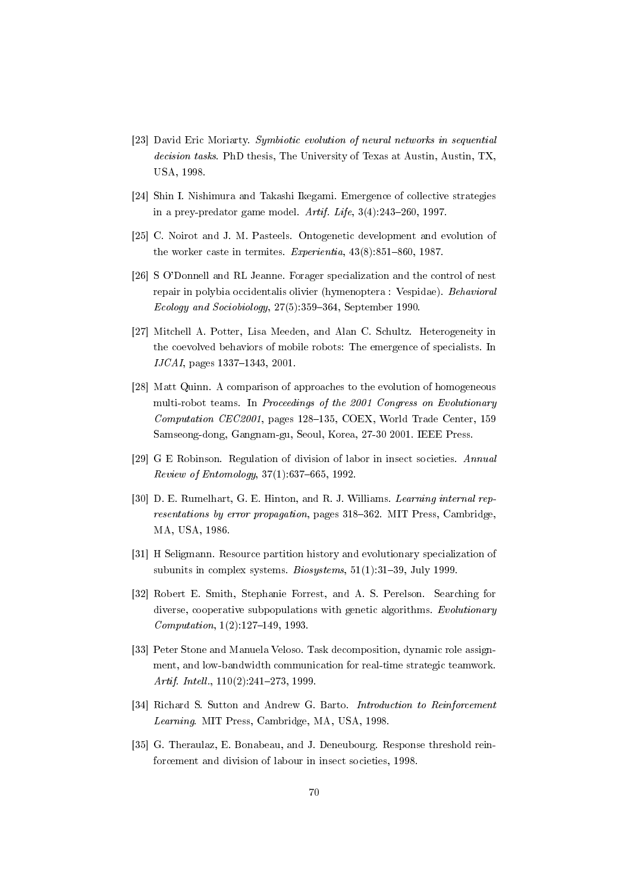- [23] David Eric Moriarty. Symbiotic evolution of neural networks in sequential decision tasks. PhD thesis, The University of Texas at Austin, Austin, TX, USA, 1998.
- [24] Shin I. Nishimura and Takashi Ikegami. Emergence of collective strategies in a prey-predator game model. Artif. Life,  $3(4):243-260$ , 1997.
- [25] C. Noirot and J. M. Pasteels. Ontogenetic development and evolution of the worker caste in termites. Experientia,  $43(8)$ :851-860, 1987.
- [26] S O'Donnell and RL Jeanne. Forager specialization and the control of nest repair in polybia occidentalis olivier (hymenoptera : Vespidae). Behavioral Ecology and Sociobiology,  $27(5)$ :359-364, September 1990.
- [27] Mitchell A. Potter, Lisa Meeden, and Alan C. Schultz. Heterogeneity in the coevolved behaviors of mobile robots: The emergence of specialists. In  $IJCAI$ , pages 1337-1343, 2001.
- [28] Matt Quinn. A comparison of approaches to the evolution of homogeneous multi-robot teams. In Proceedings of the 2001 Congress on Evolutionary  $Computation$   $CEC2001$ , pages 128-135, COEX, World Trade Center, 159 Samseong-dong, Gangnam-gu, Seoul, Korea, 27-30 2001. IEEE Press.
- [29] G E Robinson. Regulation of division of labor in insect societies. Annual  $Review of Entomology, 37(1): 637–665, 1992.$
- [30] D. E. Rumelhart, G. E. Hinton, and R. J. Williams. Learning internal representations by error propagation, pages 318-362. MIT Press, Cambridge, MA, USA, 1986.
- [31] H Seligmann. Resource partition history and evolutionary specialization of subunits in complex systems. Biosystems,  $51(1):31-39$ , July 1999.
- [32] Robert E. Smith, Stephanie Forrest, and A. S. Perelson. Searching for diverse, cooperative subpopulations with genetic algorithms. Evolutionary  $Computation, 1(2):127–149, 1993.$
- [33] Peter Stone and Manuela Veloso. Task decomposition, dynamic role assignment, and low-bandwidth communication for real-time strategic teamwork. Artif. Intell.,  $110(2):241-273$ , 1999.
- [34] Richard S. Sutton and Andrew G. Barto. *Introduction to Reinforcement* Learning. MIT Press, Cambridge, MA, USA, 1998.
- [35] G. Theraulaz, E. Bonabeau, and J. Deneubourg. Response threshold reinforcement and division of labour in insect societies, 1998.